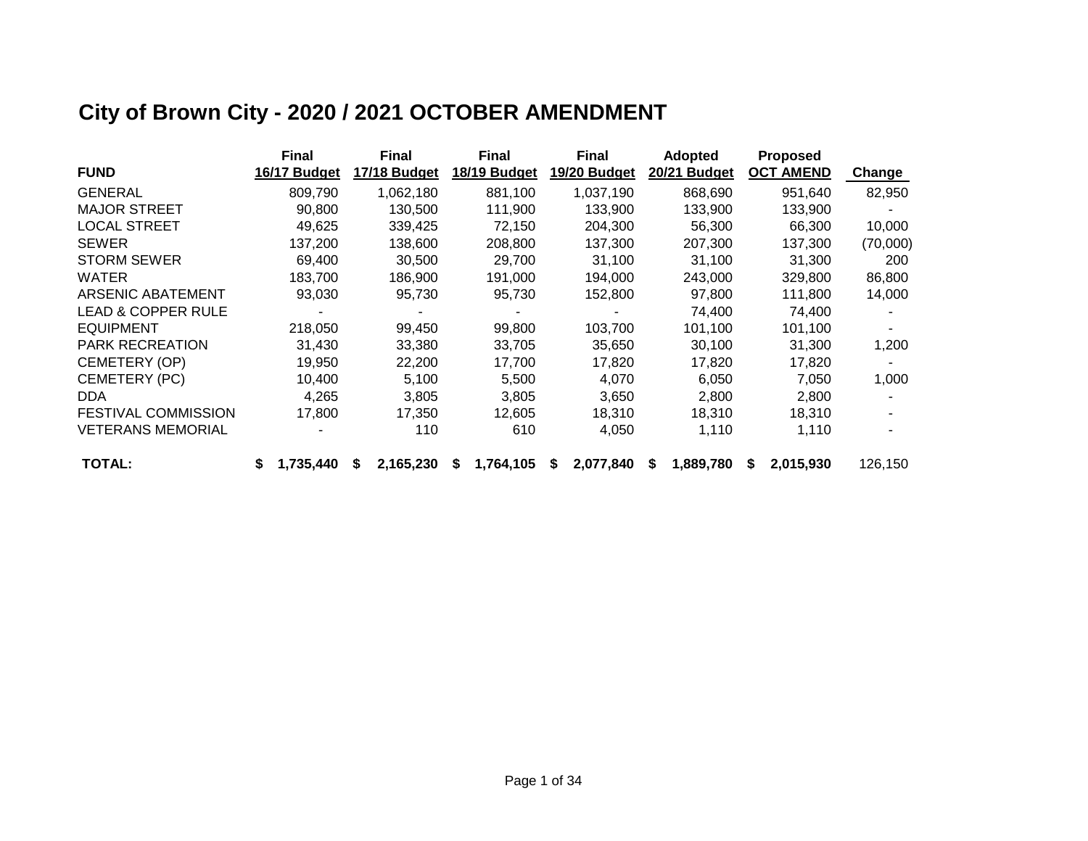# **City of Brown City - 2020 / 2021 OCTOBER AMENDMENT**

|                               |   | <b>Final</b> |   | <b>Final</b> |    | <b>Final</b> |   | <b>Final</b> |   | <b>Adopted</b> |   | <b>Proposed</b>  |          |
|-------------------------------|---|--------------|---|--------------|----|--------------|---|--------------|---|----------------|---|------------------|----------|
| <b>FUND</b>                   |   | 16/17 Budget |   | 17/18 Budget |    | 18/19 Budget |   | 19/20 Budget |   | 20/21 Budget   |   | <b>OCT AMEND</b> | Change   |
| <b>GENERAL</b>                |   | 809,790      |   | 1,062,180    |    | 881,100      |   | 1,037,190    |   | 868,690        |   | 951,640          | 82,950   |
| <b>MAJOR STREET</b>           |   | 90,800       |   | 130,500      |    | 111,900      |   | 133,900      |   | 133,900        |   | 133,900          |          |
| <b>LOCAL STREET</b>           |   | 49,625       |   | 339,425      |    | 72,150       |   | 204,300      |   | 56,300         |   | 66,300           | 10,000   |
| <b>SEWER</b>                  |   | 137,200      |   | 138,600      |    | 208,800      |   | 137,300      |   | 207,300        |   | 137,300          | (70,000) |
| <b>STORM SEWER</b>            |   | 69.400       |   | 30,500       |    | 29,700       |   | 31,100       |   | 31,100         |   | 31,300           | 200      |
| WATER                         |   | 183,700      |   | 186,900      |    | 191,000      |   | 194,000      |   | 243,000        |   | 329,800          | 86,800   |
| <b>ARSENIC ABATEMENT</b>      |   | 93,030       |   | 95,730       |    | 95,730       |   | 152,800      |   | 97,800         |   | 111,800          | 14,000   |
| <b>LEAD &amp; COPPER RULE</b> |   |              |   |              |    |              |   |              |   | 74,400         |   | 74,400           |          |
| <b>EQUIPMENT</b>              |   | 218,050      |   | 99,450       |    | 99,800       |   | 103,700      |   | 101,100        |   | 101,100          |          |
| <b>PARK RECREATION</b>        |   | 31,430       |   | 33,380       |    | 33,705       |   | 35,650       |   | 30,100         |   | 31,300           | 1,200    |
| CEMETERY (OP)                 |   | 19,950       |   | 22,200       |    | 17,700       |   | 17,820       |   | 17,820         |   | 17,820           |          |
| CEMETERY (PC)                 |   | 10,400       |   | 5,100        |    | 5,500        |   | 4,070        |   | 6,050          |   | 7,050            | 1,000    |
| DDA.                          |   | 4.265        |   | 3,805        |    | 3,805        |   | 3,650        |   | 2,800          |   | 2,800            |          |
| <b>FESTIVAL COMMISSION</b>    |   | 17,800       |   | 17,350       |    | 12,605       |   | 18,310       |   | 18,310         |   | 18,310           |          |
| <b>VETERANS MEMORIAL</b>      |   |              |   | 110          |    | 610          |   | 4,050        |   | 1,110          |   | 1,110            |          |
| <b>TOTAL:</b>                 | S | 1,735,440    | S | 2,165,230    | æ. | 1,764,105    | S | 2,077,840    | S | 1,889,780      | S | 2,015,930        | 126,150  |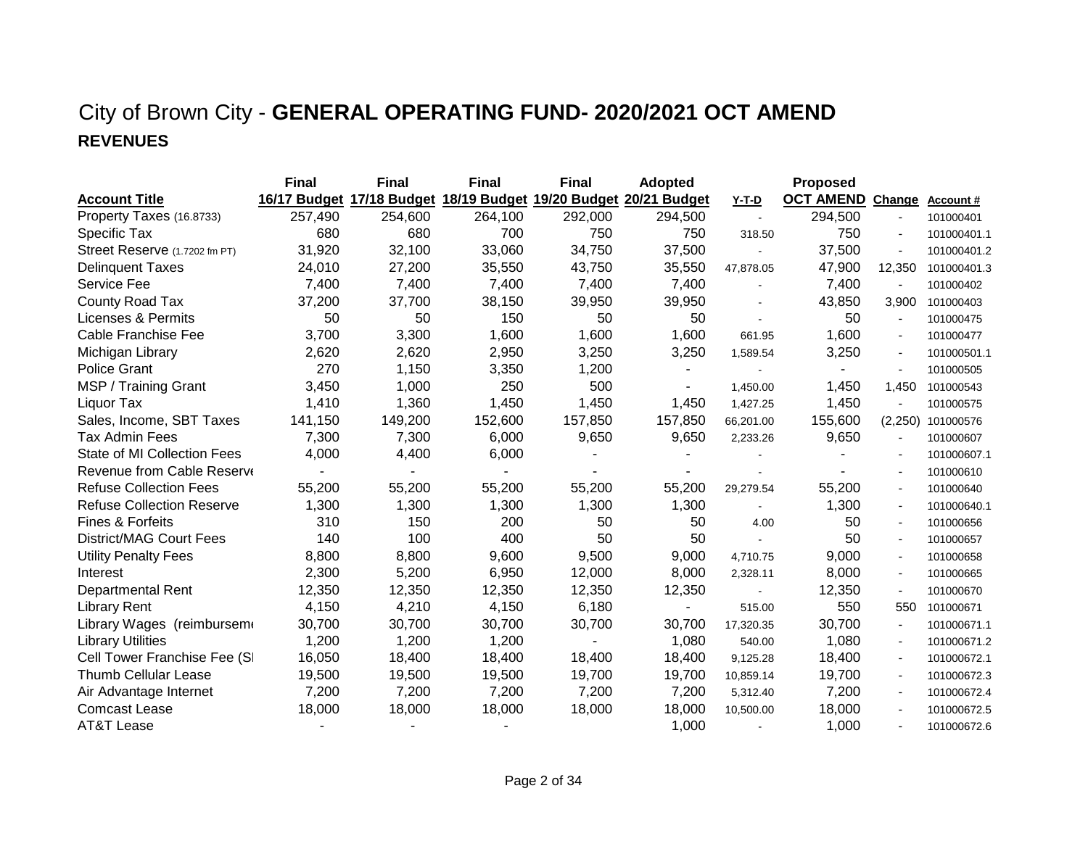### City of Brown City - **GENERAL OPERATING FUND- 2020/2021 OCT AMEND REVENUES**

|                                  | <b>Final</b> | <b>Final</b> | <b>Final</b>                                        | <b>Final</b> | <b>Adopted</b> |              | <b>Proposed</b>         |                |                  |
|----------------------------------|--------------|--------------|-----------------------------------------------------|--------------|----------------|--------------|-------------------------|----------------|------------------|
| <b>Account Title</b>             | 16/17 Budget |              | 17/18 Budget 18/19 Budget 19/20 Budget 20/21 Budget |              |                | <b>Y-T-D</b> | <b>OCT AMEND Change</b> |                | <b>Account #</b> |
| Property Taxes (16.8733)         | 257,490      | 254,600      | 264,100                                             | 292,000      | 294,500        |              | 294,500                 |                | 101000401        |
| Specific Tax                     | 680          | 680          | 700                                                 | 750          | 750            | 318.50       | 750                     |                | 101000401.1      |
| Street Reserve (1.7202 fm PT)    | 31,920       | 32,100       | 33,060                                              | 34,750       | 37,500         |              | 37,500                  | $\blacksquare$ | 101000401.2      |
| <b>Delinquent Taxes</b>          | 24,010       | 27,200       | 35,550                                              | 43,750       | 35,550         | 47,878.05    | 47,900                  | 12,350         | 101000401.3      |
| Service Fee                      | 7,400        | 7,400        | 7,400                                               | 7,400        | 7,400          |              | 7,400                   | $\blacksquare$ | 101000402        |
| County Road Tax                  | 37,200       | 37,700       | 38,150                                              | 39,950       | 39,950         |              | 43,850                  | 3,900          | 101000403        |
| Licenses & Permits               | 50           | 50           | 150                                                 | 50           | 50             |              | 50                      |                | 101000475        |
| Cable Franchise Fee              | 3,700        | 3,300        | 1,600                                               | 1,600        | 1,600          | 661.95       | 1,600                   | $\blacksquare$ | 101000477        |
| Michigan Library                 | 2,620        | 2,620        | 2,950                                               | 3,250        | 3,250          | 1,589.54     | 3,250                   |                | 101000501.1      |
| <b>Police Grant</b>              | 270          | 1,150        | 3,350                                               | 1,200        |                |              |                         |                | 101000505        |
| MSP / Training Grant             | 3,450        | 1,000        | 250                                                 | 500          |                | 1,450.00     | 1,450                   | 1,450          | 101000543        |
| Liquor Tax                       | 1,410        | 1,360        | 1,450                                               | 1,450        | 1,450          | 1,427.25     | 1,450                   |                | 101000575        |
| Sales, Income, SBT Taxes         | 141,150      | 149,200      | 152,600                                             | 157,850      | 157,850        | 66,201.00    | 155,600                 | (2,250)        | 101000576        |
| <b>Tax Admin Fees</b>            | 7,300        | 7,300        | 6,000                                               | 9,650        | 9,650          | 2,233.26     | 9,650                   |                | 101000607        |
| State of MI Collection Fees      | 4,000        | 4,400        | 6,000                                               |              |                |              |                         |                | 101000607.1      |
| Revenue from Cable Reserve       |              |              |                                                     |              |                |              |                         |                | 101000610        |
| <b>Refuse Collection Fees</b>    | 55,200       | 55,200       | 55,200                                              | 55,200       | 55,200         | 29,279.54    | 55,200                  | $\blacksquare$ | 101000640        |
| <b>Refuse Collection Reserve</b> | 1,300        | 1,300        | 1,300                                               | 1,300        | 1,300          |              | 1,300                   |                | 101000640.1      |
| Fines & Forfeits                 | 310          | 150          | 200                                                 | 50           | 50             | 4.00         | 50                      | $\sim$         | 101000656        |
| District/MAG Court Fees          | 140          | 100          | 400                                                 | 50           | 50             |              | 50                      |                | 101000657        |
| <b>Utility Penalty Fees</b>      | 8,800        | 8,800        | 9,600                                               | 9,500        | 9,000          | 4,710.75     | 9,000                   | $\blacksquare$ | 101000658        |
| Interest                         | 2,300        | 5,200        | 6,950                                               | 12,000       | 8,000          | 2,328.11     | 8,000                   |                | 101000665        |
| <b>Departmental Rent</b>         | 12,350       | 12,350       | 12,350                                              | 12,350       | 12,350         |              | 12,350                  | $\blacksquare$ | 101000670        |
| <b>Library Rent</b>              | 4,150        | 4,210        | 4,150                                               | 6,180        | $\blacksquare$ | 515.00       | 550                     | 550            | 101000671        |
| Library Wages (reimbursem        | 30,700       | 30,700       | 30,700                                              | 30,700       | 30,700         | 17,320.35    | 30,700                  |                | 101000671.1      |
| <b>Library Utilities</b>         | 1,200        | 1,200        | 1,200                                               |              | 1,080          | 540.00       | 1,080                   | $\blacksquare$ | 101000671.2      |
| Cell Tower Franchise Fee (SI     | 16,050       | 18,400       | 18,400                                              | 18,400       | 18,400         | 9,125.28     | 18,400                  |                | 101000672.1      |
| <b>Thumb Cellular Lease</b>      | 19,500       | 19,500       | 19,500                                              | 19,700       | 19,700         | 10,859.14    | 19,700                  |                | 101000672.3      |
| Air Advantage Internet           | 7,200        | 7,200        | 7,200                                               | 7,200        | 7,200          | 5,312.40     | 7,200                   |                | 101000672.4      |
| <b>Comcast Lease</b>             | 18,000       | 18,000       | 18,000                                              | 18,000       | 18,000         | 10,500.00    | 18,000                  |                | 101000672.5      |
| AT&T Lease                       |              |              |                                                     |              | 1,000          |              | 1,000                   |                | 101000672.6      |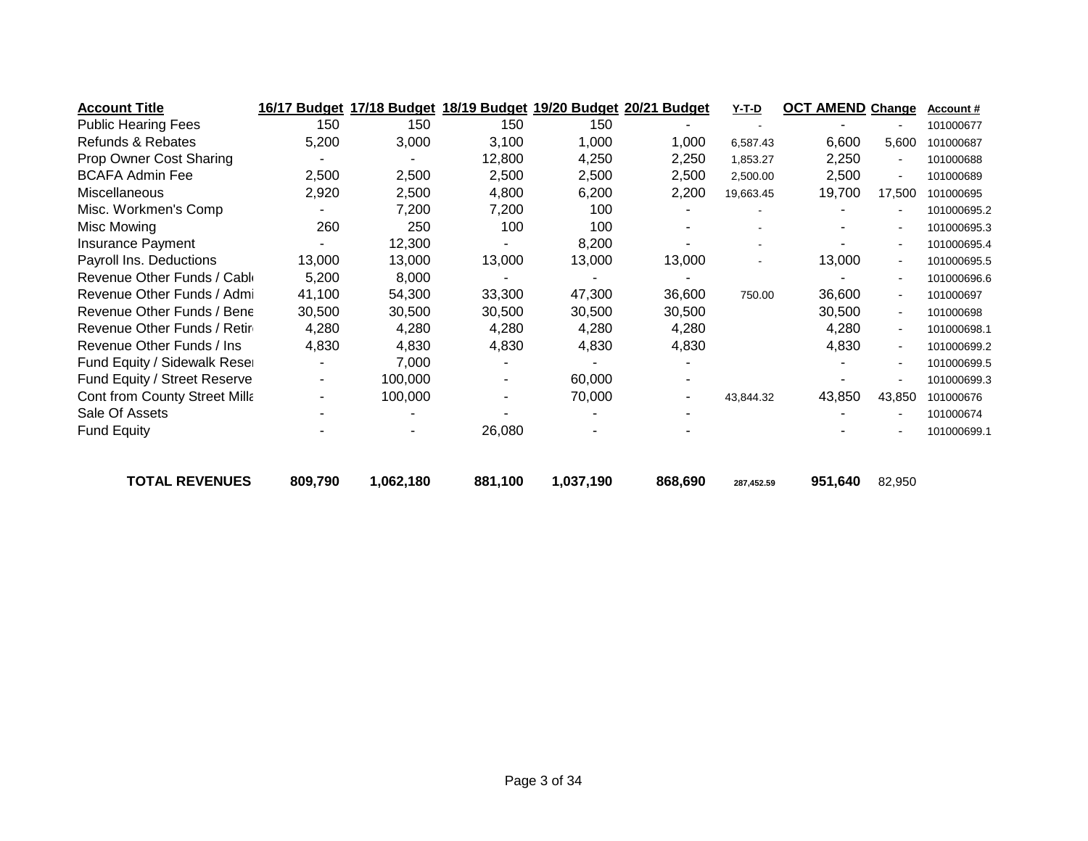| <b>Account Title</b>                 | 16/17 Budget |           | 17/18 Budget 18/19 Budget 19/20 Budget 20/21 Budget |           |         | Y-T-D      | <b>OCT AMEND Change</b> |                | <b>Account #</b> |
|--------------------------------------|--------------|-----------|-----------------------------------------------------|-----------|---------|------------|-------------------------|----------------|------------------|
| <b>Public Hearing Fees</b>           | 150          | 150       | 150                                                 | 150       |         |            |                         |                | 101000677        |
| Refunds & Rebates                    | 5,200        | 3,000     | 3,100                                               | 1,000     | 1,000   | 6,587.43   | 6,600                   | 5,600          | 101000687        |
| Prop Owner Cost Sharing              |              |           | 12,800                                              | 4,250     | 2,250   | 1,853.27   | 2,250                   |                | 101000688        |
| <b>BCAFA Admin Fee</b>               | 2,500        | 2,500     | 2,500                                               | 2,500     | 2,500   | 2,500.00   | 2,500                   | $\overline{a}$ | 101000689        |
| Miscellaneous                        | 2,920        | 2,500     | 4,800                                               | 6,200     | 2,200   | 19,663.45  | 19,700                  | 17,500         | 101000695        |
| Misc. Workmen's Comp                 |              | 7,200     | 7,200                                               | 100       |         |            |                         |                | 101000695.2      |
| Misc Mowing                          | 260          | 250       | 100                                                 | 100       |         |            |                         |                | 101000695.3      |
| Insurance Payment                    |              | 12,300    |                                                     | 8,200     |         |            |                         |                | 101000695.4      |
| Payroll Ins. Deductions              | 13,000       | 13,000    | 13,000                                              | 13,000    | 13,000  |            | 13,000                  | $\blacksquare$ | 101000695.5      |
| Revenue Other Funds / Cable          | 5,200        | 8,000     |                                                     |           |         |            |                         |                | 101000696.6      |
| Revenue Other Funds / Admi           | 41,100       | 54,300    | 33,300                                              | 47,300    | 36,600  | 750.00     | 36,600                  | $\sim$         | 101000697        |
| Revenue Other Funds / Bene           | 30,500       | 30,500    | 30,500                                              | 30,500    | 30,500  |            | 30,500                  | $\overline{a}$ | 101000698        |
| Revenue Other Funds / Retir          | 4,280        | 4,280     | 4,280                                               | 4,280     | 4,280   |            | 4,280                   | $\sim$         | 101000698.1      |
| Revenue Other Funds / Ins            | 4,830        | 4,830     | 4,830                                               | 4,830     | 4,830   |            | 4,830                   | $\blacksquare$ | 101000699.2      |
| Fund Equity / Sidewalk Reser         |              | 7,000     |                                                     |           |         |            |                         |                | 101000699.5      |
| Fund Equity / Street Reserve         |              | 100,000   |                                                     | 60,000    |         |            |                         |                | 101000699.3      |
| <b>Cont from County Street Milla</b> |              | 100,000   |                                                     | 70,000    |         | 43,844.32  | 43,850                  | 43,850         | 101000676        |
| Sale Of Assets                       |              |           |                                                     |           |         |            |                         |                | 101000674        |
| <b>Fund Equity</b>                   |              |           | 26,080                                              |           |         |            |                         |                | 101000699.1      |
| <b>TOTAL REVENUES</b>                | 809,790      | 1,062,180 | 881,100                                             | 1,037,190 | 868,690 | 287,452.59 | 951,640                 | 82,950         |                  |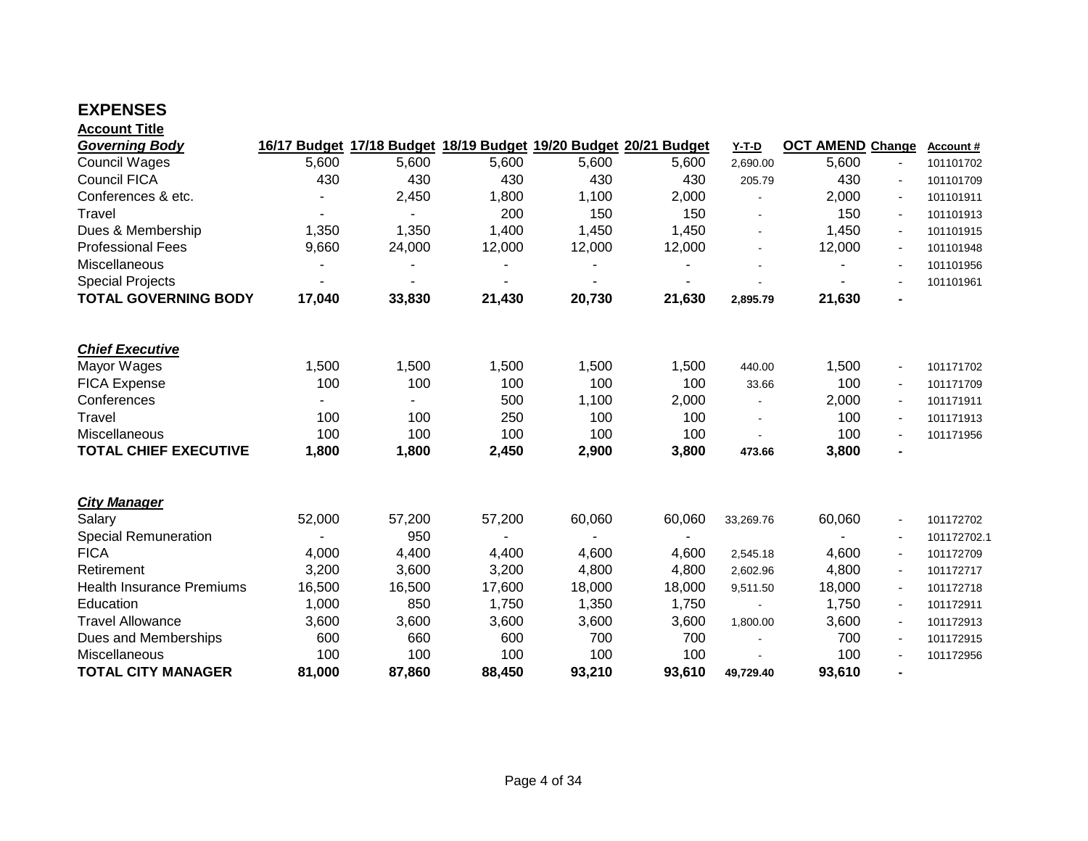### **EXPENSES**

| <b>Account Title</b>             |                          |                |        |                |                                                                  |           |                         |                          |             |
|----------------------------------|--------------------------|----------------|--------|----------------|------------------------------------------------------------------|-----------|-------------------------|--------------------------|-------------|
| <b>Governing Body</b>            |                          |                |        |                | 16/17 Budget 17/18 Budget 18/19 Budget 19/20 Budget 20/21 Budget | $Y-T-D$   | <b>OCT AMEND Change</b> |                          | Account#    |
| <b>Council Wages</b>             | 5,600                    | 5,600          | 5,600  | 5,600          | 5,600                                                            | 2,690.00  | 5,600                   | $\blacksquare$           | 101101702   |
| <b>Council FICA</b>              | 430                      | 430            | 430    | 430            | 430                                                              | 205.79    | 430                     | $\overline{\phantom{a}}$ | 101101709   |
| Conferences & etc.               |                          | 2,450          | 1,800  | 1,100          | 2,000                                                            |           | 2,000                   | $\blacksquare$           | 101101911   |
| Travel                           | $\overline{\phantom{a}}$ | $\blacksquare$ | 200    | 150            | 150                                                              |           | 150                     | $\blacksquare$           | 101101913   |
| Dues & Membership                | 1,350                    | 1,350          | 1,400  | 1,450          | 1,450                                                            |           | 1,450                   |                          | 101101915   |
| <b>Professional Fees</b>         | 9,660                    | 24,000         | 12,000 | 12,000         | 12,000                                                           |           | 12,000                  |                          | 101101948   |
| Miscellaneous                    |                          |                |        |                |                                                                  |           |                         | $\blacksquare$           | 101101956   |
| <b>Special Projects</b>          | $\blacksquare$           |                |        | $\overline{a}$ |                                                                  |           |                         |                          | 101101961   |
| <b>TOTAL GOVERNING BODY</b>      | 17,040                   | 33,830         | 21,430 | 20,730         | 21,630                                                           | 2,895.79  | 21,630                  | $\blacksquare$           |             |
| <b>Chief Executive</b>           |                          |                |        |                |                                                                  |           |                         |                          |             |
| Mayor Wages                      | 1,500                    | 1,500          | 1,500  | 1,500          | 1,500                                                            | 440.00    | 1,500                   | $\blacksquare$           | 101171702   |
| <b>FICA Expense</b>              | 100                      | 100            | 100    | 100            | 100                                                              | 33.66     | 100                     | $\overline{\phantom{a}}$ | 101171709   |
| Conferences                      | $\blacksquare$           |                | 500    | 1,100          | 2,000                                                            |           | 2,000                   |                          | 101171911   |
| Travel                           | 100                      | 100            | 250    | 100            | 100                                                              |           | 100                     |                          | 101171913   |
| Miscellaneous                    | 100                      | 100            | 100    | 100            | 100                                                              |           | 100                     |                          | 101171956   |
| <b>TOTAL CHIEF EXECUTIVE</b>     | 1,800                    | 1,800          | 2,450  | 2,900          | 3,800                                                            | 473.66    | 3,800                   | $\blacksquare$           |             |
| <b>City Manager</b>              |                          |                |        |                |                                                                  |           |                         |                          |             |
| Salary                           | 52,000                   | 57,200         | 57,200 | 60,060         | 60,060                                                           | 33,269.76 | 60,060                  | $\sim$                   | 101172702   |
| <b>Special Remuneration</b>      |                          | 950            |        | $\blacksquare$ | $\blacksquare$                                                   |           |                         |                          | 101172702.1 |
| <b>FICA</b>                      | 4,000                    | 4,400          | 4,400  | 4,600          | 4,600                                                            | 2,545.18  | 4,600                   | $\blacksquare$           | 101172709   |
| Retirement                       | 3,200                    | 3,600          | 3,200  | 4,800          | 4,800                                                            | 2,602.96  | 4,800                   | $\blacksquare$           | 101172717   |
| <b>Health Insurance Premiums</b> | 16,500                   | 16,500         | 17,600 | 18,000         | 18,000                                                           | 9,511.50  | 18,000                  | $\blacksquare$           | 101172718   |
| Education                        | 1,000                    | 850            | 1,750  | 1,350          | 1,750                                                            |           | 1,750                   |                          | 101172911   |
| <b>Travel Allowance</b>          | 3,600                    | 3,600          | 3,600  | 3,600          | 3,600                                                            | 1,800.00  | 3,600                   |                          | 101172913   |
| Dues and Memberships             | 600                      | 660            | 600    | 700            | 700                                                              |           | 700                     | $\overline{\phantom{a}}$ | 101172915   |
| Miscellaneous                    | 100                      | 100            | 100    | 100            | 100                                                              |           | 100                     |                          | 101172956   |
| <b>TOTAL CITY MANAGER</b>        | 81,000                   | 87,860         | 88,450 | 93,210         | 93,610                                                           | 49,729.40 | 93,610                  |                          |             |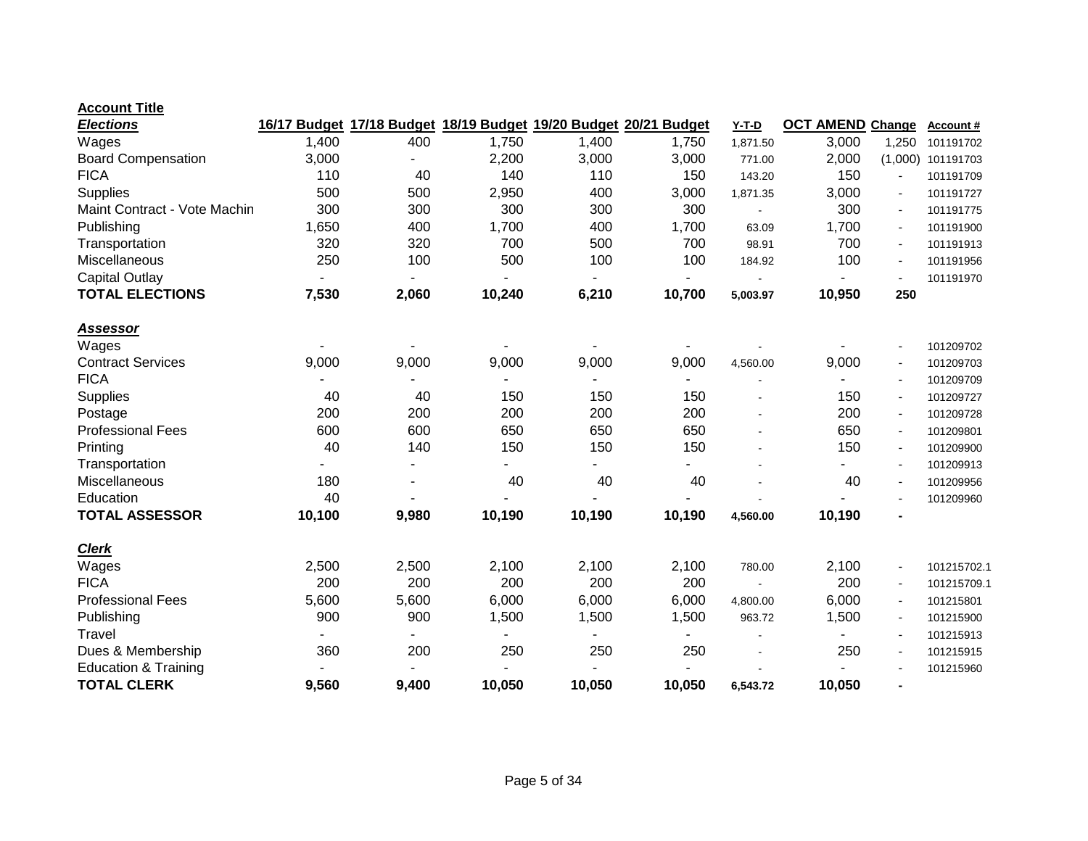| <b>Elections</b>                | 16/17 Budget   |                |                |        | 17/18 Budget 18/19 Budget 19/20 Budget 20/21 Budget | <b>Y-T-D</b> | <b>OCT AMEND Change</b> |                          | Account #   |
|---------------------------------|----------------|----------------|----------------|--------|-----------------------------------------------------|--------------|-------------------------|--------------------------|-------------|
| Wages                           | 1,400          | 400            | 1,750          | 1,400  | 1,750                                               | 1,871.50     | 3,000                   | 1,250                    | 101191702   |
| <b>Board Compensation</b>       | 3,000          |                | 2,200          | 3,000  | 3,000                                               | 771.00       | 2,000                   | (1,000)                  | 101191703   |
| <b>FICA</b>                     | 110            | 40             | 140            | 110    | 150                                                 | 143.20       | 150                     |                          | 101191709   |
| Supplies                        | 500            | 500            | 2,950          | 400    | 3,000                                               | 1,871.35     | 3,000                   | $\overline{\phantom{a}}$ | 101191727   |
| Maint Contract - Vote Machin    | 300            | 300            | 300            | 300    | 300                                                 |              | 300                     | $\blacksquare$           | 101191775   |
| Publishing                      | 1,650          | 400            | 1,700          | 400    | 1,700                                               | 63.09        | 1,700                   |                          | 101191900   |
| Transportation                  | 320            | 320            | 700            | 500    | 700                                                 | 98.91        | 700                     | $\blacksquare$           | 101191913   |
| Miscellaneous                   | 250            | 100            | 500            | 100    | 100                                                 | 184.92       | 100                     | $\blacksquare$           | 101191956   |
| <b>Capital Outlay</b>           | $\blacksquare$ | $\blacksquare$ | $\blacksquare$ | Ξ.     | $\blacksquare$                                      |              |                         |                          | 101191970   |
| <b>TOTAL ELECTIONS</b>          | 7,530          | 2,060          | 10,240         | 6,210  | 10,700                                              | 5,003.97     | 10,950                  | 250                      |             |
| <u>Assessor</u>                 |                |                |                |        |                                                     |              |                         |                          |             |
| Wages                           |                |                |                |        |                                                     |              |                         | $\blacksquare$           | 101209702   |
| <b>Contract Services</b>        | 9,000          | 9,000          | 9,000          | 9,000  | 9,000                                               | 4,560.00     | 9,000                   | $\blacksquare$           | 101209703   |
| <b>FICA</b>                     |                |                |                |        |                                                     |              |                         |                          | 101209709   |
| <b>Supplies</b>                 | 40             | 40             | 150            | 150    | 150                                                 |              | 150                     |                          | 101209727   |
| Postage                         | 200            | 200            | 200            | 200    | 200                                                 |              | 200                     |                          | 101209728   |
| <b>Professional Fees</b>        | 600            | 600            | 650            | 650    | 650                                                 |              | 650                     | $\blacksquare$           | 101209801   |
| Printing                        | 40             | 140            | 150            | 150    | 150                                                 |              | 150                     | $\blacksquare$           | 101209900   |
| Transportation                  |                |                |                |        |                                                     |              |                         |                          | 101209913   |
| Miscellaneous                   | 180            |                | 40             | 40     | 40                                                  |              | 40                      |                          | 101209956   |
| Education                       | 40             |                |                |        |                                                     |              |                         |                          | 101209960   |
| <b>TOTAL ASSESSOR</b>           | 10,100         | 9,980          | 10,190         | 10,190 | 10,190                                              | 4,560.00     | 10,190                  |                          |             |
| <b>Clerk</b>                    |                |                |                |        |                                                     |              |                         |                          |             |
| Wages                           | 2,500          | 2,500          | 2,100          | 2,100  | 2,100                                               | 780.00       | 2,100                   | $\blacksquare$           | 101215702.1 |
| <b>FICA</b>                     | 200            | 200            | 200            | 200    | 200                                                 |              | 200                     | $\blacksquare$           | 101215709.1 |
| <b>Professional Fees</b>        | 5,600          | 5,600          | 6,000          | 6,000  | 6,000                                               | 4,800.00     | 6,000                   | $\blacksquare$           | 101215801   |
| Publishing                      | 900            | 900            | 1,500          | 1,500  | 1,500                                               | 963.72       | 1,500                   |                          | 101215900   |
| Travel                          |                |                |                |        |                                                     |              |                         |                          | 101215913   |
| Dues & Membership               | 360            | 200            | 250            | 250    | 250                                                 |              | 250                     | $\blacksquare$           | 101215915   |
| <b>Education &amp; Training</b> |                |                |                |        |                                                     |              |                         |                          | 101215960   |
| <b>TOTAL CLERK</b>              | 9,560          | 9,400          | 10,050         | 10,050 | 10,050                                              | 6,543.72     | 10,050                  | $\blacksquare$           |             |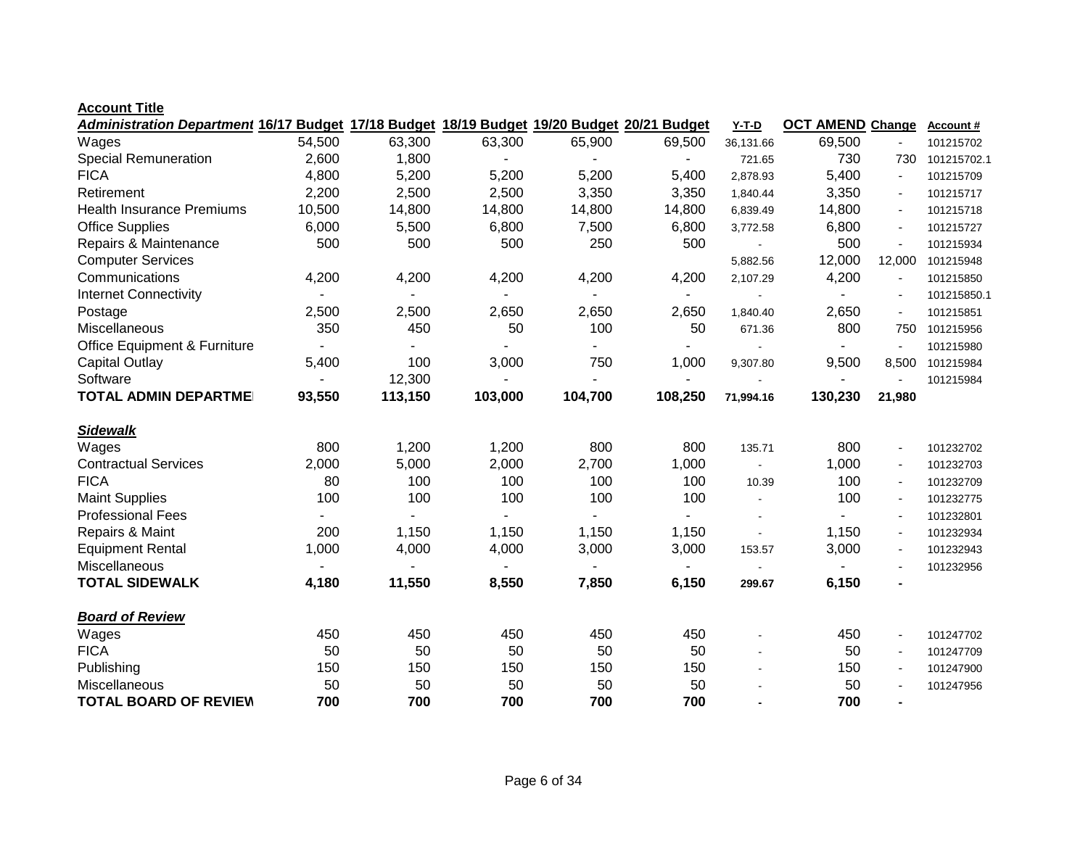| Administration Department 16/17 Budget 17/18 Budget 18/19 Budget 19/20 Budget 20/21 Budget |        |         |                |         |         | $Y-T-D$   | <b>OCT AMEND Change</b> |                | <b>Account#</b> |
|--------------------------------------------------------------------------------------------|--------|---------|----------------|---------|---------|-----------|-------------------------|----------------|-----------------|
| Wages                                                                                      | 54,500 | 63,300  | 63,300         | 65,900  | 69,500  | 36,131.66 | 69,500                  |                | 101215702       |
| <b>Special Remuneration</b>                                                                | 2,600  | 1,800   |                |         |         | 721.65    | 730                     | 730            | 101215702.1     |
| <b>FICA</b>                                                                                | 4,800  | 5,200   | 5,200          | 5,200   | 5,400   | 2,878.93  | 5,400                   | $\blacksquare$ | 101215709       |
| Retirement                                                                                 | 2,200  | 2,500   | 2,500          | 3,350   | 3,350   | 1,840.44  | 3,350                   | $\blacksquare$ | 101215717       |
| <b>Health Insurance Premiums</b>                                                           | 10,500 | 14,800  | 14,800         | 14,800  | 14,800  | 6,839.49  | 14,800                  |                | 101215718       |
| <b>Office Supplies</b>                                                                     | 6,000  | 5,500   | 6,800          | 7,500   | 6,800   | 3,772.58  | 6,800                   |                | 101215727       |
| Repairs & Maintenance                                                                      | 500    | 500     | 500            | 250     | 500     |           | 500                     |                | 101215934       |
| <b>Computer Services</b>                                                                   |        |         |                |         |         | 5,882.56  | 12,000                  | 12,000         | 101215948       |
| Communications                                                                             | 4,200  | 4,200   | 4,200          | 4,200   | 4,200   | 2,107.29  | 4,200                   |                | 101215850       |
| <b>Internet Connectivity</b>                                                               |        |         |                |         |         |           |                         | $\blacksquare$ | 101215850.1     |
| Postage                                                                                    | 2,500  | 2,500   | 2,650          | 2,650   | 2,650   | 1,840.40  | 2,650                   | $\blacksquare$ | 101215851       |
| Miscellaneous                                                                              | 350    | 450     | 50             | 100     | 50      | 671.36    | 800                     | 750            | 101215956       |
| <b>Office Equipment &amp; Furniture</b>                                                    |        |         |                |         |         |           |                         | $\blacksquare$ | 101215980       |
| <b>Capital Outlay</b>                                                                      | 5,400  | 100     | 3,000          | 750     | 1,000   | 9,307.80  | 9,500                   | 8,500          | 101215984       |
| Software                                                                                   |        | 12,300  |                |         |         |           |                         |                | 101215984       |
| <b>TOTAL ADMIN DEPARTME</b>                                                                | 93,550 | 113,150 | 103,000        | 104,700 | 108,250 | 71,994.16 | 130,230                 | 21,980         |                 |
|                                                                                            |        |         |                |         |         |           |                         |                |                 |
| <b>Sidewalk</b>                                                                            |        |         |                |         |         |           |                         |                |                 |
| Wages                                                                                      | 800    | 1,200   | 1,200          | 800     | 800     | 135.71    | 800                     | $\blacksquare$ | 101232702       |
| <b>Contractual Services</b>                                                                | 2,000  | 5,000   | 2,000          | 2,700   | 1,000   |           | 1,000                   | $\sim$         | 101232703       |
| <b>FICA</b>                                                                                | 80     | 100     | 100            | 100     | 100     | 10.39     | 100                     |                | 101232709       |
| <b>Maint Supplies</b>                                                                      | 100    | 100     | 100            | 100     | 100     |           | 100                     |                | 101232775       |
| <b>Professional Fees</b>                                                                   |        |         | $\blacksquare$ | Ξ.      |         |           |                         |                | 101232801       |
| Repairs & Maint                                                                            | 200    | 1,150   | 1,150          | 1,150   | 1,150   |           | 1,150                   | $\sim$         | 101232934       |
| <b>Equipment Rental</b>                                                                    | 1,000  | 4,000   | 4,000          | 3,000   | 3,000   | 153.57    | 3,000                   | $\sim$         | 101232943       |
| Miscellaneous                                                                              |        |         |                |         |         |           |                         |                | 101232956       |
| <b>TOTAL SIDEWALK</b>                                                                      | 4,180  | 11,550  | 8,550          | 7,850   | 6,150   | 299.67    | 6,150                   |                |                 |
| <b>Board of Review</b>                                                                     |        |         |                |         |         |           |                         |                |                 |
| Wages                                                                                      | 450    | 450     | 450            | 450     | 450     |           | 450                     | $\blacksquare$ | 101247702       |
| <b>FICA</b>                                                                                | 50     | 50      | 50             | 50      | 50      |           | 50                      |                | 101247709       |
| Publishing                                                                                 | 150    | 150     | 150            | 150     | 150     |           | 150                     |                | 101247900       |
| Miscellaneous                                                                              | 50     | 50      | 50             | 50      | 50      |           | 50                      |                | 101247956       |
| <b>TOTAL BOARD OF REVIEW</b>                                                               | 700    | 700     | 700            | 700     | 700     |           | 700                     |                |                 |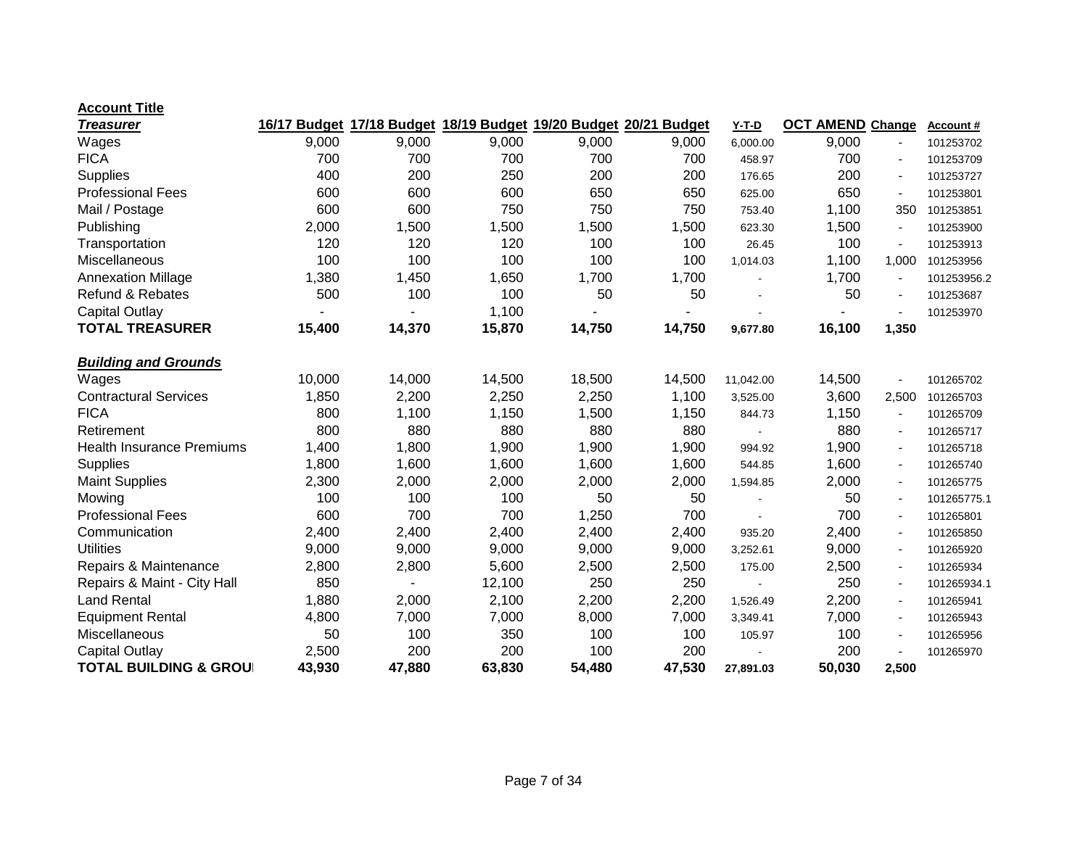| <u>Treasurer</u>                 | 16/17 Budget |        | 17/18 Budget 18/19 Budget 19/20 Budget 20/21 Budget |        |        | <b>Y-T-D</b> | <b>OCT AMEND Change</b> |                          | <b>Account #</b> |
|----------------------------------|--------------|--------|-----------------------------------------------------|--------|--------|--------------|-------------------------|--------------------------|------------------|
| Wages                            | 9,000        | 9,000  | 9,000                                               | 9,000  | 9,000  | 6,000.00     | 9,000                   |                          | 101253702        |
| <b>FICA</b>                      | 700          | 700    | 700                                                 | 700    | 700    | 458.97       | 700                     | $\blacksquare$           | 101253709        |
| <b>Supplies</b>                  | 400          | 200    | 250                                                 | 200    | 200    | 176.65       | 200                     |                          | 101253727        |
| <b>Professional Fees</b>         | 600          | 600    | 600                                                 | 650    | 650    | 625.00       | 650                     |                          | 101253801        |
| Mail / Postage                   | 600          | 600    | 750                                                 | 750    | 750    | 753.40       | 1,100                   | 350                      | 101253851        |
| Publishing                       | 2,000        | 1,500  | 1,500                                               | 1,500  | 1,500  | 623.30       | 1,500                   | $\blacksquare$           | 101253900        |
| Transportation                   | 120          | 120    | 120                                                 | 100    | 100    | 26.45        | 100                     |                          | 101253913        |
| Miscellaneous                    | 100          | 100    | 100                                                 | 100    | 100    | 1,014.03     | 1,100                   | 1,000                    | 101253956        |
| <b>Annexation Millage</b>        | 1,380        | 1,450  | 1,650                                               | 1,700  | 1,700  |              | 1,700                   | $\blacksquare$           | 101253956.2      |
| <b>Refund &amp; Rebates</b>      | 500          | 100    | 100                                                 | 50     | 50     |              | 50                      |                          | 101253687        |
| <b>Capital Outlay</b>            |              |        | 1,100                                               |        |        |              |                         |                          | 101253970        |
| <b>TOTAL TREASURER</b>           | 15,400       | 14,370 | 15,870                                              | 14,750 | 14,750 | 9,677.80     | 16,100                  | 1,350                    |                  |
| <b>Building and Grounds</b>      |              |        |                                                     |        |        |              |                         |                          |                  |
| Wages                            | 10,000       | 14,000 | 14,500                                              | 18,500 | 14,500 | 11,042.00    | 14,500                  |                          | 101265702        |
| <b>Contractural Services</b>     | 1,850        | 2,200  | 2,250                                               | 2,250  | 1,100  | 3,525.00     | 3,600                   | 2,500                    | 101265703        |
| <b>FICA</b>                      | 800          | 1,100  | 1,150                                               | 1,500  | 1,150  | 844.73       | 1,150                   | $\blacksquare$           | 101265709        |
| Retirement                       | 800          | 880    | 880                                                 | 880    | 880    |              | 880                     | $\blacksquare$           | 101265717        |
| <b>Health Insurance Premiums</b> | 1,400        | 1,800  | 1,900                                               | 1,900  | 1,900  | 994.92       | 1,900                   | $\overline{\phantom{a}}$ | 101265718        |
| <b>Supplies</b>                  | 1,800        | 1,600  | 1,600                                               | 1,600  | 1,600  | 544.85       | 1,600                   | $\blacksquare$           | 101265740        |
| <b>Maint Supplies</b>            | 2,300        | 2,000  | 2,000                                               | 2,000  | 2,000  | 1,594.85     | 2,000                   |                          | 101265775        |
| Mowing                           | 100          | 100    | 100                                                 | 50     | 50     |              | 50                      |                          | 101265775.1      |
| <b>Professional Fees</b>         | 600          | 700    | 700                                                 | 1,250  | 700    |              | 700                     | $\blacksquare$           | 101265801        |
| Communication                    | 2,400        | 2,400  | 2,400                                               | 2,400  | 2,400  | 935.20       | 2,400                   | $\blacksquare$           | 101265850        |
| <b>Utilities</b>                 | 9,000        | 9,000  | 9,000                                               | 9,000  | 9,000  | 3,252.61     | 9,000                   | $\blacksquare$           | 101265920        |
| Repairs & Maintenance            | 2,800        | 2,800  | 5,600                                               | 2,500  | 2,500  | 175.00       | 2,500                   | $\blacksquare$           | 101265934        |
| Repairs & Maint - City Hall      | 850          |        | 12,100                                              | 250    | 250    |              | 250                     | $\blacksquare$           | 101265934.1      |
| <b>Land Rental</b>               | 1,880        | 2,000  | 2,100                                               | 2,200  | 2,200  | 1,526.49     | 2,200                   |                          | 101265941        |
| <b>Equipment Rental</b>          | 4,800        | 7,000  | 7,000                                               | 8,000  | 7,000  | 3,349.41     | 7,000                   |                          | 101265943        |
| Miscellaneous                    | 50           | 100    | 350                                                 | 100    | 100    | 105.97       | 100                     | $\blacksquare$           | 101265956        |
| <b>Capital Outlay</b>            | 2,500        | 200    | 200                                                 | 100    | 200    |              | 200                     |                          | 101265970        |
| <b>TOTAL BUILDING &amp; GROU</b> | 43,930       | 47,880 | 63,830                                              | 54,480 | 47,530 | 27,891.03    | 50,030                  | 2,500                    |                  |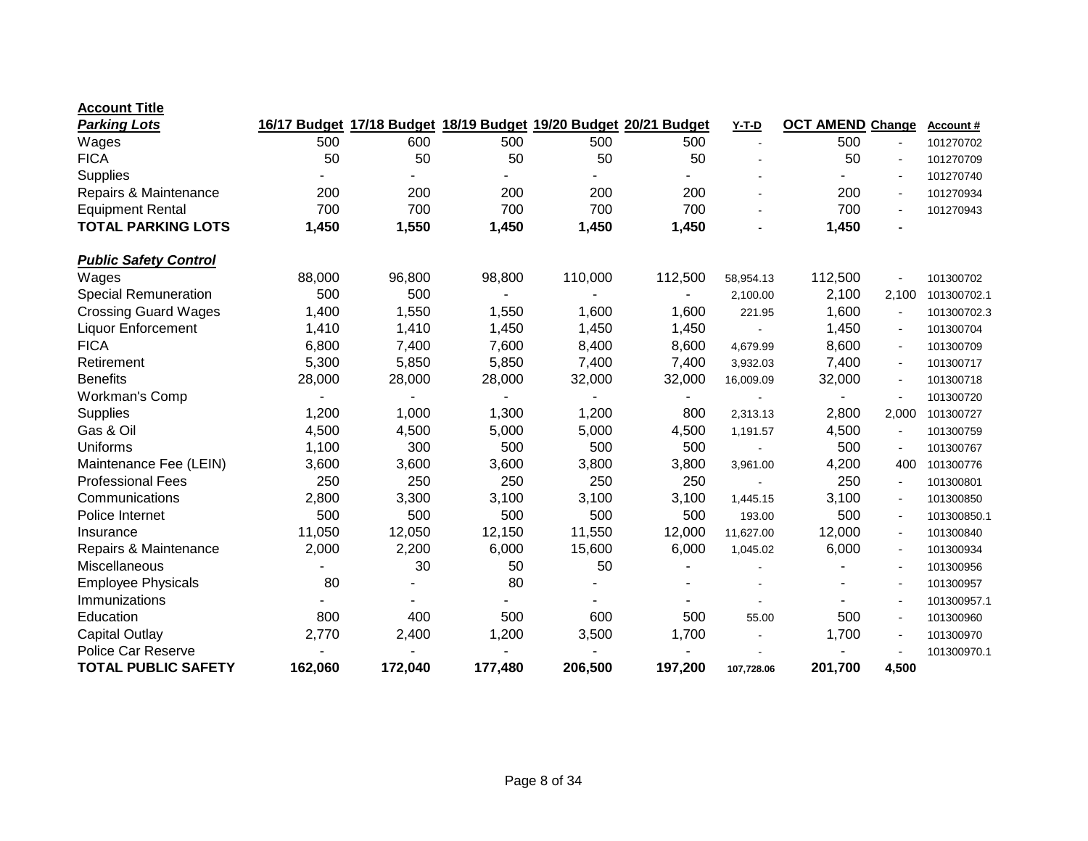| <b>Account Title</b>         |         |         |         |         |                                                                  |            |                         |                          |             |
|------------------------------|---------|---------|---------|---------|------------------------------------------------------------------|------------|-------------------------|--------------------------|-------------|
| <b>Parking Lots</b>          |         |         |         |         | 16/17 Budget 17/18 Budget 18/19 Budget 19/20 Budget 20/21 Budget | $Y-T-D$    | <b>OCT AMEND Change</b> |                          | Account#    |
| Wages                        | 500     | 600     | 500     | 500     | 500                                                              |            | 500                     |                          | 101270702   |
| <b>FICA</b>                  | 50      | 50      | 50      | 50      | 50                                                               |            | 50                      | $\blacksquare$           | 101270709   |
| Supplies                     |         |         |         |         |                                                                  |            |                         | $\overline{\phantom{a}}$ | 101270740   |
| Repairs & Maintenance        | 200     | 200     | 200     | 200     | 200                                                              |            | 200                     | $\overline{a}$           | 101270934   |
| <b>Equipment Rental</b>      | 700     | 700     | 700     | 700     | 700                                                              |            | 700                     | $\blacksquare$           | 101270943   |
| <b>TOTAL PARKING LOTS</b>    | 1,450   | 1,550   | 1,450   | 1,450   | 1,450                                                            |            | 1,450                   |                          |             |
| <b>Public Safety Control</b> |         |         |         |         |                                                                  |            |                         |                          |             |
| Wages                        | 88,000  | 96,800  | 98,800  | 110,000 | 112,500                                                          | 58,954.13  | 112,500                 |                          | 101300702   |
| <b>Special Remuneration</b>  | 500     | 500     |         |         |                                                                  | 2,100.00   | 2,100                   | 2,100                    | 101300702.1 |
| <b>Crossing Guard Wages</b>  | 1,400   | 1,550   | 1,550   | 1,600   | 1,600                                                            | 221.95     | 1,600                   | $\overline{\phantom{a}}$ | 101300702.3 |
| <b>Liquor Enforcement</b>    | 1,410   | 1,410   | 1,450   | 1,450   | 1,450                                                            |            | 1,450                   | $\overline{\phantom{a}}$ | 101300704   |
| <b>FICA</b>                  | 6,800   | 7,400   | 7,600   | 8,400   | 8,600                                                            | 4,679.99   | 8,600                   | $\blacksquare$           | 101300709   |
| Retirement                   | 5,300   | 5,850   | 5,850   | 7,400   | 7,400                                                            | 3,932.03   | 7,400                   | $\overline{a}$           | 101300717   |
| <b>Benefits</b>              | 28,000  | 28,000  | 28,000  | 32,000  | 32,000                                                           | 16,009.09  | 32,000                  | $\blacksquare$           | 101300718   |
| Workman's Comp               |         |         |         |         | $\blacksquare$                                                   |            |                         | $\blacksquare$           | 101300720   |
| Supplies                     | 1,200   | 1,000   | 1,300   | 1,200   | 800                                                              | 2,313.13   | 2,800                   | 2,000                    | 101300727   |
| Gas & Oil                    | 4,500   | 4,500   | 5,000   | 5,000   | 4,500                                                            | 1,191.57   | 4,500                   | $\overline{\phantom{a}}$ | 101300759   |
| Uniforms                     | 1,100   | 300     | 500     | 500     | 500                                                              |            | 500                     |                          | 101300767   |
| Maintenance Fee (LEIN)       | 3,600   | 3,600   | 3,600   | 3,800   | 3,800                                                            | 3,961.00   | 4,200                   | 400                      | 101300776   |
| <b>Professional Fees</b>     | 250     | 250     | 250     | 250     | 250                                                              |            | 250                     | $\blacksquare$           | 101300801   |
| Communications               | 2,800   | 3,300   | 3,100   | 3,100   | 3,100                                                            | 1,445.15   | 3,100                   |                          | 101300850   |
| Police Internet              | 500     | 500     | 500     | 500     | 500                                                              | 193.00     | 500                     | $\blacksquare$           | 101300850.1 |
| Insurance                    | 11,050  | 12,050  | 12,150  | 11,550  | 12,000                                                           | 11,627.00  | 12,000                  |                          | 101300840   |
| Repairs & Maintenance        | 2,000   | 2,200   | 6,000   | 15,600  | 6,000                                                            | 1,045.02   | 6,000                   | $\blacksquare$           | 101300934   |
| Miscellaneous                |         | 30      | 50      | 50      |                                                                  |            |                         |                          | 101300956   |
| <b>Employee Physicals</b>    | 80      |         | 80      |         |                                                                  |            |                         | $\overline{\phantom{a}}$ | 101300957   |
| Immunizations                |         |         |         |         |                                                                  |            |                         |                          | 101300957.1 |
| Education                    | 800     | 400     | 500     | 600     | 500                                                              | 55.00      | 500                     |                          | 101300960   |
| <b>Capital Outlay</b>        | 2,770   | 2,400   | 1,200   | 3,500   | 1,700                                                            |            | 1,700                   |                          | 101300970   |
| <b>Police Car Reserve</b>    |         |         |         |         |                                                                  |            |                         |                          | 101300970.1 |
| <b>TOTAL PUBLIC SAFETY</b>   | 162,060 | 172,040 | 177,480 | 206,500 | 197,200                                                          | 107,728.06 | 201,700                 | 4,500                    |             |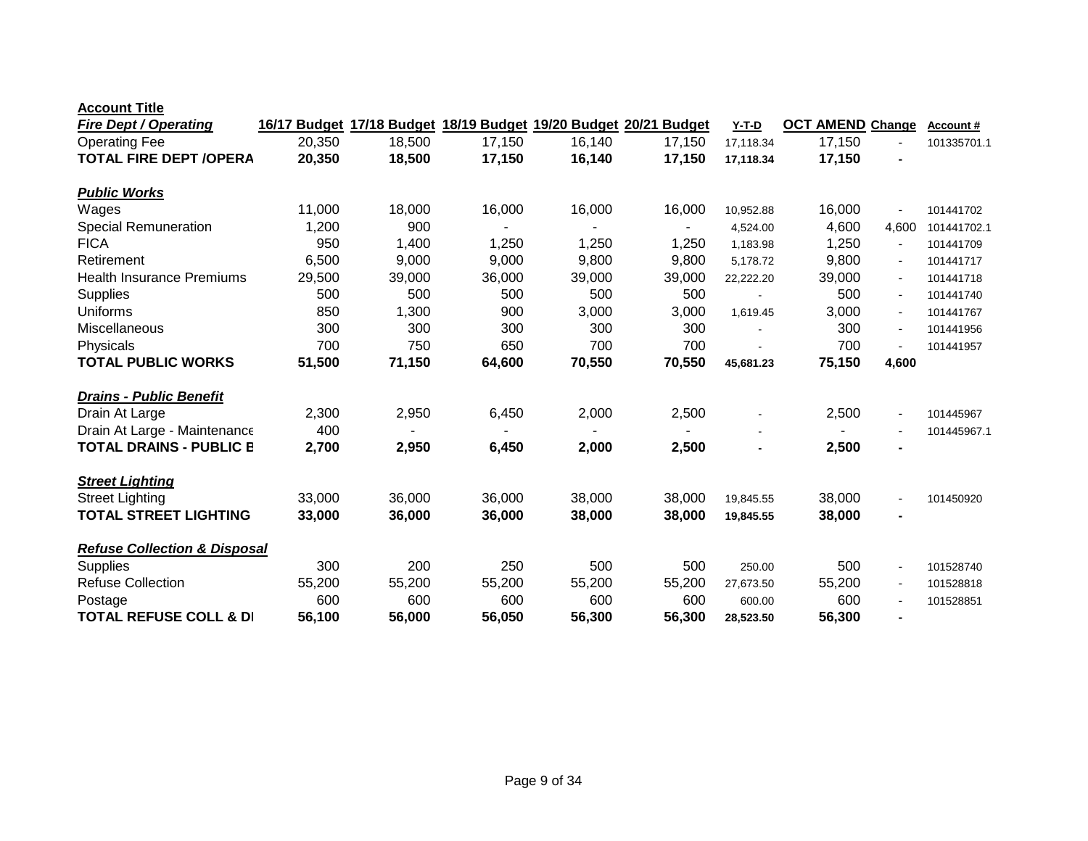| <b>Account Title</b> |  |  |  |  |
|----------------------|--|--|--|--|
|----------------------|--|--|--|--|

| <b>Fire Dept / Operating</b>            | 16/17 Budget |        | 17/18 Budget 18/19 Budget 19/20 Budget 20/21 Budget |        |        | Y-T-D     | <b>OCT AMEND Change</b> |                | <b>Account #</b> |
|-----------------------------------------|--------------|--------|-----------------------------------------------------|--------|--------|-----------|-------------------------|----------------|------------------|
| <b>Operating Fee</b>                    | 20,350       | 18,500 | 17,150                                              | 16,140 | 17,150 | 17,118.34 | 17,150                  | $\blacksquare$ | 101335701.1      |
| <b>TOTAL FIRE DEPT /OPERA</b>           | 20,350       | 18,500 | 17,150                                              | 16,140 | 17,150 | 17,118.34 | 17,150                  |                |                  |
|                                         |              |        |                                                     |        |        |           |                         |                |                  |
| <b>Public Works</b>                     |              |        |                                                     |        |        |           |                         |                |                  |
| Wages                                   | 11,000       | 18,000 | 16,000                                              | 16,000 | 16,000 | 10,952.88 | 16,000                  |                | 101441702        |
| <b>Special Remuneration</b>             | 1,200        | 900    |                                                     |        |        | 4,524.00  | 4,600                   | 4,600          | 101441702.1      |
| <b>FICA</b>                             | 950          | 1,400  | 1,250                                               | 1,250  | 1,250  | 1,183.98  | 1,250                   |                | 101441709        |
| Retirement                              | 6,500        | 9,000  | 9,000                                               | 9,800  | 9,800  | 5,178.72  | 9,800                   | $\blacksquare$ | 101441717        |
| <b>Health Insurance Premiums</b>        | 29,500       | 39,000 | 36,000                                              | 39,000 | 39,000 | 22,222.20 | 39,000                  |                | 101441718        |
| Supplies                                | 500          | 500    | 500                                                 | 500    | 500    |           | 500                     |                | 101441740        |
| <b>Uniforms</b>                         | 850          | 1,300  | 900                                                 | 3,000  | 3,000  | 1,619.45  | 3,000                   |                | 101441767        |
| Miscellaneous                           | 300          | 300    | 300                                                 | 300    | 300    |           | 300                     |                | 101441956        |
| Physicals                               | 700          | 750    | 650                                                 | 700    | 700    |           | 700                     |                | 101441957        |
| <b>TOTAL PUBLIC WORKS</b>               | 51,500       | 71,150 | 64,600                                              | 70,550 | 70,550 | 45,681.23 | 75,150                  | 4,600          |                  |
| <b>Drains - Public Benefit</b>          |              |        |                                                     |        |        |           |                         |                |                  |
| Drain At Large                          | 2,300        | 2,950  | 6,450                                               | 2,000  | 2,500  |           | 2,500                   |                | 101445967        |
| Drain At Large - Maintenance            | 400          | ٠      |                                                     |        |        |           |                         |                | 101445967.1      |
| <b>TOTAL DRAINS - PUBLIC E</b>          | 2,700        | 2,950  | 6,450                                               | 2,000  | 2,500  |           | 2,500                   | $\blacksquare$ |                  |
| <b>Street Lighting</b>                  |              |        |                                                     |        |        |           |                         |                |                  |
| <b>Street Lighting</b>                  | 33,000       | 36,000 | 36,000                                              | 38,000 | 38,000 | 19,845.55 | 38,000                  |                | 101450920        |
| <b>TOTAL STREET LIGHTING</b>            | 33,000       | 36,000 | 36,000                                              | 38,000 | 38,000 | 19,845.55 | 38,000                  |                |                  |
| <b>Refuse Collection &amp; Disposal</b> |              |        |                                                     |        |        |           |                         |                |                  |
|                                         | 300          | 200    | 250                                                 | 500    | 500    |           | 500                     |                |                  |
| <b>Supplies</b>                         |              |        |                                                     |        |        | 250.00    |                         |                | 101528740        |
| <b>Refuse Collection</b>                | 55,200       | 55,200 | 55,200                                              | 55,200 | 55,200 | 27,673.50 | 55,200                  | $\sim$         | 101528818        |
| Postage                                 | 600          | 600    | 600                                                 | 600    | 600    | 600.00    | 600                     |                | 101528851        |
| <b>TOTAL REFUSE COLL &amp; DI</b>       | 56,100       | 56,000 | 56,050                                              | 56,300 | 56,300 | 28,523.50 | 56,300                  | $\blacksquare$ |                  |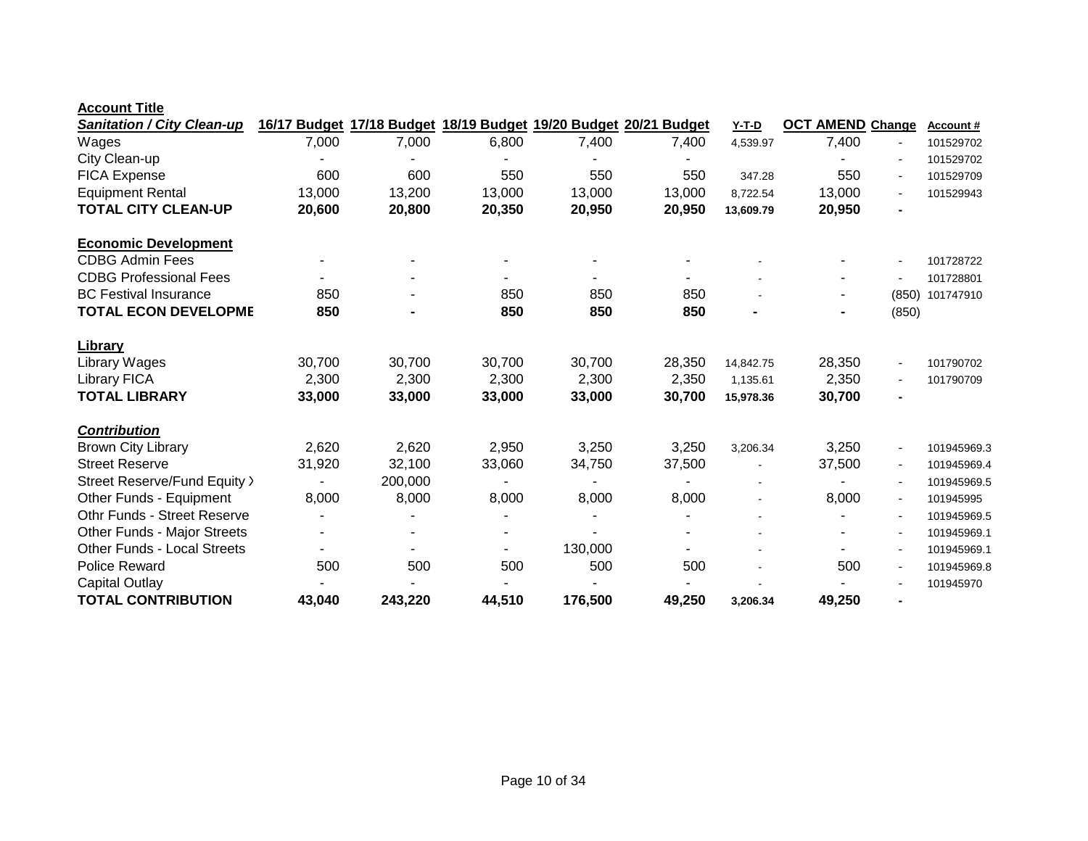| <b>Sanitation / City Clean-up</b>  |        |         |        |         | 16/17 Budget 17/18 Budget 18/19 Budget 19/20 Budget 20/21 Budget | <b>Y-T-D</b> | <b>OCT AMEND Change</b> |                | <b>Account #</b> |
|------------------------------------|--------|---------|--------|---------|------------------------------------------------------------------|--------------|-------------------------|----------------|------------------|
| Wages                              | 7,000  | 7,000   | 6,800  | 7,400   | 7,400                                                            | 4,539.97     | 7,400                   |                | 101529702        |
| City Clean-up                      |        |         |        |         |                                                                  |              |                         |                | 101529702        |
| <b>FICA Expense</b>                | 600    | 600     | 550    | 550     | 550                                                              | 347.28       | 550                     |                | 101529709        |
| <b>Equipment Rental</b>            | 13,000 | 13,200  | 13,000 | 13,000  | 13,000                                                           | 8,722.54     | 13,000                  |                | 101529943        |
| <b>TOTAL CITY CLEAN-UP</b>         | 20,600 | 20,800  | 20,350 | 20,950  | 20,950                                                           | 13,609.79    | 20,950                  |                |                  |
| <b>Economic Development</b>        |        |         |        |         |                                                                  |              |                         |                |                  |
| <b>CDBG Admin Fees</b>             |        |         |        |         |                                                                  |              |                         |                | 101728722        |
| <b>CDBG Professional Fees</b>      |        |         |        |         |                                                                  |              |                         |                | 101728801        |
| <b>BC Festival Insurance</b>       | 850    |         | 850    | 850     | 850                                                              |              |                         | (850)          | 101747910        |
| <b>TOTAL ECON DEVELOPME</b>        | 850    |         | 850    | 850     | 850                                                              |              |                         | (850)          |                  |
| <b>Library</b>                     |        |         |        |         |                                                                  |              |                         |                |                  |
| Library Wages                      | 30,700 | 30,700  | 30,700 | 30,700  | 28,350                                                           | 14,842.75    | 28,350                  | $\blacksquare$ | 101790702        |
| <b>Library FICA</b>                | 2,300  | 2,300   | 2,300  | 2,300   | 2,350                                                            | 1,135.61     | 2,350                   |                | 101790709        |
| <b>TOTAL LIBRARY</b>               | 33,000 | 33,000  | 33,000 | 33,000  | 30,700                                                           | 15,978.36    | 30,700                  |                |                  |
| <b>Contribution</b>                |        |         |        |         |                                                                  |              |                         |                |                  |
| <b>Brown City Library</b>          | 2,620  | 2,620   | 2,950  | 3,250   | 3,250                                                            | 3,206.34     | 3,250                   |                | 101945969.3      |
| <b>Street Reserve</b>              | 31,920 | 32,100  | 33,060 | 34,750  | 37,500                                                           |              | 37,500                  |                | 101945969.4      |
| Street Reserve/Fund Equity >       |        | 200,000 |        |         |                                                                  |              |                         |                | 101945969.5      |
| Other Funds - Equipment            | 8,000  | 8,000   | 8,000  | 8,000   | 8,000                                                            |              | 8,000                   | $\blacksquare$ | 101945995        |
| Othr Funds - Street Reserve        |        |         |        |         |                                                                  |              |                         |                | 101945969.5      |
| Other Funds - Major Streets        |        |         |        |         |                                                                  |              |                         |                | 101945969.1      |
| <b>Other Funds - Local Streets</b> |        |         |        | 130,000 |                                                                  |              |                         |                | 101945969.1      |
| <b>Police Reward</b>               | 500    | 500     | 500    | 500     | 500                                                              |              | 500                     |                | 101945969.8      |
| Capital Outlay                     |        |         |        |         |                                                                  |              |                         |                | 101945970        |
| <b>TOTAL CONTRIBUTION</b>          | 43,040 | 243,220 | 44,510 | 176,500 | 49,250                                                           | 3,206.34     | 49,250                  |                |                  |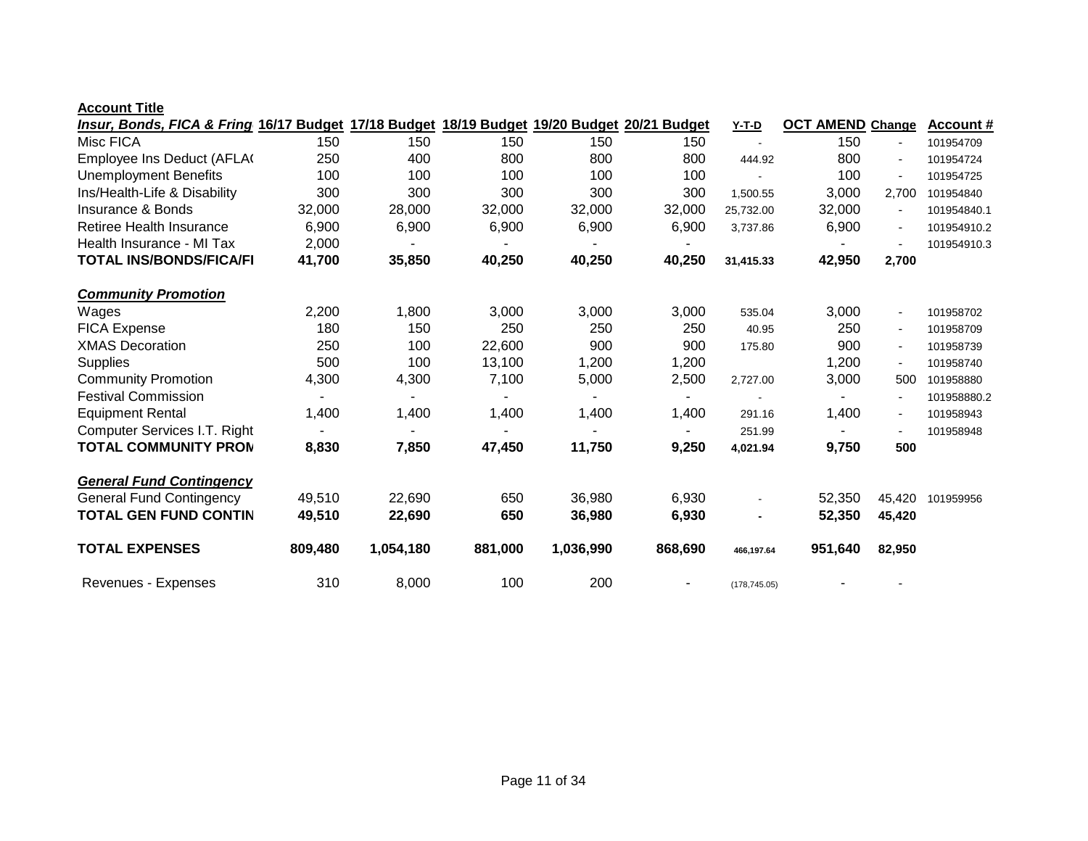| Insur, Bonds, FICA & Fring 16/17 Budget 17/18 Budget 18/19 Budget 19/20 Budget 20/21 Budget |         |           |         |           |         | <u>Y-T-D</u>  | <b>OCT AMEND Change</b> |                | <b>Account #</b> |
|---------------------------------------------------------------------------------------------|---------|-----------|---------|-----------|---------|---------------|-------------------------|----------------|------------------|
| Misc FICA                                                                                   | 150     | 150       | 150     | 150       | 150     |               | 150                     |                | 101954709        |
| Employee Ins Deduct (AFLA)                                                                  | 250     | 400       | 800     | 800       | 800     | 444.92        | 800                     | $\blacksquare$ | 101954724        |
| <b>Unemployment Benefits</b>                                                                | 100     | 100       | 100     | 100       | 100     |               | 100                     | $\blacksquare$ | 101954725        |
| Ins/Health-Life & Disability                                                                | 300     | 300       | 300     | 300       | 300     | 1,500.55      | 3,000                   | 2,700          | 101954840        |
| Insurance & Bonds                                                                           | 32,000  | 28,000    | 32,000  | 32,000    | 32,000  | 25,732.00     | 32,000                  |                | 101954840.1      |
| Retiree Health Insurance                                                                    | 6,900   | 6,900     | 6,900   | 6,900     | 6,900   | 3,737.86      | 6,900                   |                | 101954910.2      |
| Health Insurance - MI Tax                                                                   | 2,000   |           |         |           |         |               |                         |                | 101954910.3      |
| <b>TOTAL INS/BONDS/FICA/FI</b>                                                              | 41,700  | 35,850    | 40,250  | 40,250    | 40,250  | 31,415.33     | 42,950                  | 2,700          |                  |
| <b>Community Promotion</b>                                                                  |         |           |         |           |         |               |                         |                |                  |
| Wages                                                                                       | 2,200   | 1,800     | 3,000   | 3,000     | 3,000   | 535.04        | 3,000                   |                | 101958702        |
| <b>FICA Expense</b>                                                                         | 180     | 150       | 250     | 250       | 250     | 40.95         | 250                     | $\sim$         | 101958709        |
| <b>XMAS Decoration</b>                                                                      | 250     | 100       | 22,600  | 900       | 900     | 175.80        | 900                     |                | 101958739        |
| <b>Supplies</b>                                                                             | 500     | 100       | 13,100  | 1,200     | 1,200   |               | 1,200                   |                | 101958740        |
| <b>Community Promotion</b>                                                                  | 4,300   | 4,300     | 7,100   | 5,000     | 2,500   | 2,727.00      | 3,000                   | 500            | 101958880        |
| <b>Festival Commission</b>                                                                  |         |           |         |           |         |               |                         |                | 101958880.2      |
| <b>Equipment Rental</b>                                                                     | 1,400   | 1,400     | 1,400   | 1,400     | 1,400   | 291.16        | 1,400                   |                | 101958943        |
| Computer Services I.T. Right                                                                |         |           |         |           |         | 251.99        |                         |                | 101958948        |
| <b>TOTAL COMMUNITY PRON</b>                                                                 | 8,830   | 7,850     | 47,450  | 11,750    | 9,250   | 4,021.94      | 9,750                   | 500            |                  |
| <b>General Fund Contingency</b>                                                             |         |           |         |           |         |               |                         |                |                  |
| <b>General Fund Contingency</b>                                                             | 49,510  | 22,690    | 650     | 36,980    | 6,930   |               | 52,350                  | 45,420         | 101959956        |
| <b>TOTAL GEN FUND CONTIN</b>                                                                | 49,510  | 22,690    | 650     | 36,980    | 6,930   |               | 52,350                  | 45,420         |                  |
| <b>TOTAL EXPENSES</b>                                                                       | 809,480 | 1,054,180 | 881,000 | 1,036,990 | 868,690 | 466,197.64    | 951,640                 | 82,950         |                  |
| Revenues - Expenses                                                                         | 310     | 8,000     | 100     | 200       |         | (178, 745.05) |                         |                |                  |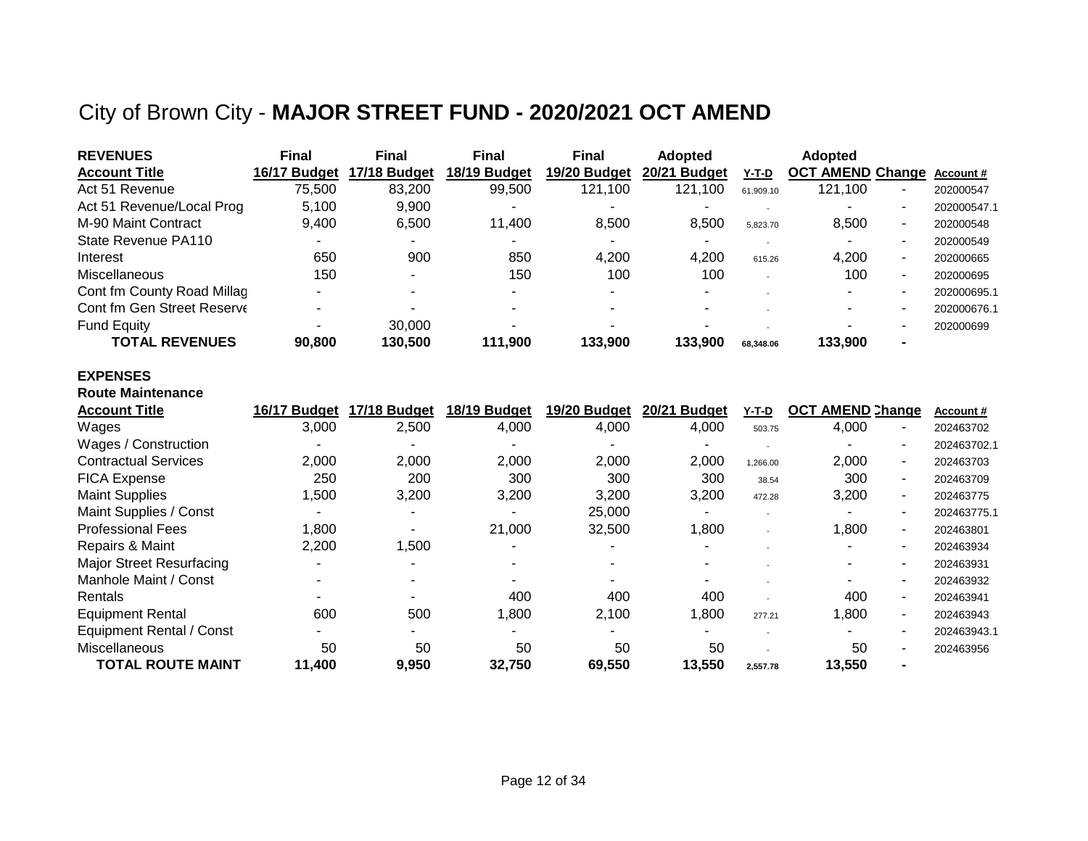## City of Brown City - **MAJOR STREET FUND - 2020/2021 OCT AMEND**

| <b>REVENUES</b>            | <b>Final</b>             | Final                    | <b>Final</b> | <b>Final</b> | <b>Adopted</b> |                          | <b>Adopted</b>          |    |             |
|----------------------------|--------------------------|--------------------------|--------------|--------------|----------------|--------------------------|-------------------------|----|-------------|
| <b>Account Title</b>       | 16/17 Budget             | 17/18 Budget             | 18/19 Budget | 19/20 Budget | 20/21 Budget   | Y-T-D                    | <b>OCT AMEND Change</b> |    | Account#    |
| Act 51 Revenue             | 75,500                   | 83.200                   | 99.500       | 121.100      | 121.100        | 61.909.10                | 121.100                 | -  | 202000547   |
| Act 51 Revenue/Local Prog  | 5.100                    | 9.900                    |              |              |                |                          |                         |    | 202000547.1 |
| M-90 Maint Contract        | 9.400                    | 6.500                    | 11.400       | 8.500        | 8.500          | 5.823.70                 | 8,500                   | ۰. | 202000548   |
| State Revenue PA110        |                          |                          |              | -            |                |                          |                         | -  | 202000549   |
| Interest                   | 650                      | 900                      | 850          | 4.200        | 4,200          | 615.26                   | 4.200                   | ۰. | 202000665   |
| Miscellaneous              | 150                      | $\overline{\phantom{0}}$ | 150          | 100          | 100            | $\overline{\phantom{a}}$ | 100                     | ۰. | 202000695   |
| Cont fm County Road Millag | $\overline{\phantom{a}}$ |                          |              | -            |                |                          |                         |    | 202000695.1 |
| Cont fm Gen Street Reserve |                          |                          |              |              |                |                          |                         |    | 202000676.1 |
| <b>Fund Equity</b>         |                          | 30,000                   |              |              |                |                          |                         |    | 202000699   |
| <b>TOTAL REVENUES</b>      | 90,800                   | 130.500                  | 111.900      | 133.900      | 133.900        | 68.348.06                | 133,900                 |    |             |

### **EXPENSES**

|  | <b>Route Maintenance</b> |
|--|--------------------------|
|  |                          |

| <b>Account Title</b>            | 16/17 Budget | 17/18 Budget | 18/19 Budget | 19/20 Budget | 20/21<br><b>Budget</b> | Y-T-D    | <b>OCT AMEND Change</b> | <b>Account #</b> |
|---------------------------------|--------------|--------------|--------------|--------------|------------------------|----------|-------------------------|------------------|
| Wages                           | 3,000        | 2,500        | 4,000        | 4,000        | 4,000                  | 503.75   | 4,000<br>-              | 202463702        |
| Wages / Construction            |              |              |              |              |                        |          |                         | 202463702.1      |
| <b>Contractual Services</b>     | 2,000        | 2,000        | 2,000        | 2,000        | 2,000                  | 1,266.00 | 2,000<br>۰              | 202463703        |
| <b>FICA Expense</b>             | 250          | 200          | 300          | 300          | 300                    | 38.54    | 300<br>-                | 202463709        |
| <b>Maint Supplies</b>           | 1,500        | 3,200        | 3,200        | 3,200        | 3,200                  | 472.28   | 3,200<br>۰              | 202463775        |
| Maint Supplies / Const          |              |              |              | 25,000       |                        |          | -                       | 202463775.1      |
| <b>Professional Fees</b>        | 1,800        |              | 21,000       | 32,500       | 1,800                  |          | 1,800                   | 202463801        |
| Repairs & Maint                 | 2,200        | ,500         |              |              |                        |          | -                       | 202463934        |
| <b>Major Street Resurfacing</b> |              |              |              |              |                        |          | -                       | 202463931        |
| Manhole Maint / Const           |              |              |              |              |                        |          |                         | 202463932        |
| Rentals                         |              |              | 400          | 400          | 400                    |          | 400<br>۰                | 202463941        |
| <b>Equipment Rental</b>         | 600          | 500          | 1,800        | 2,100        | 1,800                  | 277.21   | 1,800<br>-              | 202463943        |
| <b>Equipment Rental / Const</b> |              |              |              |              |                        |          |                         | 202463943.1      |
| Miscellaneous                   | 50           | 50           | 50           | 50           | 50                     |          | 50                      | 202463956        |
| TOTAL ROUTE MAINT               | 11,400       | 9,950        | 32,750       | 69,550       | 13,550                 | 2,557.78 | 13,550                  |                  |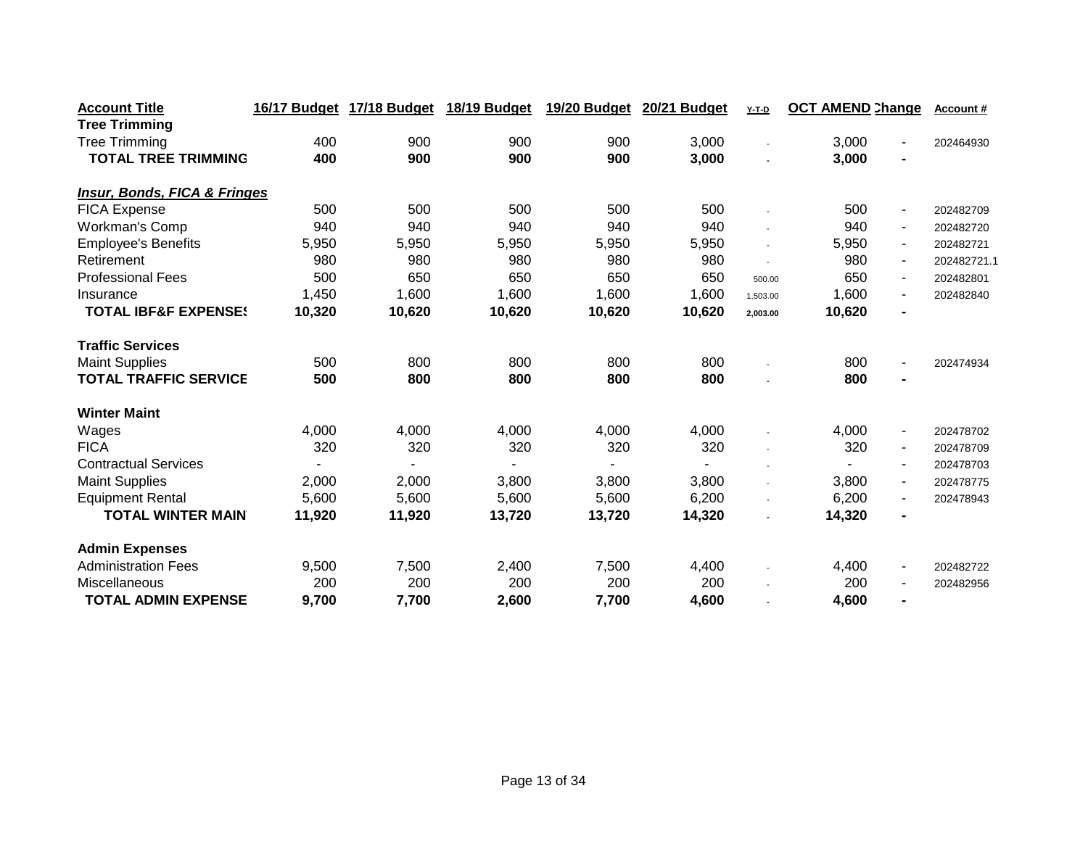| <b>Account Title</b>                    | 16/17 Budget | 17/18 Budget | 18/19 Budget | 19/20 Budget | 20/21 Budget | $Y-T-D$        | <b>OCT AMEND Change</b>  | Account#    |
|-----------------------------------------|--------------|--------------|--------------|--------------|--------------|----------------|--------------------------|-------------|
| <b>Tree Trimming</b>                    |              |              |              |              |              |                |                          |             |
| <b>Tree Trimming</b>                    | 400          | 900          | 900          | 900          | 3,000        |                | 3,000<br>ä,              | 202464930   |
| <b>TOTAL TREE TRIMMING</b>              | 400          | 900          | 900          | 900          | 3,000        |                | 3,000<br>$\blacksquare$  |             |
|                                         |              |              |              |              |              |                |                          |             |
| <b>Insur, Bonds, FICA &amp; Fringes</b> |              |              |              |              |              |                |                          |             |
| <b>FICA Expense</b>                     | 500          | 500          | 500          | 500          | 500          |                | 500<br>$\blacksquare$    | 202482709   |
| Workman's Comp                          | 940          | 940          | 940          | 940          | 940          |                | 940<br>$\blacksquare$    | 202482720   |
| <b>Employee's Benefits</b>              | 5,950        | 5,950        | 5,950        | 5,950        | 5,950        | ÷,             | 5,950<br>$\sim$          | 202482721   |
| Retirement                              | 980          | 980          | 980          | 980          | 980          | $\overline{a}$ | 980<br>$\sim$            | 202482721.1 |
| <b>Professional Fees</b>                | 500          | 650          | 650          | 650          | 650          | 500.00         | 650<br>$\blacksquare$    | 202482801   |
| Insurance                               | 1,450        | 1,600        | 1,600        | 1,600        | 1,600        | 1,503.00       | 1,600<br>$\blacksquare$  | 202482840   |
| <b>TOTAL IBF&amp;F EXPENSES</b>         | 10,320       | 10,620       | 10,620       | 10,620       | 10,620       | 2,003.00       | 10,620                   |             |
| <b>Traffic Services</b>                 |              |              |              |              |              |                |                          |             |
| <b>Maint Supplies</b>                   | 500          | 800          | 800          | 800          | 800          |                | 800<br>۰                 | 202474934   |
| <b>TOTAL TRAFFIC SERVICE</b>            | 500          | 800          | 800          | 800          | 800          |                | 800                      |             |
| <b>Winter Maint</b>                     |              |              |              |              |              |                |                          |             |
| Wages                                   | 4,000        | 4,000        | 4,000        | 4,000        | 4,000        |                | 4,000<br>$\blacksquare$  | 202478702   |
| <b>FICA</b>                             | 320          | 320          | 320          | 320          | 320          |                | 320<br>$\blacksquare$    | 202478709   |
| <b>Contractual Services</b>             |              |              |              |              |              |                | $\sim$                   | 202478703   |
| <b>Maint Supplies</b>                   | 2,000        | 2,000        | 3,800        | 3,800        | 3,800        | $\blacksquare$ | 3,800<br>$\sim$          | 202478775   |
| <b>Equipment Rental</b>                 | 5,600        | 5,600        | 5,600        | 5,600        | 6,200        |                | 6,200<br>$\sim$          | 202478943   |
| <b>TOTAL WINTER MAIN</b>                | 11,920       | 11,920       | 13,720       | 13,720       | 14,320       |                | 14,320<br>$\blacksquare$ |             |
| <b>Admin Expenses</b>                   |              |              |              |              |              |                |                          |             |
| <b>Administration Fees</b>              | 9,500        | 7,500        | 2,400        | 7,500        | 4,400        |                | 4,400<br>$\blacksquare$  | 202482722   |
| Miscellaneous                           | 200          | 200          | 200          | 200          | 200          |                | 200<br>$\blacksquare$    | 202482956   |
| <b>TOTAL ADMIN EXPENSE</b>              | 9,700        | 7,700        | 2,600        | 7,700        | 4,600        |                | 4,600<br>$\blacksquare$  |             |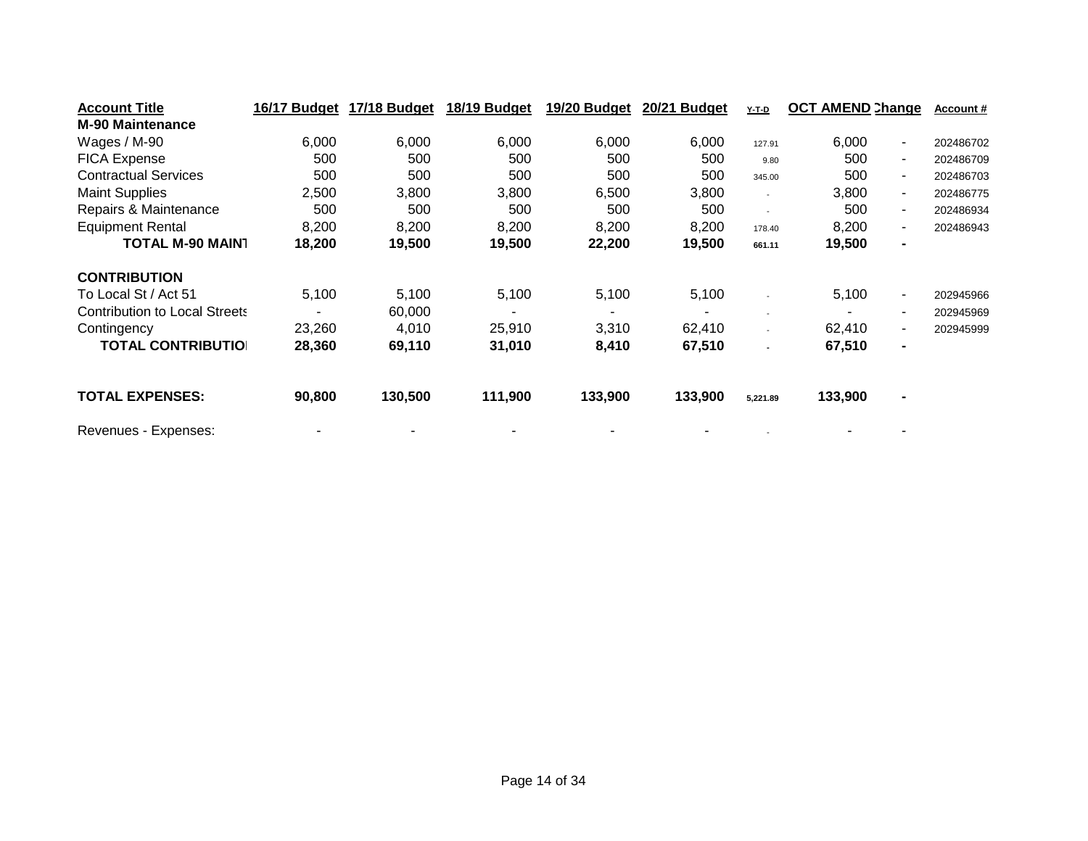| <b>Account Title</b>                 | 16/17 Budget | 17/18 Budget | 18/19 Budget | 19/20 Budget | 20/21 Budget   | <u>Y-T-D</u>             | <b>OCT AMEND Change</b>           | <b>Account #</b> |
|--------------------------------------|--------------|--------------|--------------|--------------|----------------|--------------------------|-----------------------------------|------------------|
| <b>M-90 Maintenance</b>              |              |              |              |              |                |                          |                                   |                  |
| Wages / M-90                         | 6,000        | 6,000        | 6,000        | 6,000        | 6,000          | 127.91                   | 6,000<br>$\blacksquare$           | 202486702        |
| <b>FICA Expense</b>                  | 500          | 500          | 500          | 500          | 500            | 9.80                     | 500<br>$\sim$                     | 202486709        |
| <b>Contractual Services</b>          | 500          | 500          | 500          | 500          | 500            | 345.00                   | 500<br>$\blacksquare$             | 202486703        |
| <b>Maint Supplies</b>                | 2,500        | 3,800        | 3,800        | 6,500        | 3,800          | $\sim$                   | 3,800<br>$\blacksquare$           | 202486775        |
| Repairs & Maintenance                | 500          | 500          | 500          | 500          | 500            | $\overline{\phantom{a}}$ | 500<br>۰.                         | 202486934        |
| <b>Equipment Rental</b>              | 8,200        | 8,200        | 8,200        | 8,200        | 8,200          | 178.40                   | 8,200<br>$\overline{\phantom{a}}$ | 202486943        |
| <b>TOTAL M-90 MAIN1</b>              | 18,200       | 19,500       | 19,500       | 22,200       | 19,500         | 661.11                   | 19,500<br>$\blacksquare$          |                  |
| <b>CONTRIBUTION</b>                  |              |              |              |              |                |                          |                                   |                  |
| To Local St / Act 51                 | 5,100        | 5,100        | 5,100        | 5,100        | 5,100          | $\overline{\phantom{a}}$ | 5,100<br>$\sim$                   | 202945966        |
| <b>Contribution to Local Streets</b> |              | 60,000       |              |              | $\blacksquare$ | $\overline{\phantom{a}}$ | $\sim$                            | 202945969        |
| Contingency                          | 23,260       | 4,010        | 25,910       | 3,310        | 62,410         | $\blacksquare$           | 62,410<br>$\sim$                  | 202945999        |
| <b>TOTAL CONTRIBUTIOI</b>            | 28,360       | 69,110       | 31,010       | 8,410        | 67,510         |                          | 67,510<br>$\blacksquare$          |                  |
| <b>TOTAL EXPENSES:</b>               | 90,800       | 130,500      | 111,900      | 133,900      | 133,900        | 5,221.89                 | 133,900<br>$\blacksquare$         |                  |
| Revenues - Expenses:                 |              |              |              |              |                |                          |                                   |                  |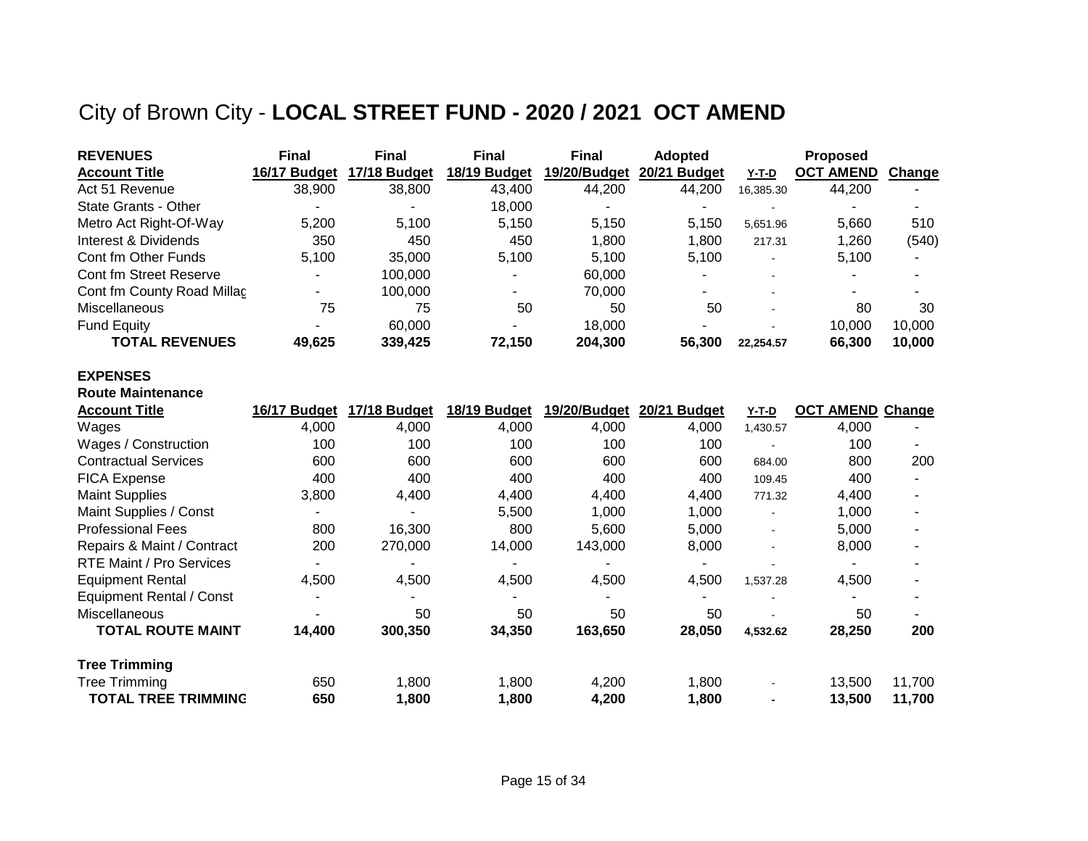## City of Brown City - **LOCAL STREET FUND - 2020 / 2021 OCT AMEND**

| <b>REVENUES</b>            | <b>Final</b> | <b>Final</b> | <b>Final</b> | <b>Final</b> | <b>Adopted</b> |                | <b>Proposed</b>  |        |
|----------------------------|--------------|--------------|--------------|--------------|----------------|----------------|------------------|--------|
| <b>Account Title</b>       | 16/17 Budget | 17/18 Budget | 18/19 Budget | 19/20/Budget | 20/21 Budget   | Y-T-D          | <b>OCT AMEND</b> | Change |
| Act 51 Revenue             | 38,900       | 38,800       | 43,400       | 44,200       | 44,200         | 16.385.30      | 44,200           |        |
| State Grants - Other       |              |              | 18.000       |              |                |                |                  |        |
| Metro Act Right-Of-Way     | 5,200        | 5,100        | 5.150        | 5,150        | 5.150          | 5.651.96       | 5,660            | 510    |
| Interest & Dividends       | 350          | 450          | 450          | 1.800        | 1.800          | 217.31         | 1,260            | (540)  |
| Cont fm Other Funds        | 5,100        | 35,000       | 5.100        | 5.100        | 5.100          | $\blacksquare$ | 5,100            |        |
| Cont fm Street Reserve     |              | 100.000      |              | 60.000       |                |                |                  |        |
| Cont fm County Road Millac |              | 100.000      |              | 70.000       |                |                |                  |        |
| <b>Miscellaneous</b>       | 75           | 75           | 50           | 50           | 50             |                | 80               | 30     |
| <b>Fund Equity</b>         |              | 60,000       |              | 18.000       |                |                | 10,000           | 10.000 |
| <b>TOTAL REVENUES</b>      | 49,625       | 339,425      | 72,150       | 204.300      | 56,300         | 22.254.57      | 66,300           | 10,000 |

#### **EXPENSES Route Maintenance**

| <b>Route Maintenance</b>    |              |              |              |              |              |                |                         |                          |
|-----------------------------|--------------|--------------|--------------|--------------|--------------|----------------|-------------------------|--------------------------|
| <b>Account Title</b>        | 16/17 Budget | 17/18 Budget | 18/19 Budget | 19/20/Budget | 20/21 Budget | <u>Y-T-D</u>   | <b>OCT AMEND Change</b> |                          |
| Wages                       | 4,000        | 4,000        | 4,000        | 4,000        | 4,000        | 1,430.57       | 4,000                   |                          |
| Wages / Construction        | 100          | 100          | 100          | 100          | 100          |                | 100                     | $\overline{\phantom{a}}$ |
| <b>Contractual Services</b> | 600          | 600          | 600          | 600          | 600          | 684.00         | 800                     | 200                      |
| <b>FICA Expense</b>         | 400          | 400          | 400          | 400          | 400          | 109.45         | 400                     |                          |
| <b>Maint Supplies</b>       | 3,800        | 4,400        | 4,400        | 4,400        | 4,400        | 771.32         | 4,400                   | $\overline{\phantom{a}}$ |
| Maint Supplies / Const      |              |              | 5,500        | 1,000        | 1,000        | $\blacksquare$ | 1,000                   |                          |
| <b>Professional Fees</b>    | 800          | 16,300       | 800          | 5,600        | 5,000        | $\blacksquare$ | 5,000                   | $\overline{\phantom{a}}$ |
| Repairs & Maint / Contract  | 200          | 270,000      | 14,000       | 143,000      | 8,000        |                | 8,000                   | ۰                        |
| RTE Maint / Pro Services    |              |              |              |              |              |                |                         |                          |
| <b>Equipment Rental</b>     | 4,500        | 4,500        | 4,500        | 4,500        | 4,500        | 1,537.28       | 4,500                   |                          |
| Equipment Rental / Const    |              |              |              |              |              |                |                         |                          |
| <b>Miscellaneous</b>        |              | 50           | 50           | 50           | 50           |                | 50                      |                          |
| <b>TOTAL ROUTE MAINT</b>    | 14,400       | 300,350      | 34,350       | 163,650      | 28,050       | 4,532.62       | 28,250                  | 200                      |
| <b>Tree Trimming</b>        |              |              |              |              |              |                |                         |                          |
| <b>Tree Trimming</b>        | 650          | 1,800        | 1,800        | 4,200        | 1,800        |                | 13,500                  | 11,700                   |
| <b>TOTAL TREE TRIMMING</b>  | 650          | 1,800        | 1,800        | 4,200        | 1,800        |                | 13,500                  | 11,700                   |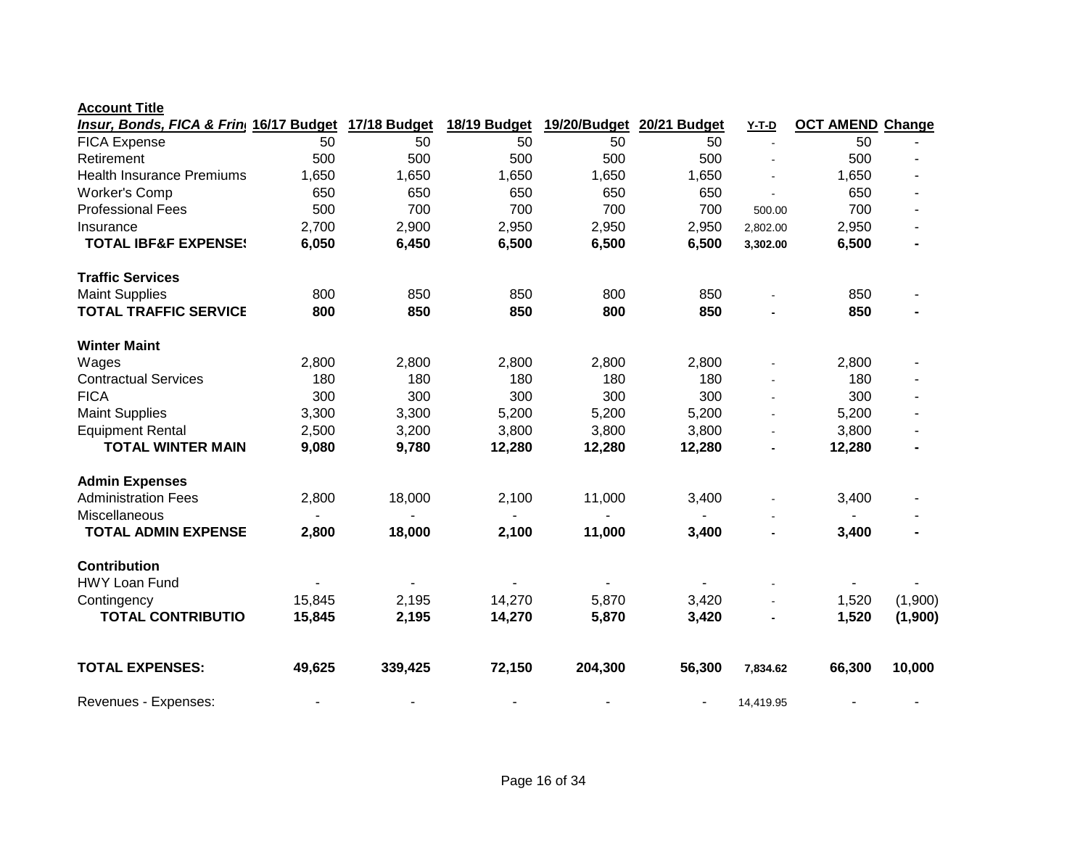| 50<br>50<br><b>FICA Expense</b><br>50<br>50<br>50<br>50<br>500<br>500<br>500<br>500<br>500<br>500<br>Retirement<br>$\overline{a}$<br><b>Health Insurance Premiums</b><br>1,650<br>1,650<br>1,650<br>1,650<br>1,650<br>1,650<br>650<br><b>Worker's Comp</b><br>650<br>650<br>650<br>650<br>650<br>500<br>700<br>700<br>700<br>700<br><b>Professional Fees</b><br>700<br>500.00<br>2,700<br>2,900<br>2,950<br>2,950<br>2,950<br>2,950<br>Insurance<br>2,802.00<br>6,050<br>6,450<br>6,500<br>6,500<br>6,500<br>6,500<br><b>TOTAL IBF&amp;F EXPENSE!</b><br>3,302.00<br><b>Traffic Services</b><br><b>Maint Supplies</b><br>850<br>800<br>850<br>850<br>800<br>850<br><b>TOTAL TRAFFIC SERVICE</b><br>850<br>850<br>850<br>850<br>800<br>800<br><b>Winter Maint</b><br>2,800<br>2,800<br>2,800<br>2,800<br>2,800<br>2,800<br>Wages<br><b>Contractual Services</b><br>180<br>180<br>180<br>180<br>180<br>180<br><b>FICA</b><br>300<br>300<br>300<br>300<br>300<br>300<br>$\sim$<br><b>Maint Supplies</b><br>5,200<br>3,300<br>3,300<br>5,200<br>5,200<br>5,200<br>$\blacksquare$<br><b>Equipment Rental</b><br>2,500<br>3,200<br>3,800<br>3,800<br>3,800<br>3,800<br>÷,<br><b>TOTAL WINTER MAIN</b><br>9,080<br>12,280<br>12,280<br>12,280<br>12,280<br>9,780<br><b>Admin Expenses</b><br><b>Administration Fees</b><br>2,100<br>11,000<br>2,800<br>18,000<br>3,400<br>3,400<br><b>Miscellaneous</b><br>$\blacksquare$<br><b>TOTAL ADMIN EXPENSE</b><br>2,800<br>18,000<br>3,400<br>2,100<br>11,000<br>3,400<br>-<br><b>Contribution</b><br><b>HWY Loan Fund</b><br>5,870<br>1,520<br>15,845<br>2,195<br>14,270<br>3,420<br>Contingency<br><b>TOTAL CONTRIBUTIO</b><br>14,270<br>5,870<br>1,520<br>15,845<br>2,195<br>3,420<br><b>TOTAL EXPENSES:</b><br>49,625<br>339,425<br>72,150<br>204,300<br>56,300<br>66,300<br>10,000<br>7,834.62 | Insur, Bonds, FICA & Frin 16/17 Budget | 17/18 Budget | 18/19 Budget | 19/20/Budget | 20/21 Budget | <b>Y-T-D</b> | <b>OCT AMEND Change</b> |         |
|---------------------------------------------------------------------------------------------------------------------------------------------------------------------------------------------------------------------------------------------------------------------------------------------------------------------------------------------------------------------------------------------------------------------------------------------------------------------------------------------------------------------------------------------------------------------------------------------------------------------------------------------------------------------------------------------------------------------------------------------------------------------------------------------------------------------------------------------------------------------------------------------------------------------------------------------------------------------------------------------------------------------------------------------------------------------------------------------------------------------------------------------------------------------------------------------------------------------------------------------------------------------------------------------------------------------------------------------------------------------------------------------------------------------------------------------------------------------------------------------------------------------------------------------------------------------------------------------------------------------------------------------------------------------------------------------------------------------------------------------------------------------------------------------------------------------------------------|----------------------------------------|--------------|--------------|--------------|--------------|--------------|-------------------------|---------|
|                                                                                                                                                                                                                                                                                                                                                                                                                                                                                                                                                                                                                                                                                                                                                                                                                                                                                                                                                                                                                                                                                                                                                                                                                                                                                                                                                                                                                                                                                                                                                                                                                                                                                                                                                                                                                                       |                                        |              |              |              |              |              |                         |         |
|                                                                                                                                                                                                                                                                                                                                                                                                                                                                                                                                                                                                                                                                                                                                                                                                                                                                                                                                                                                                                                                                                                                                                                                                                                                                                                                                                                                                                                                                                                                                                                                                                                                                                                                                                                                                                                       |                                        |              |              |              |              |              |                         |         |
|                                                                                                                                                                                                                                                                                                                                                                                                                                                                                                                                                                                                                                                                                                                                                                                                                                                                                                                                                                                                                                                                                                                                                                                                                                                                                                                                                                                                                                                                                                                                                                                                                                                                                                                                                                                                                                       |                                        |              |              |              |              |              |                         |         |
|                                                                                                                                                                                                                                                                                                                                                                                                                                                                                                                                                                                                                                                                                                                                                                                                                                                                                                                                                                                                                                                                                                                                                                                                                                                                                                                                                                                                                                                                                                                                                                                                                                                                                                                                                                                                                                       |                                        |              |              |              |              |              |                         |         |
|                                                                                                                                                                                                                                                                                                                                                                                                                                                                                                                                                                                                                                                                                                                                                                                                                                                                                                                                                                                                                                                                                                                                                                                                                                                                                                                                                                                                                                                                                                                                                                                                                                                                                                                                                                                                                                       |                                        |              |              |              |              |              |                         |         |
|                                                                                                                                                                                                                                                                                                                                                                                                                                                                                                                                                                                                                                                                                                                                                                                                                                                                                                                                                                                                                                                                                                                                                                                                                                                                                                                                                                                                                                                                                                                                                                                                                                                                                                                                                                                                                                       |                                        |              |              |              |              |              |                         |         |
|                                                                                                                                                                                                                                                                                                                                                                                                                                                                                                                                                                                                                                                                                                                                                                                                                                                                                                                                                                                                                                                                                                                                                                                                                                                                                                                                                                                                                                                                                                                                                                                                                                                                                                                                                                                                                                       |                                        |              |              |              |              |              |                         |         |
|                                                                                                                                                                                                                                                                                                                                                                                                                                                                                                                                                                                                                                                                                                                                                                                                                                                                                                                                                                                                                                                                                                                                                                                                                                                                                                                                                                                                                                                                                                                                                                                                                                                                                                                                                                                                                                       |                                        |              |              |              |              |              |                         |         |
|                                                                                                                                                                                                                                                                                                                                                                                                                                                                                                                                                                                                                                                                                                                                                                                                                                                                                                                                                                                                                                                                                                                                                                                                                                                                                                                                                                                                                                                                                                                                                                                                                                                                                                                                                                                                                                       |                                        |              |              |              |              |              |                         |         |
|                                                                                                                                                                                                                                                                                                                                                                                                                                                                                                                                                                                                                                                                                                                                                                                                                                                                                                                                                                                                                                                                                                                                                                                                                                                                                                                                                                                                                                                                                                                                                                                                                                                                                                                                                                                                                                       |                                        |              |              |              |              |              |                         |         |
|                                                                                                                                                                                                                                                                                                                                                                                                                                                                                                                                                                                                                                                                                                                                                                                                                                                                                                                                                                                                                                                                                                                                                                                                                                                                                                                                                                                                                                                                                                                                                                                                                                                                                                                                                                                                                                       |                                        |              |              |              |              |              |                         |         |
|                                                                                                                                                                                                                                                                                                                                                                                                                                                                                                                                                                                                                                                                                                                                                                                                                                                                                                                                                                                                                                                                                                                                                                                                                                                                                                                                                                                                                                                                                                                                                                                                                                                                                                                                                                                                                                       |                                        |              |              |              |              |              |                         |         |
|                                                                                                                                                                                                                                                                                                                                                                                                                                                                                                                                                                                                                                                                                                                                                                                                                                                                                                                                                                                                                                                                                                                                                                                                                                                                                                                                                                                                                                                                                                                                                                                                                                                                                                                                                                                                                                       |                                        |              |              |              |              |              |                         |         |
|                                                                                                                                                                                                                                                                                                                                                                                                                                                                                                                                                                                                                                                                                                                                                                                                                                                                                                                                                                                                                                                                                                                                                                                                                                                                                                                                                                                                                                                                                                                                                                                                                                                                                                                                                                                                                                       |                                        |              |              |              |              |              |                         |         |
|                                                                                                                                                                                                                                                                                                                                                                                                                                                                                                                                                                                                                                                                                                                                                                                                                                                                                                                                                                                                                                                                                                                                                                                                                                                                                                                                                                                                                                                                                                                                                                                                                                                                                                                                                                                                                                       |                                        |              |              |              |              |              |                         |         |
|                                                                                                                                                                                                                                                                                                                                                                                                                                                                                                                                                                                                                                                                                                                                                                                                                                                                                                                                                                                                                                                                                                                                                                                                                                                                                                                                                                                                                                                                                                                                                                                                                                                                                                                                                                                                                                       |                                        |              |              |              |              |              |                         |         |
|                                                                                                                                                                                                                                                                                                                                                                                                                                                                                                                                                                                                                                                                                                                                                                                                                                                                                                                                                                                                                                                                                                                                                                                                                                                                                                                                                                                                                                                                                                                                                                                                                                                                                                                                                                                                                                       |                                        |              |              |              |              |              |                         |         |
|                                                                                                                                                                                                                                                                                                                                                                                                                                                                                                                                                                                                                                                                                                                                                                                                                                                                                                                                                                                                                                                                                                                                                                                                                                                                                                                                                                                                                                                                                                                                                                                                                                                                                                                                                                                                                                       |                                        |              |              |              |              |              |                         |         |
|                                                                                                                                                                                                                                                                                                                                                                                                                                                                                                                                                                                                                                                                                                                                                                                                                                                                                                                                                                                                                                                                                                                                                                                                                                                                                                                                                                                                                                                                                                                                                                                                                                                                                                                                                                                                                                       |                                        |              |              |              |              |              |                         |         |
|                                                                                                                                                                                                                                                                                                                                                                                                                                                                                                                                                                                                                                                                                                                                                                                                                                                                                                                                                                                                                                                                                                                                                                                                                                                                                                                                                                                                                                                                                                                                                                                                                                                                                                                                                                                                                                       |                                        |              |              |              |              |              |                         |         |
|                                                                                                                                                                                                                                                                                                                                                                                                                                                                                                                                                                                                                                                                                                                                                                                                                                                                                                                                                                                                                                                                                                                                                                                                                                                                                                                                                                                                                                                                                                                                                                                                                                                                                                                                                                                                                                       |                                        |              |              |              |              |              |                         |         |
|                                                                                                                                                                                                                                                                                                                                                                                                                                                                                                                                                                                                                                                                                                                                                                                                                                                                                                                                                                                                                                                                                                                                                                                                                                                                                                                                                                                                                                                                                                                                                                                                                                                                                                                                                                                                                                       |                                        |              |              |              |              |              |                         |         |
|                                                                                                                                                                                                                                                                                                                                                                                                                                                                                                                                                                                                                                                                                                                                                                                                                                                                                                                                                                                                                                                                                                                                                                                                                                                                                                                                                                                                                                                                                                                                                                                                                                                                                                                                                                                                                                       |                                        |              |              |              |              |              |                         |         |
|                                                                                                                                                                                                                                                                                                                                                                                                                                                                                                                                                                                                                                                                                                                                                                                                                                                                                                                                                                                                                                                                                                                                                                                                                                                                                                                                                                                                                                                                                                                                                                                                                                                                                                                                                                                                                                       |                                        |              |              |              |              |              |                         | (1,900) |
|                                                                                                                                                                                                                                                                                                                                                                                                                                                                                                                                                                                                                                                                                                                                                                                                                                                                                                                                                                                                                                                                                                                                                                                                                                                                                                                                                                                                                                                                                                                                                                                                                                                                                                                                                                                                                                       |                                        |              |              |              |              |              |                         | (1,900) |
|                                                                                                                                                                                                                                                                                                                                                                                                                                                                                                                                                                                                                                                                                                                                                                                                                                                                                                                                                                                                                                                                                                                                                                                                                                                                                                                                                                                                                                                                                                                                                                                                                                                                                                                                                                                                                                       |                                        |              |              |              |              |              |                         |         |
|                                                                                                                                                                                                                                                                                                                                                                                                                                                                                                                                                                                                                                                                                                                                                                                                                                                                                                                                                                                                                                                                                                                                                                                                                                                                                                                                                                                                                                                                                                                                                                                                                                                                                                                                                                                                                                       | Revenues - Expenses:                   |              |              |              |              | 14,419.95    |                         |         |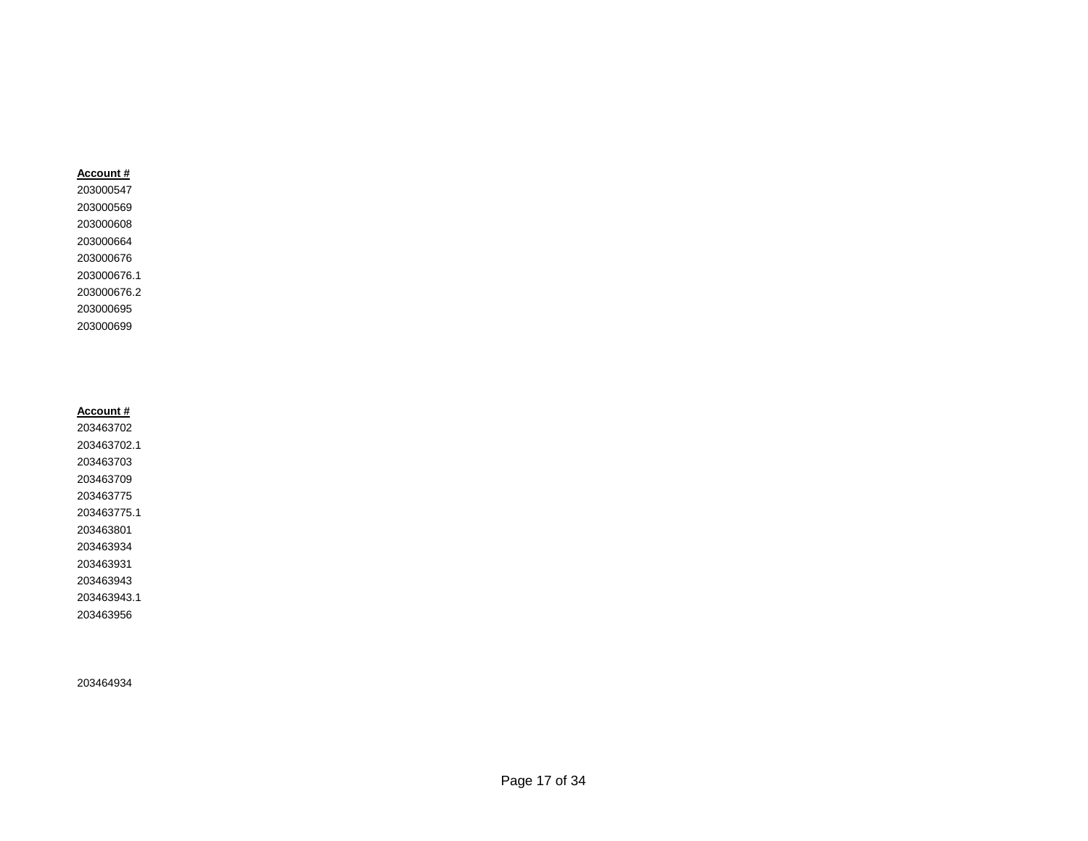### **Account #**

**Account #** 

203463943.1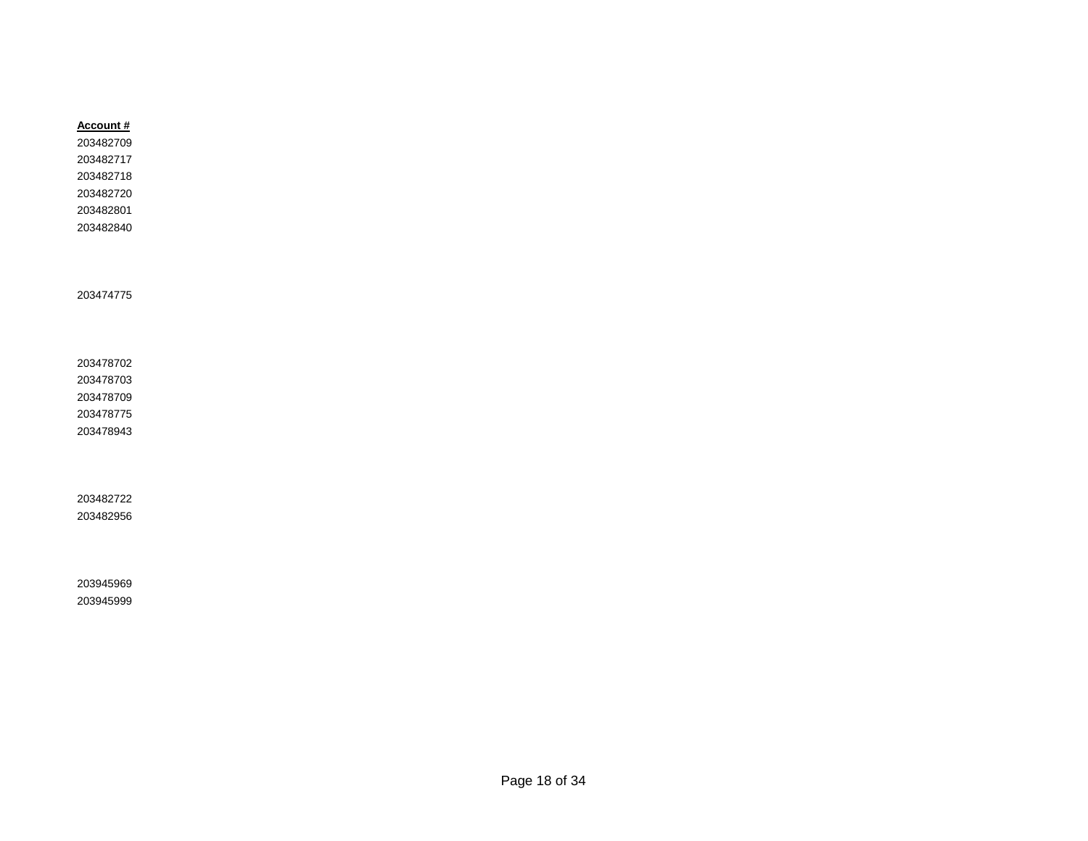| Account # |
|-----------|
| 203482709 |
| 203482717 |
| 203482718 |
| 203482720 |
| 203482801 |
| 203482840 |
|           |
|           |
|           |
| 203474775 |
|           |
|           |
|           |
| 203478702 |
| 203478703 |
| 203478709 |
| 203478775 |
| 203478943 |
|           |
|           |
|           |
| 203482722 |
| 203482956 |
|           |
|           |
|           |
| 203945969 |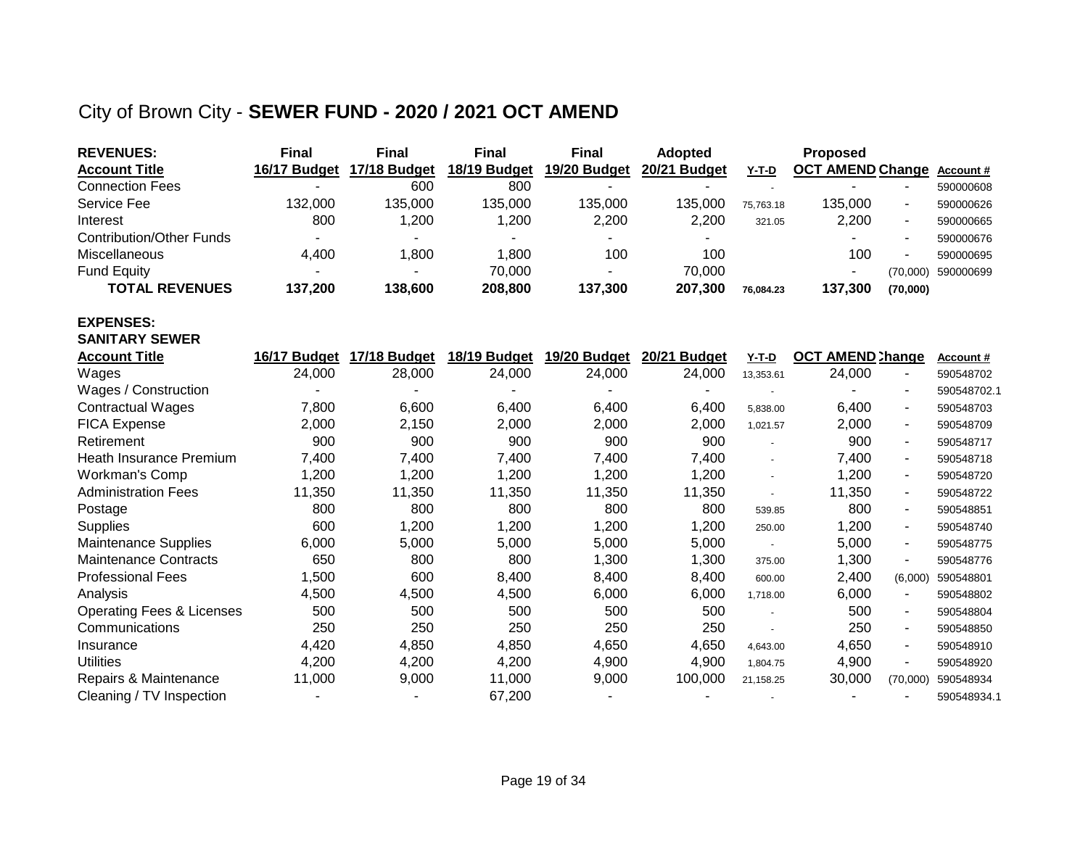## City of Brown City - **SEWER FUND - 2020 / 2021 OCT AMEND**

| <b>REVENUES:</b>                     | <b>Final</b> | <b>Final</b>   | <b>Final</b> | <b>Final</b>   | <b>Adopted</b> |              | <b>Proposed</b>         |                          |             |
|--------------------------------------|--------------|----------------|--------------|----------------|----------------|--------------|-------------------------|--------------------------|-------------|
| <b>Account Title</b>                 | 16/17 Budget | 17/18 Budget   | 18/19 Budget | 19/20 Budget   | 20/21 Budget   | <b>Y-T-D</b> | <b>OCT AMEND Change</b> |                          | Account#    |
| <b>Connection Fees</b>               |              | 600            | 800          |                |                |              |                         |                          | 590000608   |
| <b>Service Fee</b>                   | 132,000      | 135,000        | 135,000      | 135,000        | 135,000        | 75,763.18    | 135,000                 | $\blacksquare$           | 590000626   |
| Interest                             | 800          | 1,200          | 1,200        | 2,200          | 2,200          | 321.05       | 2,200                   | $\overline{\phantom{a}}$ | 590000665   |
| <b>Contribution/Other Funds</b>      |              |                |              |                |                |              |                         | $\blacksquare$           | 590000676   |
| Miscellaneous                        | 4,400        | 1,800          | 1,800        | 100            | 100            |              | 100                     |                          | 590000695   |
| <b>Fund Equity</b>                   |              |                | 70,000       | $\overline{a}$ | 70,000         |              |                         | (70,000)                 | 590000699   |
| <b>TOTAL REVENUES</b>                | 137,200      | 138,600        | 208,800      | 137,300        | 207,300        | 76,084.23    | 137,300                 | (70,000)                 |             |
| <b>EXPENSES:</b>                     |              |                |              |                |                |              |                         |                          |             |
| <b>SANITARY SEWER</b>                |              |                |              |                |                |              |                         |                          |             |
| <b>Account Title</b>                 | 16/17 Budget | 17/18 Budget   | 18/19 Budget | 19/20 Budget   | 20/21 Budget   | $Y-T-D$      | <b>OCT AMEND Change</b> |                          | Account#    |
| Wages                                | 24,000       | 28,000         | 24,000       | 24,000         | 24,000         | 13,353.61    | 24,000                  |                          | 590548702   |
| Wages / Construction                 |              |                |              |                |                |              |                         |                          | 590548702.1 |
| <b>Contractual Wages</b>             | 7,800        | 6,600          | 6,400        | 6,400          | 6,400          | 5,838.00     | 6,400                   | $\blacksquare$           | 590548703   |
| <b>FICA Expense</b>                  | 2,000        | 2,150          | 2,000        | 2,000          | 2,000          | 1,021.57     | 2,000                   | $\overline{\phantom{a}}$ | 590548709   |
| Retirement                           | 900          | 900            | 900          | 900            | 900            | $\sim$       | 900                     |                          | 590548717   |
| Heath Insurance Premium              | 7,400        | 7,400          | 7,400        | 7,400          | 7,400          |              | 7,400                   | $\sim$                   | 590548718   |
| Workman's Comp                       | 1,200        | 1,200          | 1,200        | 1,200          | 1,200          |              | 1,200                   | $\overline{\phantom{a}}$ | 590548720   |
| <b>Administration Fees</b>           | 11,350       | 11,350         | 11,350       | 11,350         | 11,350         |              | 11,350                  | $\overline{\phantom{a}}$ | 590548722   |
| Postage                              | 800          | 800            | 800          | 800            | 800            | 539.85       | 800                     |                          | 590548851   |
| <b>Supplies</b>                      | 600          | 1,200          | 1,200        | 1,200          | 1,200          | 250.00       | 1,200                   | $\blacksquare$           | 590548740   |
| <b>Maintenance Supplies</b>          | 6,000        | 5,000          | 5,000        | 5,000          | 5,000          | $\sim$       | 5,000                   | $\blacksquare$           | 590548775   |
| <b>Maintenance Contracts</b>         | 650          | 800            | 800          | 1,300          | 1,300          | 375.00       | 1,300                   | $\blacksquare$           | 590548776   |
| <b>Professional Fees</b>             | 1,500        | 600            | 8,400        | 8,400          | 8,400          | 600.00       | 2,400                   | (6,000)                  | 590548801   |
| Analysis                             | 4,500        | 4,500          | 4,500        | 6,000          | 6,000          | 1,718.00     | 6,000                   |                          | 590548802   |
| <b>Operating Fees &amp; Licenses</b> | 500          | 500            | 500          | 500            | 500            |              | 500                     | ۰                        | 590548804   |
| Communications                       | 250          | 250            | 250          | 250            | 250            |              | 250                     |                          | 590548850   |
| Insurance                            | 4,420        | 4,850          | 4,850        | 4,650          | 4,650          | 4,643.00     | 4,650                   | $\overline{\phantom{a}}$ | 590548910   |
| <b>Utilities</b>                     | 4,200        | 4,200          | 4,200        | 4,900          | 4,900          | 1,804.75     | 4,900                   | $\overline{a}$           | 590548920   |
| Repairs & Maintenance                | 11,000       | 9,000          | 11,000       | 9,000          | 100,000        | 21,158.25    | 30,000                  | (70,000)                 | 590548934   |
| Cleaning / TV Inspection             |              | $\blacksquare$ | 67,200       |                |                |              |                         |                          | 590548934.1 |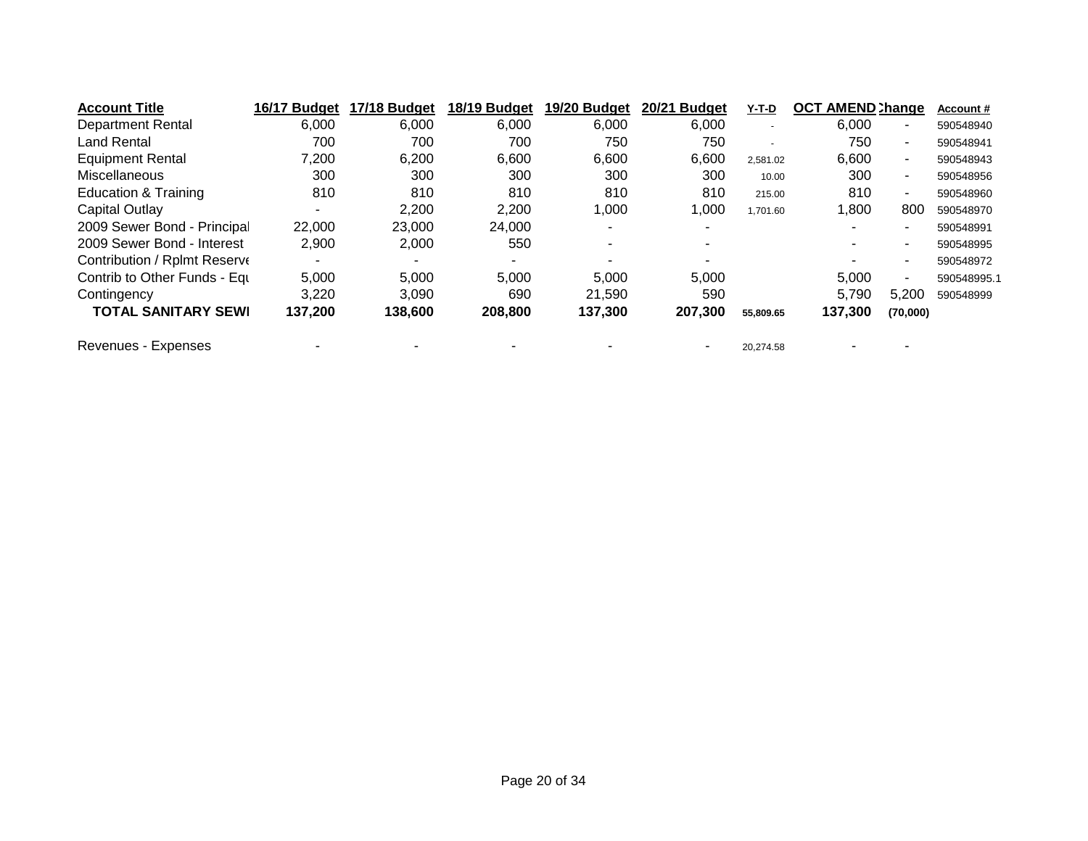| <b>Account Title</b>         | 16/17 Budget | 17/18 Budget | 18/19 Budget | 19/20 Budget | 20/21 Budget | Y-T-D     | <b>OCT AMEND Change</b> |          | Account#    |
|------------------------------|--------------|--------------|--------------|--------------|--------------|-----------|-------------------------|----------|-------------|
| <b>Department Rental</b>     | 6,000        | 6,000        | 6,000        | 6,000        | 6,000        |           | 6,000                   | ٠        | 590548940   |
| <b>Land Rental</b>           | 700          | 700          | 700          | 750          | 750          | ٠         | 750                     | ۰.       | 590548941   |
| <b>Equipment Rental</b>      | 7,200        | 6,200        | 6,600        | 6,600        | 6,600        | 2,581.02  | 6,600                   | ۰.       | 590548943   |
| Miscellaneous                | 300          | 300          | 300          | 300          | 300          | 10.00     | 300                     | $\sim$   | 590548956   |
| Education & Training         | 810          | 810          | 810          | 810          | 810          | 215.00    | 810                     | ٠        | 590548960   |
| Capital Outlay               | ٠            | 2,200        | 2,200        | 1,000        | 1,000        | 1,701.60  | 1,800                   | 800      | 590548970   |
| 2009 Sewer Bond - Principal  | 22,000       | 23,000       | 24,000       |              |              |           |                         |          | 590548991   |
| 2009 Sewer Bond - Interest   | 2,900        | 2,000        | 550          |              |              |           |                         | ۰.       | 590548995   |
| Contribution / Rplmt Reserve |              |              |              |              |              |           |                         |          | 590548972   |
| Contrib to Other Funds - Equ | 5,000        | 5,000        | 5,000        | 5.000        | 5.000        |           | 5.000                   | ٠        | 590548995.1 |
| Contingency                  | 3,220        | 3,090        | 690          | 21.590       | 590          |           | 5.790                   | 5,200    | 590548999   |
| <b>TOTAL SANITARY SEWI</b>   | 137,200      | 138,600      | 208,800      | 137,300      | 207,300      | 55,809.65 | 137,300                 | (70,000) |             |
| Revenues - Expenses          |              |              |              |              |              | 20,274.58 |                         |          |             |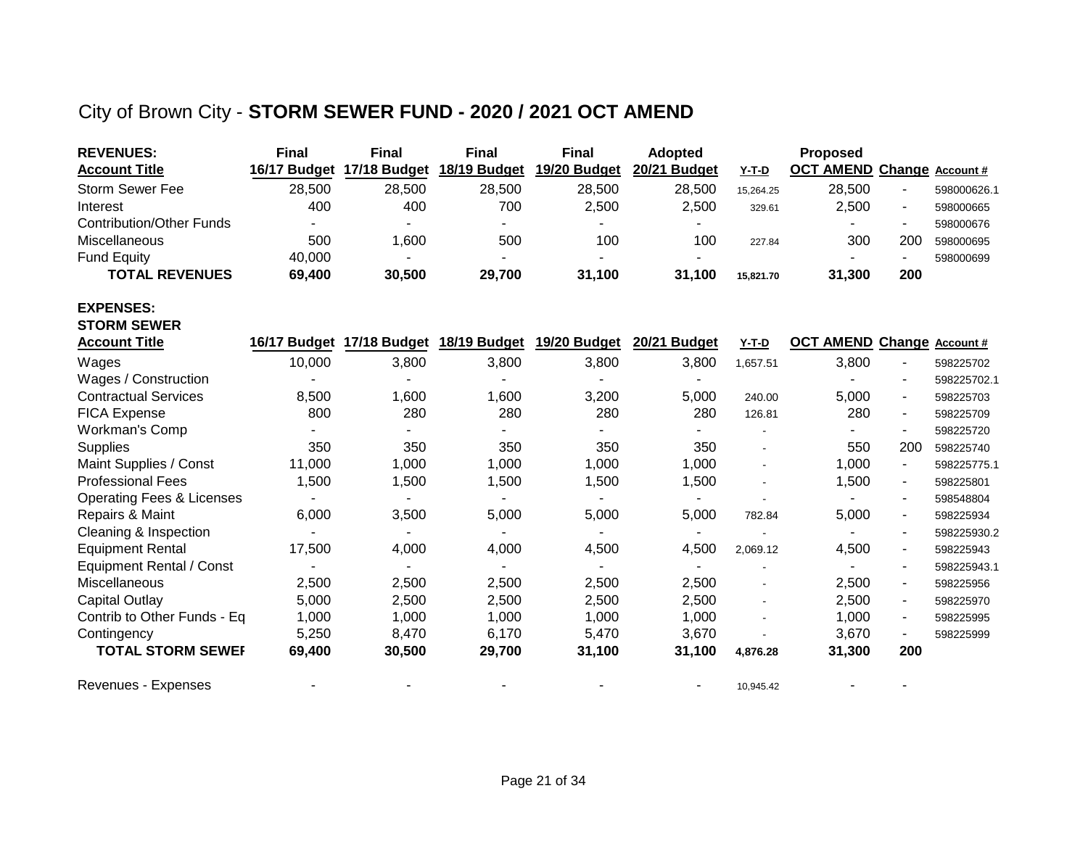## City of Brown City - **STORM SEWER FUND - 2020 / 2021 OCT AMEND**

| <b>REVENUES:</b>                     | <b>Final</b> | <b>Final</b>              | <b>Final</b> | <b>Final</b>              | Adopted      |           | Proposed                   |                |             |
|--------------------------------------|--------------|---------------------------|--------------|---------------------------|--------------|-----------|----------------------------|----------------|-------------|
| <b>Account Title</b>                 | 16/17 Budget | 17/18 Budget              | 18/19 Budget | 19/20 Budget              | 20/21 Budget | Y-T-D     | OCT AMEND Change Account # |                |             |
| <b>Storm Sewer Fee</b>               | 28,500       | 28,500                    | 28,500       | 28,500                    | 28,500       | 15,264.25 | 28,500                     |                | 598000626.1 |
| Interest                             | 400          | 400                       | 700          | 2,500                     | 2,500        | 329.61    | 2,500                      | $\blacksquare$ | 598000665   |
| <b>Contribution/Other Funds</b>      |              |                           |              |                           |              |           |                            |                | 598000676   |
| Miscellaneous                        | 500          | 1,600                     | 500          | 100                       | 100          | 227.84    | 300                        | 200            | 598000695   |
| <b>Fund Equity</b>                   | 40,000       |                           |              |                           |              |           |                            | $\sim$         | 598000699   |
| <b>TOTAL REVENUES</b>                | 69,400       | 30,500                    | 29,700       | 31,100                    | 31,100       | 15,821.70 | 31,300                     | 200            |             |
| <b>EXPENSES:</b>                     |              |                           |              |                           |              |           |                            |                |             |
| <b>STORM SEWER</b>                   |              |                           |              |                           |              |           |                            |                |             |
| <b>Account Title</b>                 |              | 16/17 Budget 17/18 Budget |              | 18/19 Budget 19/20 Budget | 20/21 Budget | $Y-T-D$   | OCT AMEND Change Account # |                |             |
| Wages                                | 10,000       | 3,800                     | 3,800        | 3,800                     | 3,800        | 1,657.51  | 3,800                      |                | 598225702   |
| Wages / Construction                 |              |                           |              |                           |              |           |                            | -              | 598225702.1 |
| <b>Contractual Services</b>          | 8,500        | 1,600                     | 1,600        | 3,200                     | 5,000        | 240.00    | 5,000                      | $\blacksquare$ | 598225703   |
| <b>FICA Expense</b>                  | 800          | 280                       | 280          | 280                       | 280          | 126.81    | 280                        | $\blacksquare$ | 598225709   |
| <b>Workman's Comp</b>                |              |                           |              |                           |              |           |                            |                | 598225720   |
| Supplies                             | 350          | 350                       | 350          | 350                       | 350          |           | 550                        | 200            | 598225740   |
| Maint Supplies / Const               | 11,000       | 1,000                     | 1,000        | 1,000                     | 1,000        |           | 1,000                      | $\blacksquare$ | 598225775.1 |
| <b>Professional Fees</b>             | 1,500        | 1,500                     | 1,500        | 1,500                     | 1,500        |           | 1,500                      | $\blacksquare$ | 598225801   |
| <b>Operating Fees &amp; Licenses</b> |              |                           |              |                           | ٠            |           |                            | $\blacksquare$ | 598548804   |
| Repairs & Maint                      | 6,000        | 3,500                     | 5,000        | 5,000                     | 5,000        | 782.84    | 5,000                      | $\blacksquare$ | 598225934   |
| Cleaning & Inspection                |              |                           |              |                           |              |           |                            |                | 598225930.2 |
| <b>Equipment Rental</b>              | 17,500       | 4,000                     | 4,000        | 4,500                     | 4,500        | 2,069.12  | 4,500                      | $\blacksquare$ | 598225943   |
| Equipment Rental / Const             |              | $\blacksquare$            |              |                           | ٠            |           | $\blacksquare$             |                | 598225943.1 |
| Miscellaneous                        | 2,500        | 2,500                     | 2,500        | 2,500                     | 2,500        |           | 2,500                      | $\blacksquare$ | 598225956   |
| Capital Outlay                       | 5,000        | 2,500                     | 2,500        | 2,500                     | 2,500        |           | 2,500                      | $\blacksquare$ | 598225970   |
| Contrib to Other Funds - Eq          | 1,000        | 1,000                     | 1,000        | 1,000                     | 1,000        |           | 1,000                      |                | 598225995   |
| Contingency                          | 5,250        | 8,470                     | 6,170        | 5,470                     | 3,670        |           | 3,670                      |                | 598225999   |
| <b>TOTAL STORM SEWEF</b>             | 69,400       | 30,500                    | 29,700       | 31,100                    | 31,100       | 4,876.28  | 31,300                     | 200            |             |
| <b>Revenues - Expenses</b>           |              |                           |              |                           |              | 10,945.42 |                            |                |             |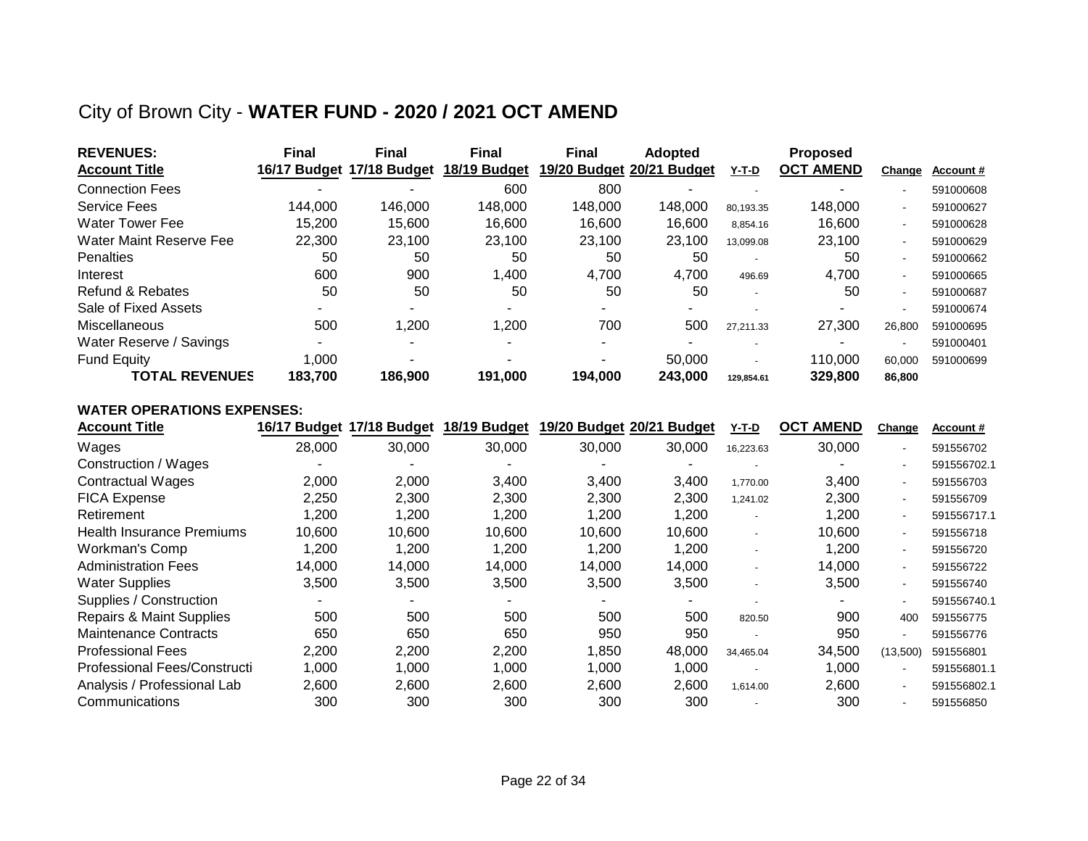### City of Brown City - **WATER FUND - 2020 / 2021 OCT AMEND**

| <b>REVENUES:</b>        | <b>Final</b> | <b>Final</b>              | Final                    | <b>Final</b> | <b>Adopted</b>            |                          | <b>Proposed</b>  |        |           |
|-------------------------|--------------|---------------------------|--------------------------|--------------|---------------------------|--------------------------|------------------|--------|-----------|
| <b>Account Title</b>    |              | 16/17 Budget 17/18 Budget | 18/19 Budget             |              | 19/20 Budget 20/21 Budget | Y-T-D                    | <b>OCT AMEND</b> | Change | Account#  |
| <b>Connection Fees</b>  | -            |                           | 600                      | 800          |                           |                          |                  |        | 591000608 |
| <b>Service Fees</b>     | 144,000      | 146,000                   | 148,000                  | 148,000      | 148,000                   | 80,193.35                | 148,000          | $\sim$ | 591000627 |
| <b>Water Tower Fee</b>  | 15.200       | 15.600                    | 16.600                   | 16.600       | 16.600                    | 8,854.16                 | 16.600           |        | 591000628 |
| Water Maint Reserve Fee | 22,300       | 23,100                    | 23,100                   | 23,100       | 23.100                    | 13,099.08                | 23,100           | $\sim$ | 591000629 |
| Penalties               | 50           | 50                        | 50                       | 50           | 50                        |                          | 50               |        | 591000662 |
| Interest                | 600          | 900                       | ,400                     | 4,700        | 4,700                     | 496.69                   | 4.700            | $\sim$ | 591000665 |
| Refund & Rebates        | 50           | 50                        | 50                       | 50           | 50                        | $\overline{\phantom{a}}$ | 50               |        | 591000687 |
| Sale of Fixed Assets    |              |                           |                          |              |                           |                          |                  |        | 591000674 |
| Miscellaneous           | 500          | 1,200                     | 1,200                    | 700          | 500                       | 27,211.33                | 27,300           | 26.800 | 591000695 |
| Water Reserve / Savings |              |                           |                          |              |                           |                          |                  |        | 591000401 |
| <b>Fund Equity</b>      | 1,000        |                           | $\overline{\phantom{a}}$ |              | 50,000                    |                          | 110.000          | 60,000 | 591000699 |
| <b>TOTAL REVENUES</b>   | 183.700      | 186.900                   | 191.000                  | 194.000      | 243.000                   | 129,854.61               | 329,800          | 86,800 |           |

#### **WATER OPERATIONS EXPENSES:**

| <b>Account Title</b>                |        | 16/17 Budget 17/18 Budget | 18/19 Budget | 19/20 Budget 20/21 | <b>Budget</b> | Y-T-D     | <b>AMEND</b><br><b>OCT</b> | Change         | <b>Account #</b> |
|-------------------------------------|--------|---------------------------|--------------|--------------------|---------------|-----------|----------------------------|----------------|------------------|
| Wages                               | 28,000 | 30,000                    | 30,000       | 30,000             | 30,000        | 16,223.63 | 30,000                     | $\blacksquare$ | 591556702        |
| Construction / Wages                |        |                           |              |                    |               |           |                            | $\blacksquare$ | 591556702.1      |
| <b>Contractual Wages</b>            | 2,000  | 2,000                     | 3.400        | 3,400              | 3,400         | 1,770.00  | 3.400                      | $\sim$         | 591556703        |
| <b>FICA Expense</b>                 | 2,250  | 2,300                     | 2.300        | 2,300              | 2,300         | 1,241.02  | 2.300                      | $\sim$         | 591556709        |
| Retirement                          | 1,200  | 1.200                     | 1.200        | 1,200              | 1,200         |           | 1,200                      | $\sim$         | 591556717.1      |
| Health Insurance Premiums           | 10,600 | 10,600                    | 10,600       | 10,600             | 10,600        | ٠         | 10,600                     | $\sim$         | 591556718        |
| Workman's Comp                      | 1,200  | 1,200                     | 1,200        | 1,200              | 1,200         |           | 1,200                      | $\sim$         | 591556720        |
| <b>Administration Fees</b>          | 14,000 | 14,000                    | 14,000       | 14,000             | 14,000        |           | 14,000                     | $\sim$         | 591556722        |
| <b>Water Supplies</b>               | 3,500  | 3,500                     | 3,500        | 3,500              | 3,500         |           | 3,500                      | $\sim$         | 591556740        |
| Supplies / Construction             |        |                           |              |                    |               |           | $\sim$                     | $\sim$         | 591556740.1      |
| <b>Repairs &amp; Maint Supplies</b> | 500    | 500                       | 500          | 500                | 500           | 820.50    | 900                        | 400            | 591556775        |
| <b>Maintenance Contracts</b>        | 650    | 650                       | 650          | 950                | 950           |           | 950                        | $\blacksquare$ | 591556776        |
| <b>Professional Fees</b>            | 2,200  | 2,200                     | 2,200        | 1,850              | 48,000        | 34,465.04 | 34,500                     | (13,500)       | 591556801        |
| Professional Fees/Constructi        | 1,000  | 1,000                     | 1,000        | 1,000              | 1,000         |           | 1,000                      | $\sim$         | 591556801.1      |
| Analysis / Professional Lab         | 2,600  | 2,600                     | 2,600        | 2,600              | 2,600         | 1,614.00  | 2,600                      | $\sim$         | 591556802.1      |
| Communications                      | 300    | 300                       | 300          | 300                | 300           |           | 300                        | $\blacksquare$ | 591556850        |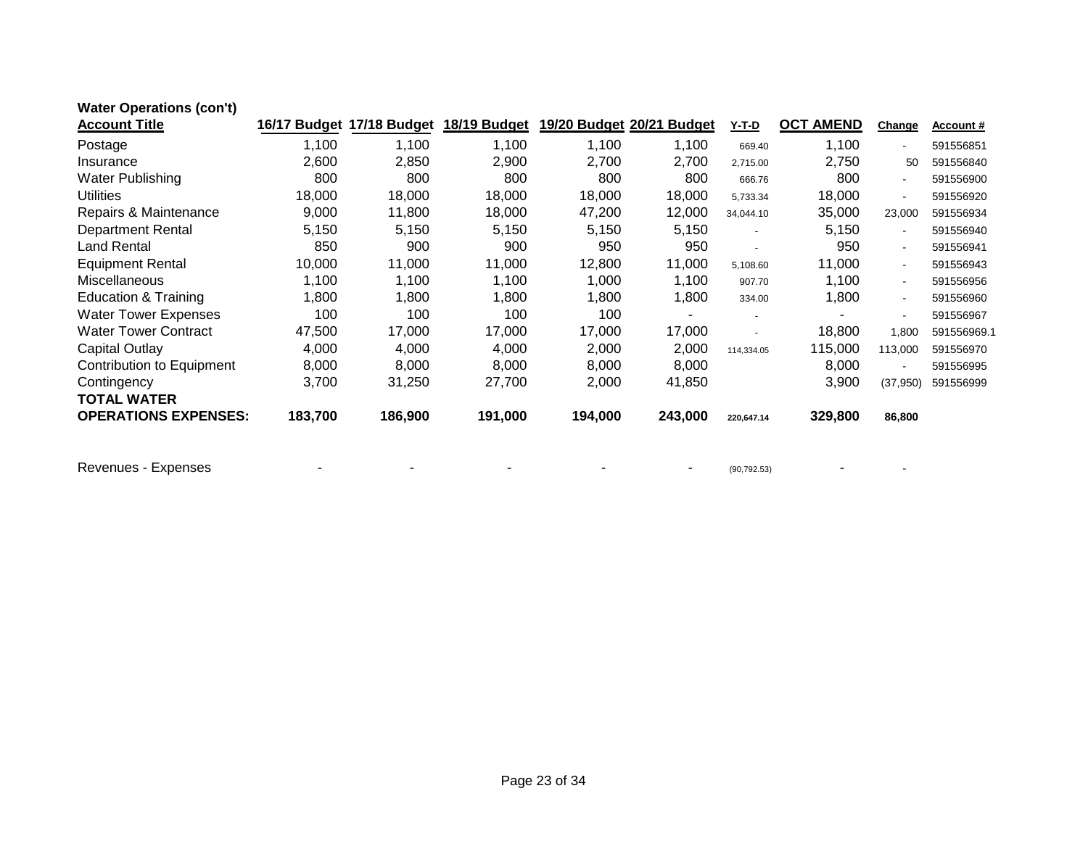| <b>Water Operations (con't)</b> |         |                           |              |         |                           |              |                  |                |                  |
|---------------------------------|---------|---------------------------|--------------|---------|---------------------------|--------------|------------------|----------------|------------------|
| <b>Account Title</b>            |         | 16/17 Budget 17/18 Budget | 18/19 Budget |         | 19/20 Budget 20/21 Budget | <u>Y-T-D</u> | <b>OCT AMEND</b> | Change         | <b>Account #</b> |
| Postage                         | 1,100   | 1,100                     | 1,100        | 1,100   | 1,100                     | 669.40       | 1,100            | $\sim$         | 591556851        |
| Insurance                       | 2,600   | 2,850                     | 2,900        | 2,700   | 2,700                     | 2,715.00     | 2,750            | 50             | 591556840        |
| Water Publishing                | 800     | 800                       | 800          | 800     | 800                       | 666.76       | 800              | $\blacksquare$ | 591556900        |
| <b>Utilities</b>                | 18,000  | 18,000                    | 18,000       | 18,000  | 18,000                    | 5,733.34     | 18,000           | $\blacksquare$ | 591556920        |
| Repairs & Maintenance           | 9,000   | 11,800                    | 18,000       | 47,200  | 12,000                    | 34,044.10    | 35,000           | 23,000         | 591556934        |
| <b>Department Rental</b>        | 5,150   | 5,150                     | 5,150        | 5,150   | 5,150                     |              | 5,150            | $\sim$         | 591556940        |
| <b>Land Rental</b>              | 850     | 900                       | 900          | 950     | 950                       |              | 950              | $\sim$         | 591556941        |
| <b>Equipment Rental</b>         | 10,000  | 11,000                    | 11,000       | 12,800  | 11,000                    | 5,108.60     | 11,000           | $\sim$         | 591556943        |
| <b>Miscellaneous</b>            | 1,100   | 1,100                     | 1,100        | 1,000   | 1,100                     | 907.70       | 1,100            | $\sim$         | 591556956        |
| Education & Training            | 1,800   | 1,800                     | 1,800        | 1,800   | 1,800                     | 334.00       | 1,800            | $\blacksquare$ | 591556960        |
| <b>Water Tower Expenses</b>     | 100     | 100                       | 100          | 100     | ۰                         |              |                  |                | 591556967        |
| <b>Water Tower Contract</b>     | 47,500  | 17,000                    | 17,000       | 17,000  | 17,000                    |              | 18,800           | 1,800          | 591556969.1      |
| Capital Outlay                  | 4,000   | 4,000                     | 4,000        | 2,000   | 2,000                     | 114,334.05   | 115,000          | 113,000        | 591556970        |
| Contribution to Equipment       | 8,000   | 8,000                     | 8,000        | 8,000   | 8,000                     |              | 8,000            | $\sim$         | 591556995        |
| Contingency                     | 3,700   | 31,250                    | 27,700       | 2,000   | 41,850                    |              | 3,900            | (37, 950)      | 591556999        |
| <b>TOTAL WATER</b>              |         |                           |              |         |                           |              |                  |                |                  |
| <b>OPERATIONS EXPENSES:</b>     | 183,700 | 186,900                   | 191,000      | 194,000 | 243,000                   | 220,647.14   | 329,800          | 86,800         |                  |
|                                 |         |                           |              |         |                           |              |                  |                |                  |
|                                 |         |                           |              |         |                           |              |                  |                |                  |

Revenues - Expenses - - - - - (90,792.53) - -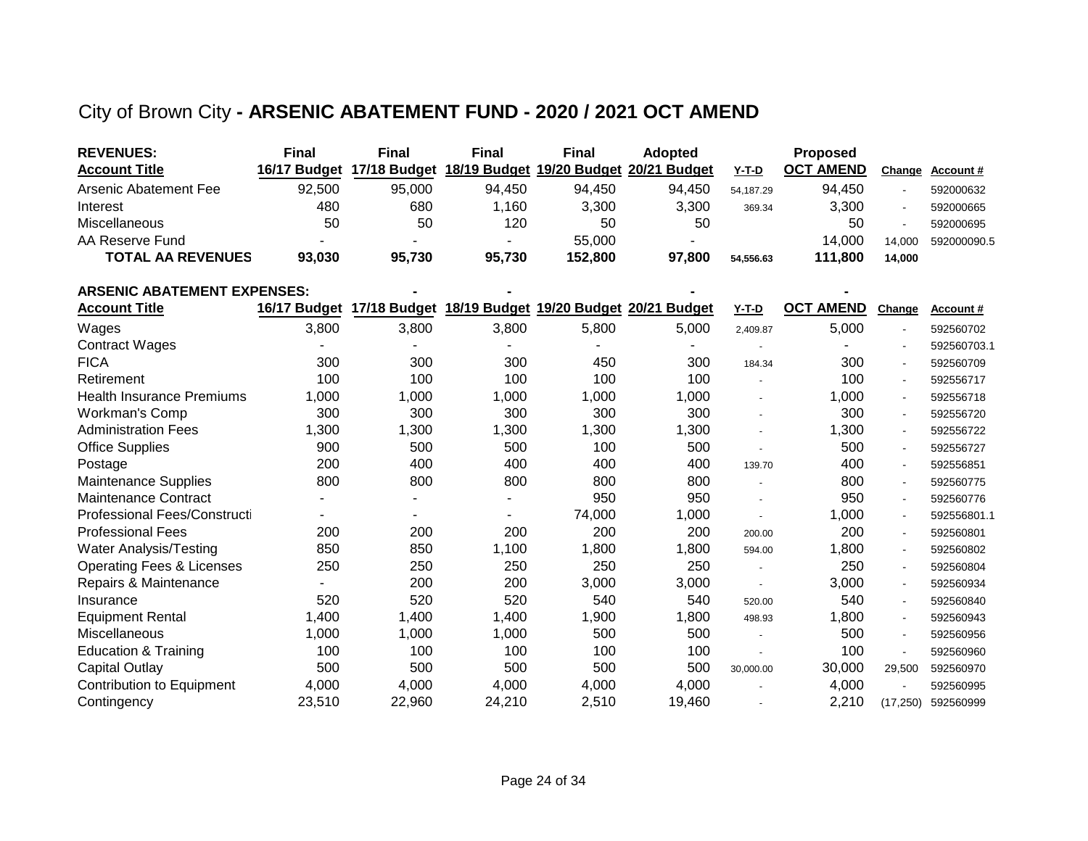### City of Brown City **- ARSENIC ABATEMENT FUND - 2020 / 2021 OCT AMEND**

| <b>REVENUES:</b>         | <b>Final</b> | Final  | Final                                                            | <b>Final</b> | Adopted |           | <b>Proposed</b>  |        |             |
|--------------------------|--------------|--------|------------------------------------------------------------------|--------------|---------|-----------|------------------|--------|-------------|
| <b>Account Title</b>     |              |        | 16/17 Budget 17/18 Budget 18/19 Budget 19/20 Budget 20/21 Budget |              |         | $Y-T-D$   | <b>OCT AMEND</b> | Change | Account #   |
| Arsenic Abatement Fee    | 92.500       | 95.000 | 94.450                                                           | 94.450       | 94.450  | 54.187.29 | 94.450           |        | 592000632   |
| Interest                 | 480          | 680    | .160                                                             | 3.300        | 3,300   | 369.34    | 3,300            |        | 592000665   |
| Miscellaneous            | 50           | 50     | 120                                                              | 50           | 50      |           | 50               |        | 592000695   |
| AA Reserve Fund          |              |        |                                                                  | 55,000       |         |           | 14.000           | 14.000 | 592000090.5 |
| <b>TOTAL AA REVENUES</b> | 93,030       | 95.730 | 95.730                                                           | 152.800      | 97.800  | 54,556.63 | 111.800          | 14.000 |             |

| <b>ARSENIC ABATEMENT EXPENSES:</b>   |              |              |        |        |                                        |           |                  |                          |                  |
|--------------------------------------|--------------|--------------|--------|--------|----------------------------------------|-----------|------------------|--------------------------|------------------|
| <b>Account Title</b>                 | 16/17 Budget | 17/18 Budget |        |        | 18/19 Budget 19/20 Budget 20/21 Budget | $Y-T-D$   | <b>OCT AMEND</b> | Change                   | <b>Account #</b> |
| Wages                                | 3,800        | 3,800        | 3,800  | 5,800  | 5,000                                  | 2,409.87  | 5,000            |                          | 592560702        |
| <b>Contract Wages</b>                |              |              |        |        |                                        |           |                  |                          | 592560703.1      |
| <b>FICA</b>                          | 300          | 300          | 300    | 450    | 300                                    | 184.34    | 300              |                          | 592560709        |
| Retirement                           | 100          | 100          | 100    | 100    | 100                                    |           | 100              | $\overline{\phantom{a}}$ | 592556717        |
| <b>Health Insurance Premiums</b>     | 1,000        | 1,000        | 1,000  | 1,000  | 1,000                                  |           | 1,000            | $\overline{\phantom{a}}$ | 592556718        |
| Workman's Comp                       | 300          | 300          | 300    | 300    | 300                                    |           | 300              | $\overline{\phantom{a}}$ | 592556720        |
| <b>Administration Fees</b>           | 1,300        | 1,300        | 1,300  | 1,300  | 1,300                                  |           | 1,300            | $\overline{\phantom{a}}$ | 592556722        |
| <b>Office Supplies</b>               | 900          | 500          | 500    | 100    | 500                                    |           | 500              | $\overline{\phantom{a}}$ | 592556727        |
| Postage                              | 200          | 400          | 400    | 400    | 400                                    | 139.70    | 400              | $\blacksquare$           | 592556851        |
| <b>Maintenance Supplies</b>          | 800          | 800          | 800    | 800    | 800                                    |           | 800              | $\sim$                   | 592560775        |
| <b>Maintenance Contract</b>          |              |              |        | 950    | 950                                    |           | 950              | $\blacksquare$           | 592560776        |
| Professional Fees/Constructi         |              |              |        | 74,000 | 1,000                                  |           | 1,000            | $\blacksquare$           | 592556801.1      |
| <b>Professional Fees</b>             | 200          | 200          | 200    | 200    | 200                                    | 200.00    | 200              | $\blacksquare$           | 592560801        |
| <b>Water Analysis/Testing</b>        | 850          | 850          | 1,100  | 1,800  | 1,800                                  | 594.00    | 1,800            | $\blacksquare$           | 592560802        |
| <b>Operating Fees &amp; Licenses</b> | 250          | 250          | 250    | 250    | 250                                    |           | 250              | $\sim$                   | 592560804        |
| Repairs & Maintenance                |              | 200          | 200    | 3,000  | 3,000                                  |           | 3,000            | $\sim$                   | 592560934        |
| Insurance                            | 520          | 520          | 520    | 540    | 540                                    | 520.00    | 540              | $\sim$                   | 592560840        |
| <b>Equipment Rental</b>              | 1,400        | 1,400        | 1,400  | 1,900  | 1,800                                  | 498.93    | 1,800            | $\blacksquare$           | 592560943        |
| Miscellaneous                        | 1,000        | 1,000        | 1,000  | 500    | 500                                    |           | 500              | $\sim$                   | 592560956        |
| Education & Training                 | 100          | 100          | 100    | 100    | 100                                    |           | 100              |                          | 592560960        |
| <b>Capital Outlay</b>                | 500          | 500          | 500    | 500    | 500                                    | 30,000.00 | 30,000           | 29,500                   | 592560970        |
| <b>Contribution to Equipment</b>     | 4,000        | 4,000        | 4,000  | 4,000  | 4,000                                  |           | 4,000            |                          | 592560995        |
| Contingency                          | 23,510       | 22,960       | 24,210 | 2,510  | 19,460                                 |           | 2,210            | (17, 250)                | 592560999        |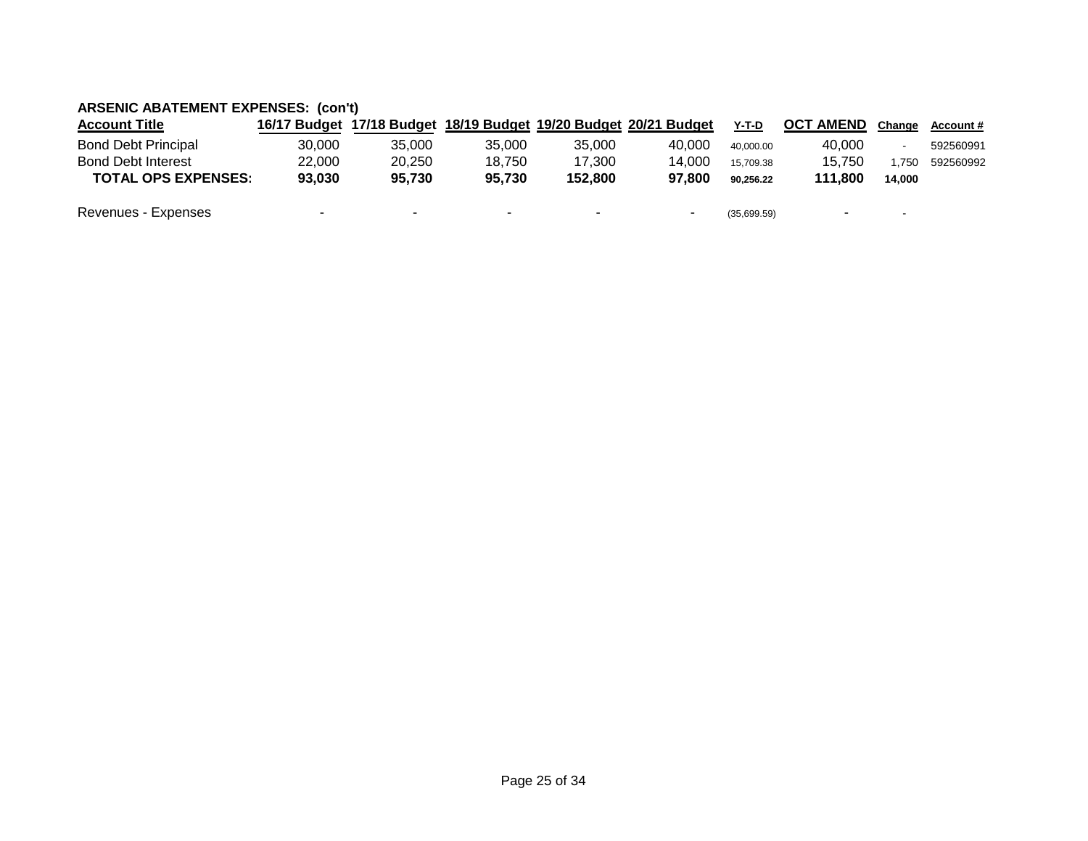### **ARSENIC ABATEMENT EXPENSES: (con't)**

| <b>Account Title</b>       | 16/17 Budget |        |        |         | 17/18 Budget 18/19 Budget 19/20 Budget 20/21 Budget | $Y-T-D$     | <b>OCT AMEND</b>         | Change                   | <b>Account #</b> |
|----------------------------|--------------|--------|--------|---------|-----------------------------------------------------|-------------|--------------------------|--------------------------|------------------|
| <b>Bond Debt Principal</b> | 30.000       | 35,000 | 35.000 | 35,000  | 40.000                                              | 40.000.00   | 40.000                   |                          | 592560991        |
| <b>Bond Debt Interest</b>  | 22.000       | 20.250 | 18.750 | 17.300  | 14.000                                              | 15.709.38   | 15.750                   | .750                     | 592560992        |
| <b>TOTAL OPS EXPENSES:</b> | 93.030       | 95.730 | 95.730 | 152.800 | 97.800                                              | 90.256.22   | 111.800                  | 14.000                   |                  |
| Revenues - Expenses        | $\sim$       |        | ۰.     |         | $\overline{\phantom{0}}$                            | (35,699.59) | $\overline{\phantom{a}}$ | $\overline{\phantom{a}}$ |                  |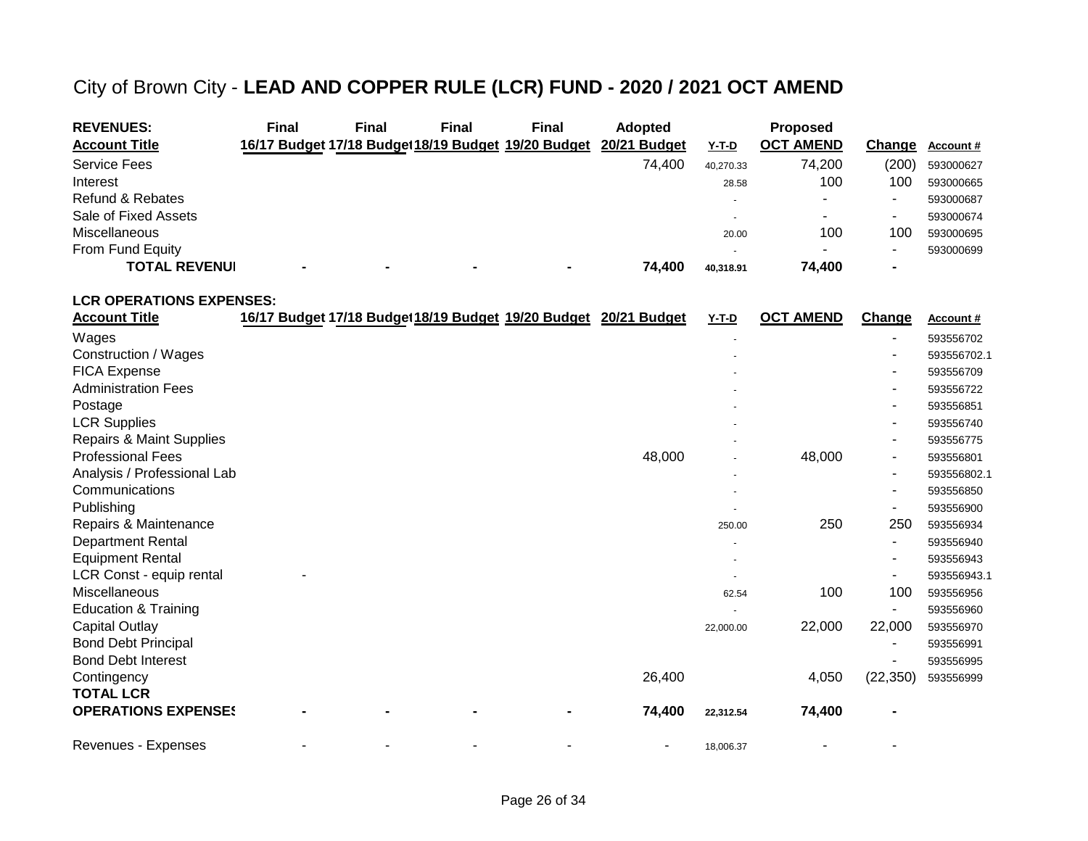### City of Brown City - **LEAD AND COPPER RULE (LCR) FUND - 2020 / 2021 OCT AMEND**

| <b>REVENUES:</b>            | <b>Final</b> | <b>Final</b>             | Final | <b>Final</b>                                        | <b>Adopted</b> |                          | <b>Proposed</b>  |                          |           |
|-----------------------------|--------------|--------------------------|-------|-----------------------------------------------------|----------------|--------------------------|------------------|--------------------------|-----------|
| <b>Account Title</b>        |              |                          |       | 16/17 Budget 17/18 Budget 18/19 Budget 19/20 Budget | 20/21 Budget   | <u>Y-T-D</u>             | <b>OCT AMEND</b> | Change                   | Account # |
| <b>Service Fees</b>         |              |                          |       |                                                     | 74.400         | 40.270.33                | 74,200           | (200)                    | 593000627 |
| Interest                    |              |                          |       |                                                     |                | 28.58                    | 100              | 100                      | 593000665 |
| <b>Refund &amp; Rebates</b> |              |                          |       |                                                     |                | $\overline{\phantom{a}}$ |                  |                          | 593000687 |
| Sale of Fixed Assets        |              |                          |       |                                                     |                | $\overline{\phantom{a}}$ |                  | $\overline{\phantom{a}}$ | 593000674 |
| <b>Miscellaneous</b>        |              |                          |       |                                                     |                | 20.00                    | 100              | 100                      | 593000695 |
| From Fund Equity            |              |                          |       |                                                     |                | $\overline{\phantom{a}}$ | -                |                          | 593000699 |
| <b>TOTAL REVENUI</b>        |              | $\overline{\phantom{a}}$ |       | $\overline{\phantom{0}}$                            | 74.400         | 40.318.91                | 74.400           |                          |           |

#### **LCR OPERATIONS EXPENSES:**

| <b>Account Title</b>                | 16/17 Budget 17/18 Budget 18/19 Budget 19/20 Budget 20/21 Budget |  |        | Y-T-D     | <b>OCT AMEND</b> | Change    | Account#    |
|-------------------------------------|------------------------------------------------------------------|--|--------|-----------|------------------|-----------|-------------|
| Wages                               |                                                                  |  |        |           |                  |           | 593556702   |
| Construction / Wages                |                                                                  |  |        |           |                  |           | 593556702.1 |
| <b>FICA Expense</b>                 |                                                                  |  |        |           |                  |           | 593556709   |
| <b>Administration Fees</b>          |                                                                  |  |        |           |                  |           | 593556722   |
| Postage                             |                                                                  |  |        |           |                  | ۰         | 593556851   |
| <b>LCR Supplies</b>                 |                                                                  |  |        |           |                  |           | 593556740   |
| <b>Repairs &amp; Maint Supplies</b> |                                                                  |  |        |           |                  |           | 593556775   |
| <b>Professional Fees</b>            |                                                                  |  | 48,000 |           | 48,000           |           | 593556801   |
| Analysis / Professional Lab         |                                                                  |  |        |           |                  |           | 593556802.1 |
| Communications                      |                                                                  |  |        |           |                  |           | 593556850   |
| Publishing                          |                                                                  |  |        |           |                  |           | 593556900   |
| Repairs & Maintenance               |                                                                  |  |        | 250.00    | 250              | 250       | 593556934   |
| <b>Department Rental</b>            |                                                                  |  |        |           |                  |           | 593556940   |
| <b>Equipment Rental</b>             |                                                                  |  |        |           |                  |           | 593556943   |
| LCR Const - equip rental            |                                                                  |  |        |           |                  |           | 593556943.1 |
| Miscellaneous                       |                                                                  |  |        | 62.54     | 100              | 100       | 593556956   |
| <b>Education &amp; Training</b>     |                                                                  |  |        |           |                  |           | 593556960   |
| <b>Capital Outlay</b>               |                                                                  |  |        | 22,000.00 | 22,000           | 22,000    | 593556970   |
| <b>Bond Debt Principal</b>          |                                                                  |  |        |           |                  |           | 593556991   |
| <b>Bond Debt Interest</b>           |                                                                  |  |        |           |                  |           | 593556995   |
| Contingency                         |                                                                  |  | 26,400 |           | 4,050            | (22, 350) | 593556999   |
| <b>TOTAL LCR</b>                    |                                                                  |  |        |           |                  |           |             |
| <b>OPERATIONS EXPENSES</b>          |                                                                  |  | 74,400 | 22,312.54 | 74,400           |           |             |
| Revenues - Expenses                 |                                                                  |  | ۰      | 18,006.37 |                  |           |             |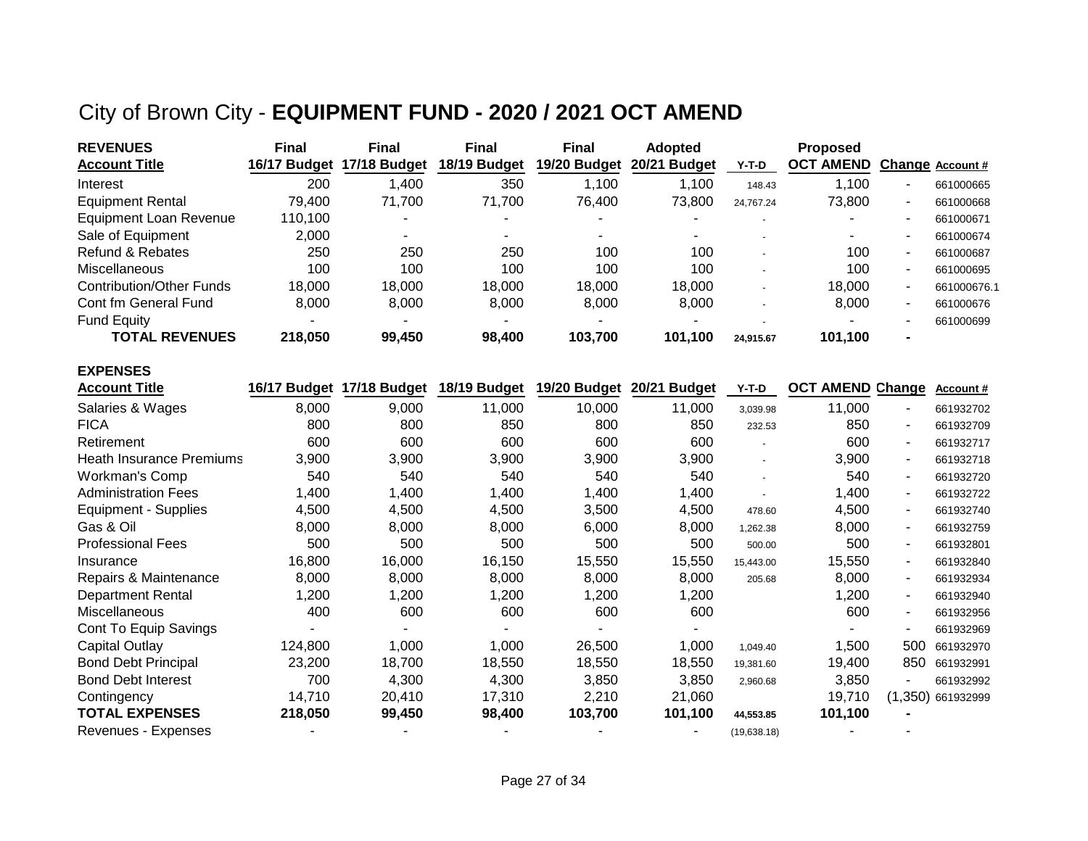## City of Brown City - **EQUIPMENT FUND - 2020 / 2021 OCT AMEND**

| <b>REVENUES</b>                 | <b>Final</b> | <b>Final</b> | <b>Final</b> | <b>Final</b> | <b>Adopted</b> |           | <b>Proposed</b>  |                          |                  |
|---------------------------------|--------------|--------------|--------------|--------------|----------------|-----------|------------------|--------------------------|------------------|
| <b>Account Title</b>            | 16/17 Budget | 17/18 Budget | 18/19 Budget | 19/20 Budget | 20/21 Budget   | $Y-T-D$   | <b>OCT AMEND</b> |                          | Change Account # |
| Interest                        | 200          | 1,400        | 350          | .100         | 1,100          | 148.43    | 1,100            | ۰                        | 661000665        |
| <b>Equipment Rental</b>         | 79.400       | 71.700       | 71.700       | 76.400       | 73.800         | 24.767.24 | 73,800           | $\overline{\phantom{a}}$ | 661000668        |
| <b>Equipment Loan Revenue</b>   | 110.100      | -            |              | -            | -              |           |                  | $\blacksquare$           | 661000671        |
| Sale of Equipment               | 2.000        |              |              | -            |                |           |                  | -                        | 661000674        |
| Refund & Rebates                | 250          | 250          | 250          | 100          | 100            |           | 100              | $\overline{\phantom{a}}$ | 661000687        |
| Miscellaneous                   | 100          | 100          | 100          | 100          | 100            |           | 100              | $\overline{\phantom{a}}$ | 661000695        |
| <b>Contribution/Other Funds</b> | 18,000       | 18.000       | 18.000       | 18.000       | 18,000         |           | 18.000           | $\sim$                   | 661000676.1      |
| Cont fm General Fund            | 8.000        | 8,000        | 8,000        | 8,000        | 8.000          |           | 8,000            | $\overline{\phantom{a}}$ | 661000676        |
| <b>Fund Equity</b>              |              |              |              | -            | -              |           |                  | ۰                        | 661000699        |
| <b>TOTAL REVENUES</b>           | 218.050      | 99,450       | 98,400       | 103.700      | 101,100        | 24.915.67 | 101,100          | $\blacksquare$           |                  |

| <b>EXPENSES</b>             |              |              |              |              |                        |              |                         |                          |                   |
|-----------------------------|--------------|--------------|--------------|--------------|------------------------|--------------|-------------------------|--------------------------|-------------------|
| <b>Account Title</b>        | 16/17 Budget | 17/18 Budget | 18/19 Budget | 19/20 Budget | 20/21<br><b>Budget</b> | Y-T-D        | <b>OCT AMEND Change</b> |                          | Account#          |
| Salaries & Wages            | 8,000        | 9,000        | 11,000       | 10,000       | 11,000                 | 3,039.98     | 11,000                  | $\sim$                   | 661932702         |
| <b>FICA</b>                 | 800          | 800          | 850          | 800          | 850                    | 232.53       | 850                     | $\sim$                   | 661932709         |
| Retirement                  | 600          | 600          | 600          | 600          | 600                    |              | 600                     |                          | 661932717         |
| Heath Insurance Premiums    | 3,900        | 3,900        | 3,900        | 3,900        | 3,900                  |              | 3,900                   | $\sim$                   | 661932718         |
| Workman's Comp              | 540          | 540          | 540          | 540          | 540                    |              | 540                     | $\sim$                   | 661932720         |
| <b>Administration Fees</b>  | 1,400        | 1,400        | 1,400        | 1,400        | 1,400                  |              | 1,400                   | $\sim$                   | 661932722         |
| <b>Equipment - Supplies</b> | 4,500        | 4,500        | 4,500        | 3,500        | 4,500                  | 478.60       | 4,500                   | $\sim$                   | 661932740         |
| Gas & Oil                   | 8,000        | 8,000        | 8,000        | 6,000        | 8,000                  | 1.262.38     | 8,000                   | $\sim$                   | 661932759         |
| <b>Professional Fees</b>    | 500          | 500          | 500          | 500          | 500                    | 500.00       | 500                     | $\sim$                   | 661932801         |
| Insurance                   | 16,800       | 16,000       | 16,150       | 15,550       | 15,550                 | 15,443.00    | 15,550                  |                          | 661932840         |
| Repairs & Maintenance       | 8,000        | 8,000        | 8,000        | 8,000        | 8,000                  | 205.68       | 8,000                   | $\sim$                   | 661932934         |
| <b>Department Rental</b>    | 1,200        | 1,200        | 1,200        | 1,200        | 1,200                  |              | 1,200                   | $\sim$                   | 661932940         |
| Miscellaneous               | 400          | 600          | 600          | 600          | 600                    |              | 600                     | $\overline{\phantom{a}}$ | 661932956         |
| Cont To Equip Savings       |              |              |              |              |                        |              |                         |                          | 661932969         |
| <b>Capital Outlay</b>       | 124,800      | 1,000        | 1,000        | 26,500       | 1,000                  | 1,049.40     | 1,500                   | 500                      | 661932970         |
| <b>Bond Debt Principal</b>  | 23,200       | 18,700       | 18,550       | 18,550       | 18,550                 | 19,381.60    | 19,400                  | 850                      | 661932991         |
| <b>Bond Debt Interest</b>   | 700          | 4,300        | 4,300        | 3,850        | 3,850                  | 2,960.68     | 3,850                   |                          | 661932992         |
| Contingency                 | 14,710       | 20,410       | 17,310       | 2,210        | 21,060                 |              | 19,710                  |                          | (1,350) 661932999 |
| <b>TOTAL EXPENSES</b>       | 218,050      | 99,450       | 98,400       | 103,700      | 101,100                | 44,553.85    | 101,100                 |                          |                   |
| Revenues - Expenses         |              |              |              |              |                        | (19, 638.18) |                         |                          |                   |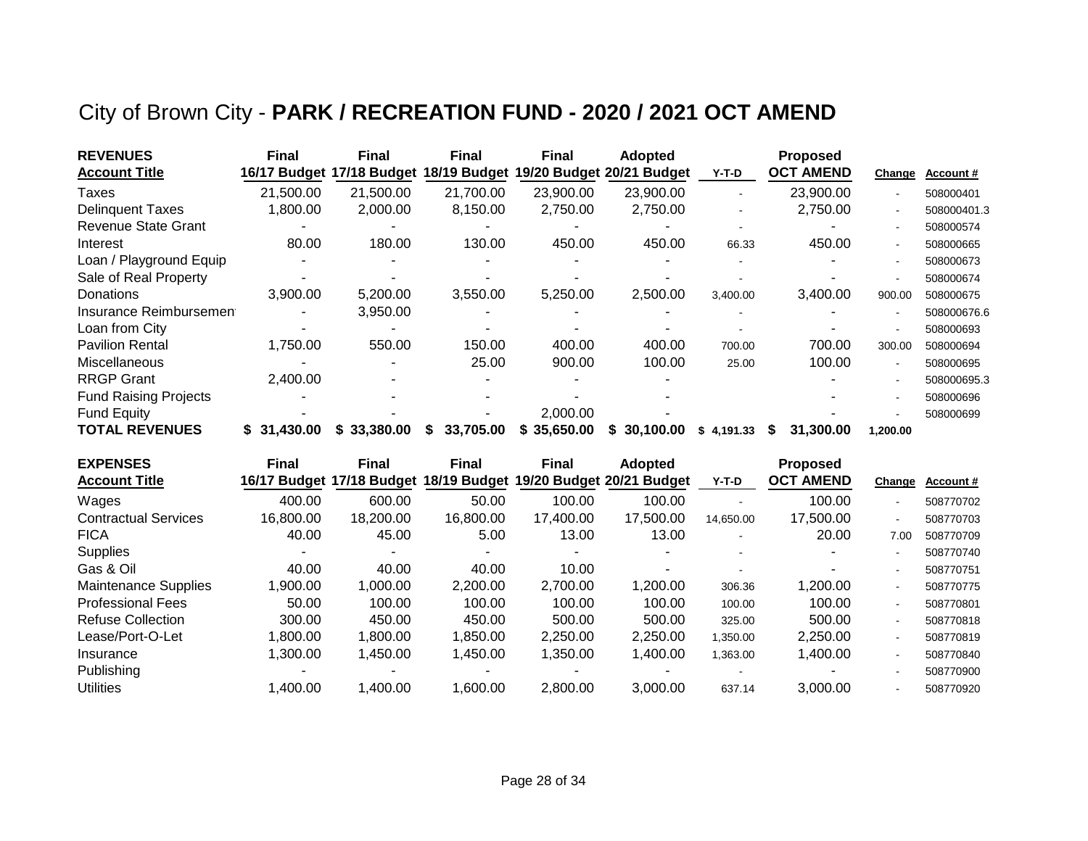## City of Brown City - **PARK / RECREATION FUND - 2020 / 2021 OCT AMEND**

| <b>REVENUES</b>              | <b>Final</b> | <b>Final</b> | <b>Final</b> | <b>Final</b> | <b>Adopted</b>            |            | <b>Proposed</b>  |                          |             |
|------------------------------|--------------|--------------|--------------|--------------|---------------------------|------------|------------------|--------------------------|-------------|
| <b>Account Title</b>         | 16/17 Budget | 17/18 Budget | 18/19 Budget |              | 19/20 Budget 20/21 Budget | Y-T-D      | <b>OCT AMEND</b> | Change                   | Account#    |
| Taxes                        | 21,500.00    | 21,500.00    | 21,700.00    | 23,900.00    | 23,900.00                 |            | 23,900.00        | $\overline{\phantom{a}}$ | 508000401   |
| <b>Delinguent Taxes</b>      | 1.800.00     | 2,000.00     | 8,150.00     | 2,750.00     | 2,750.00                  |            | 2,750.00         | $\blacksquare$           | 508000401.3 |
| <b>Revenue State Grant</b>   |              |              |              |              |                           |            |                  |                          | 508000574   |
| Interest                     | 80.00        | 180.00       | 130.00       | 450.00       | 450.00                    | 66.33      | 450.00           |                          | 508000665   |
| Loan / Playground Equip      |              |              |              |              |                           |            |                  |                          | 508000673   |
| Sale of Real Property        |              |              |              |              |                           |            |                  |                          | 508000674   |
| Donations                    | 3,900.00     | 5,200.00     | 3,550.00     | 5,250.00     | 2,500.00                  | 3,400.00   | 3,400.00         | 900.00                   | 508000675   |
| Insurance Reimbursement      |              | 3,950.00     |              |              |                           |            |                  |                          | 508000676.6 |
| Loan from City               |              |              |              |              |                           |            |                  |                          | 508000693   |
| <b>Pavilion Rental</b>       | 1,750.00     | 550.00       | 150.00       | 400.00       | 400.00                    | 700.00     | 700.00           | 300.00                   | 508000694   |
| Miscellaneous                |              |              | 25.00        | 900.00       | 100.00                    | 25.00      | 100.00           |                          | 508000695   |
| <b>RRGP Grant</b>            | 2,400.00     |              |              |              |                           |            |                  |                          | 508000695.3 |
| <b>Fund Raising Projects</b> |              |              |              |              |                           |            |                  | $\blacksquare$           | 508000696   |
| <b>Fund Equity</b>           |              |              |              | 2,000.00     |                           |            |                  |                          | 508000699   |
| <b>TOTAL REVENUES</b>        | \$31,430.00  | \$33,380.00  | 33,705.00    | \$35,650.00  | 30,100.00                 | \$4,191.33 | 31,300.00        | 1,200.00                 |             |

| <b>EXPENSES</b>             | <b>Final</b> | <b>Final</b>              | <b>Final</b> | <b>Final</b> | <b>Adopted</b>                         |           | <b>Proposed</b>  |        |           |
|-----------------------------|--------------|---------------------------|--------------|--------------|----------------------------------------|-----------|------------------|--------|-----------|
| <b>Account Title</b>        |              | 16/17 Budget 17/18 Budget |              |              | 18/19 Budget 19/20 Budget 20/21 Budget | Y-T-D     | <b>OCT AMEND</b> | Change | Account#  |
| Wages                       | 400.00       | 600.00                    | 50.00        | 100.00       | 100.00                                 |           | 100.00           |        | 508770702 |
| <b>Contractual Services</b> | 16,800,00    | 18,200.00                 | 16,800.00    | 17,400.00    | 17,500.00                              | 14,650.00 | 17,500.00        |        | 508770703 |
| <b>FICA</b>                 | 40.00        | 45.00                     | 5.00         | 13.00        | 13.00                                  |           | 20.00            | 7.00   | 508770709 |
| <b>Supplies</b>             |              |                           |              |              |                                        |           |                  |        | 508770740 |
| Gas & Oil                   | 40.00        | 40.00                     | 40.00        | 10.00        |                                        |           |                  |        | 508770751 |
| Maintenance Supplies        | .900.00      | 1.000.00                  | 2,200.00     | 2,700.00     | 1.200.00                               | 306.36    | 1,200.00         |        | 508770775 |
| <b>Professional Fees</b>    | 50.00        | 100.00                    | 100.00       | 100.00       | 100.00                                 | 100.00    | 100.00           |        | 508770801 |
| <b>Refuse Collection</b>    | 300.00       | 450.00                    | 450.00       | 500.00       | 500.00                                 | 325.00    | 500.00           |        | 508770818 |
| Lease/Port-O-Let            | .800.00      | 1.800.00                  | 1,850.00     | 2,250.00     | 2.250.00                               | 1,350.00  | 2.250.00         |        | 508770819 |
| Insurance                   | 1.300.00     | 1,450.00                  | 1,450.00     | 1,350.00     | 1,400.00                               | 1.363.00  | 1,400.00         |        | 508770840 |
| Publishing                  |              |                           |              |              |                                        |           |                  |        | 508770900 |
| <b>Utilities</b>            | 1.400.00     | 1,400.00                  | 1,600.00     | 2,800.00     | 3.000.00                               | 637.14    | 3.000.00         |        | 508770920 |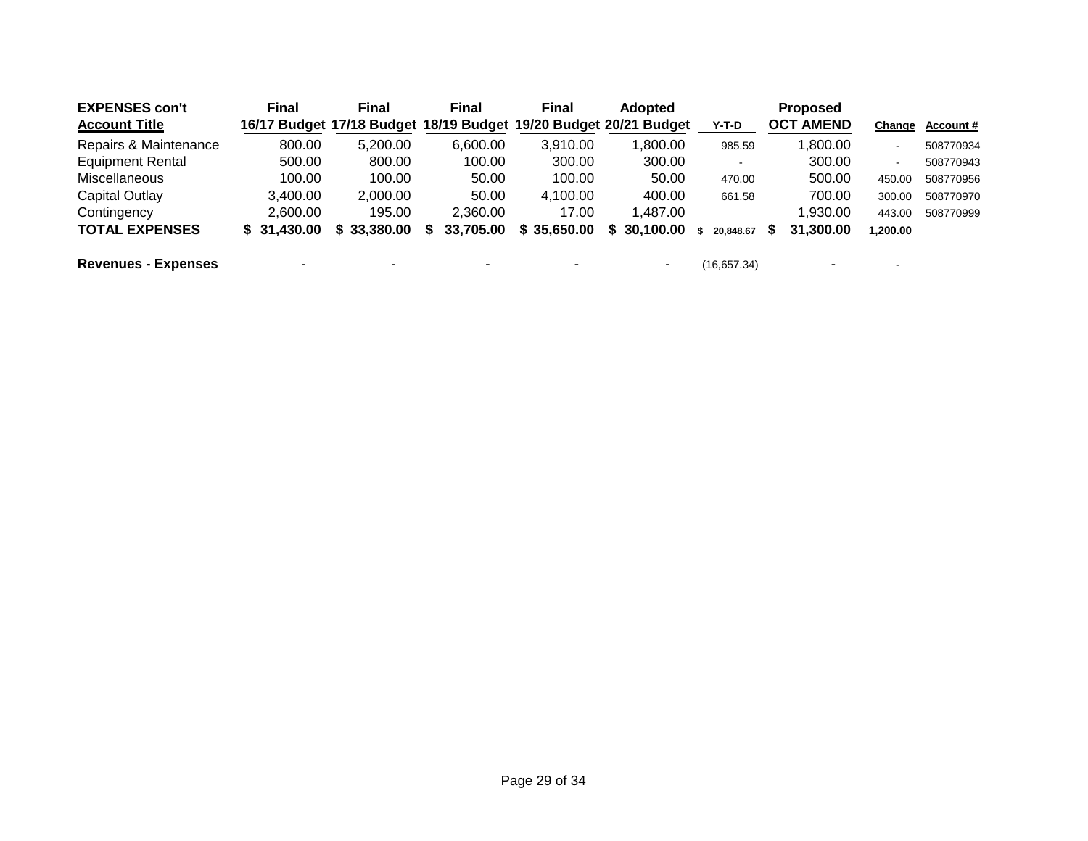| <b>EXPENSES con't</b>      | <b>Final</b> | Final                     | <b>Final</b>                           | <b>Final</b> | <b>Adopted</b>           |             | <b>Proposed</b>  |                |                  |
|----------------------------|--------------|---------------------------|----------------------------------------|--------------|--------------------------|-------------|------------------|----------------|------------------|
| <b>Account Title</b>       |              | 16/17 Budget 17/18 Budget | 18/19 Budget 19/20 Budget 20/21 Budget |              |                          | Y-T-D       | <b>OCT AMEND</b> | Change         | <b>Account #</b> |
| Repairs & Maintenance      | 800.00       | 5.200.00                  | 6.600.00                               | 3,910.00     | 1.800.00                 | 985.59      | .800.00          | $\blacksquare$ | 508770934        |
| <b>Equipment Rental</b>    | 500.00       | 800.00                    | 100.00                                 | 300.00       | 300.00                   |             | 300.00           | $\blacksquare$ | 508770943        |
| <b>Miscellaneous</b>       | 100.00       | 100.00                    | 50.00                                  | 100.00       | 50.00                    | 470.00      | 500.00           | 450.00         | 508770956        |
| Capital Outlay             | 3.400.00     | 2.000.00                  | 50.00                                  | 4,100.00     | 400.00                   | 661.58      | 700.00           | 300.00         | 508770970        |
| Contingency                | 2.600.00     | 195.00                    | 2.360.00                               | 17.00        | 1.487.00                 |             | .930.00          | 443.00         | 508770999        |
| <b>TOTAL EXPENSES</b>      | \$31,430,00  | \$33,380.00               | 33,705.00<br>S.                        | \$35,650.00  | 30.100.00<br>S.          | 20.848.67   | 31,300,00<br>S   | 1,200.00       |                  |
| <b>Revenues - Expenses</b> | -            | -                         |                                        |              | $\overline{\phantom{0}}$ | (16,657.34) | -                | $\blacksquare$ |                  |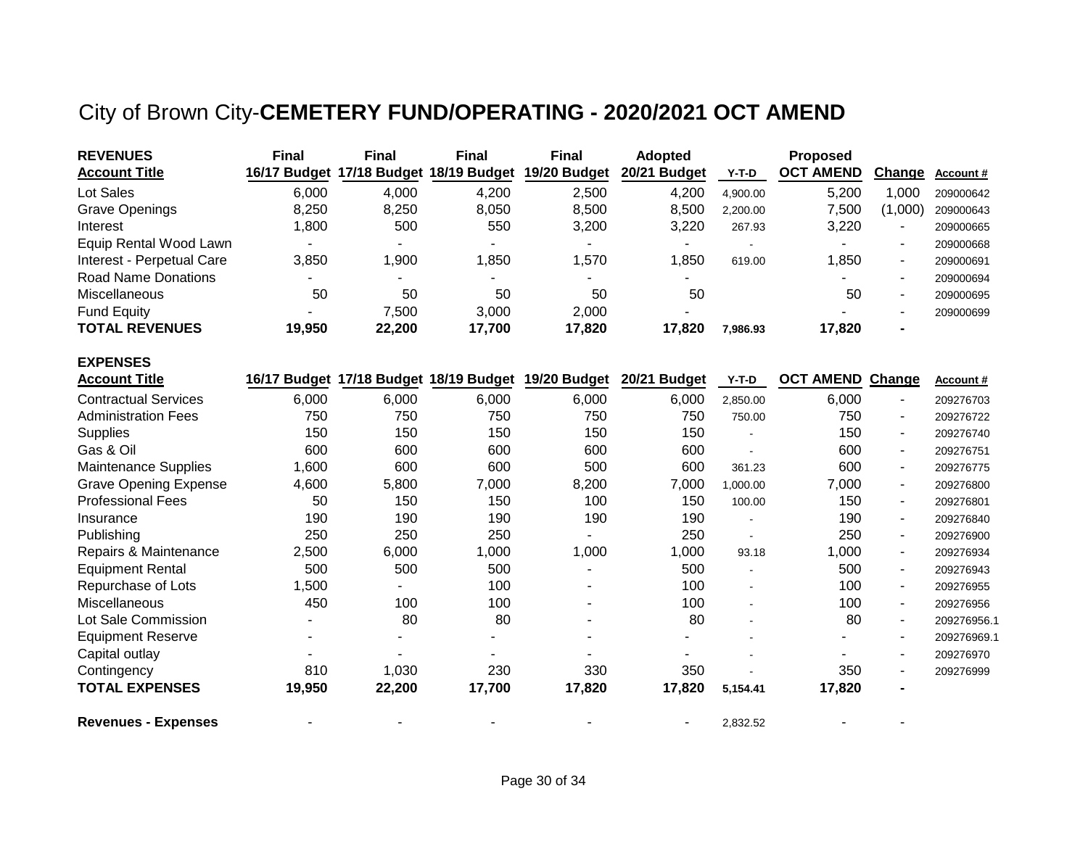# City of Brown City-**CEMETERY FUND/OPERATING - 2020/2021 OCT AMEND**

| <b>REVENUES</b>              | <b>Final</b> | <b>Final</b>                           | <b>Final</b> | <b>Final</b>                                        | <b>Adopted</b> |                | <b>Proposed</b>         |         |                  |
|------------------------------|--------------|----------------------------------------|--------------|-----------------------------------------------------|----------------|----------------|-------------------------|---------|------------------|
| <b>Account Title</b>         |              | 16/17 Budget 17/18 Budget 18/19 Budget |              | 19/20 Budget                                        | 20/21 Budget   | $Y-T-D$        | <b>OCT AMEND</b>        | Change  | <b>Account #</b> |
| Lot Sales                    | 6,000        | 4,000                                  | 4,200        | 2,500                                               | 4,200          | 4,900.00       | 5,200                   | 1,000   | 209000642        |
| <b>Grave Openings</b>        | 8,250        | 8,250                                  | 8,050        | 8,500                                               | 8,500          | 2,200.00       | 7,500                   | (1,000) | 209000643        |
| Interest                     | 1,800        | 500                                    | 550          | 3,200                                               | 3,220          | 267.93         | 3,220                   |         | 209000665        |
| Equip Rental Wood Lawn       |              |                                        |              |                                                     |                |                |                         | ۰       | 209000668        |
| Interest - Perpetual Care    | 3,850        | 1,900                                  | 1,850        | 1,570                                               | 1,850          | 619.00         | 1,850                   | ۰       | 209000691        |
| <b>Road Name Donations</b>   |              |                                        |              |                                                     |                |                |                         | ۰       | 209000694        |
| Miscellaneous                | 50           | 50                                     | 50           | 50                                                  | 50             |                | 50                      | ۰       | 209000695        |
| <b>Fund Equity</b>           |              | 7,500                                  | 3,000        | 2,000                                               |                |                |                         |         | 209000699        |
| <b>TOTAL REVENUES</b>        | 19,950       | 22,200                                 | 17,700       | 17,820                                              | 17,820         | 7,986.93       | 17,820                  |         |                  |
| <b>EXPENSES</b>              |              |                                        |              |                                                     |                |                |                         |         |                  |
| <b>Account Title</b>         |              |                                        |              | 16/17 Budget 17/18 Budget 18/19 Budget 19/20 Budget | 20/21 Budget   | Y-T-D          | <b>OCT AMEND Change</b> |         | Account #        |
| <b>Contractual Services</b>  | 6,000        | 6,000                                  | 6,000        | 6,000                                               | 6,000          | 2,850.00       | 6,000                   |         | 209276703        |
| <b>Administration Fees</b>   | 750          | 750                                    | 750          | 750                                                 | 750            | 750.00         | 750                     | ۰       | 209276722        |
| Supplies                     | 150          | 150                                    | 150          | 150                                                 | 150            |                | 150                     | ۰       | 209276740        |
| Gas & Oil                    | 600          | 600                                    | 600          | 600                                                 | 600            |                | 600                     | ٠       | 209276751        |
| <b>Maintenance Supplies</b>  | 1,600        | 600                                    | 600          | 500                                                 | 600            | 361.23         | 600                     | ۰       | 209276775        |
| <b>Grave Opening Expense</b> | 4,600        | 5,800                                  | 7,000        | 8,200                                               | 7,000          | 1,000.00       | 7,000                   | ٠       | 209276800        |
| <b>Professional Fees</b>     | 50           | 150                                    | 150          | 100                                                 | 150            | 100.00         | 150                     | ٠       | 209276801        |
| Insurance                    | 190          | 190                                    | 190          | 190                                                 | 190            |                | 190                     | ۰       | 209276840        |
| Publishing                   | 250          | 250                                    | 250          |                                                     | 250            | $\sim$         | 250                     | ۰       | 209276900        |
| Repairs & Maintenance        | 2,500        | 6,000                                  | 1,000        | 1,000                                               | 1,000          | 93.18          | 1,000                   | ٠       | 209276934        |
| <b>Equipment Rental</b>      | 500          | 500                                    | 500          |                                                     | 500            |                | 500                     | Ξ.      | 209276943        |
| Repurchase of Lots           | 1,500        |                                        | 100          |                                                     | 100            | $\blacksquare$ | 100                     | Ξ.      | 209276955        |
| Miscellaneous                | 450          | 100                                    | 100          |                                                     | 100            |                | 100                     | ٠       | 209276956        |
| Lot Sale Commission          |              | 80                                     | 80           |                                                     | 80             |                | 80                      | ۰       | 209276956.1      |
| <b>Equipment Reserve</b>     |              |                                        |              |                                                     |                |                |                         |         | 209276969.1      |
| Capital outlay               |              |                                        |              |                                                     |                |                |                         |         | 209276970        |
| Contingency                  | 810          | 1,030                                  | 230          | 330                                                 | 350            |                | 350                     | ۰       | 209276999        |
| <b>TOTAL EXPENSES</b>        | 19,950       | 22,200                                 | 17,700       | 17,820                                              | 17,820         | 5,154.41       | 17,820                  |         |                  |
| <b>Revenues - Expenses</b>   |              |                                        |              |                                                     |                | 2,832.52       |                         |         |                  |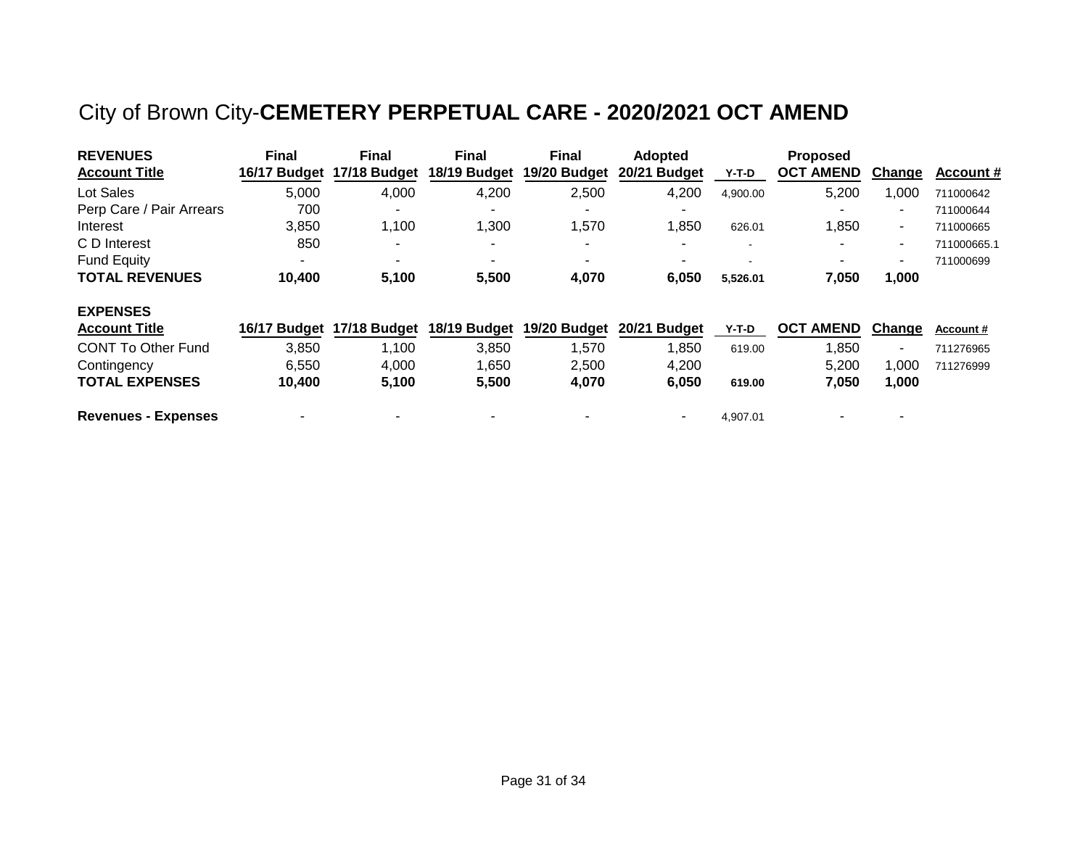# City of Brown City-**CEMETERY PERPETUAL CARE - 2020/2021 OCT AMEND**

| <b>REVENUES</b>            | <b>Final</b>             | <b>Final</b> | <b>Final</b> | <b>Final</b> | <b>Adopted</b> |                          | <b>Proposed</b>  |                          |                  |
|----------------------------|--------------------------|--------------|--------------|--------------|----------------|--------------------------|------------------|--------------------------|------------------|
| <b>Account Title</b>       | 16/17 Budget             | 17/18 Budget | 18/19 Budget | 19/20 Budget | 20/21 Budget   | Y-T-D                    | <b>OCT AMEND</b> | Change                   | Account #        |
| Lot Sales                  | 5,000                    | 4,000        | 4,200        | 2,500        | 4,200          | 4,900.00                 | 5,200            | 1,000                    | 711000642        |
| Perp Care / Pair Arrears   | 700                      | -            |              |              |                |                          |                  | $\blacksquare$           | 711000644        |
| Interest                   | 3,850                    | 1,100        | 1,300        | 1,570        | 1,850          | 626.01                   | 1,850            | $\blacksquare$           | 711000665        |
| C D Interest               | 850                      |              |              |              |                | $\,$ $\,$                |                  | $\blacksquare$           | 711000665.1      |
| <b>Fund Equity</b>         | $\overline{\phantom{0}}$ | ۰            |              |              |                | $\overline{\phantom{a}}$ |                  | $\overline{\phantom{a}}$ | 711000699        |
| <b>TOTAL REVENUES</b>      | 10,400                   | 5,100        | 5,500        | 4,070        | 6,050          | 5,526.01                 | 7,050            | 1,000                    |                  |
| <b>EXPENSES</b>            |                          |              |              |              |                |                          |                  |                          |                  |
| <b>Account Title</b>       | 16/17 Budget             | 17/18 Budget | 18/19 Budget | 19/20 Budget | 20/21 Budget   | $Y-T-D$                  | <b>OCT AMEND</b> | Change                   | <b>Account #</b> |
| <b>CONT To Other Fund</b>  | 3,850                    | 1,100        | 3,850        | 1,570        | 1,850          | 619.00                   | 1,850            | $\overline{\phantom{a}}$ | 711276965        |
| Contingency                | 6,550                    | 4,000        | 1,650        | 2,500        | 4,200          |                          | 5,200            | 1,000                    | 711276999        |
| <b>TOTAL EXPENSES</b>      | 10,400                   | 5,100        | 5,500        | 4,070        | 6,050          | 619.00                   | 7,050            | 1,000                    |                  |
| <b>Revenues - Expenses</b> |                          |              |              |              |                | 4.907.01                 |                  |                          |                  |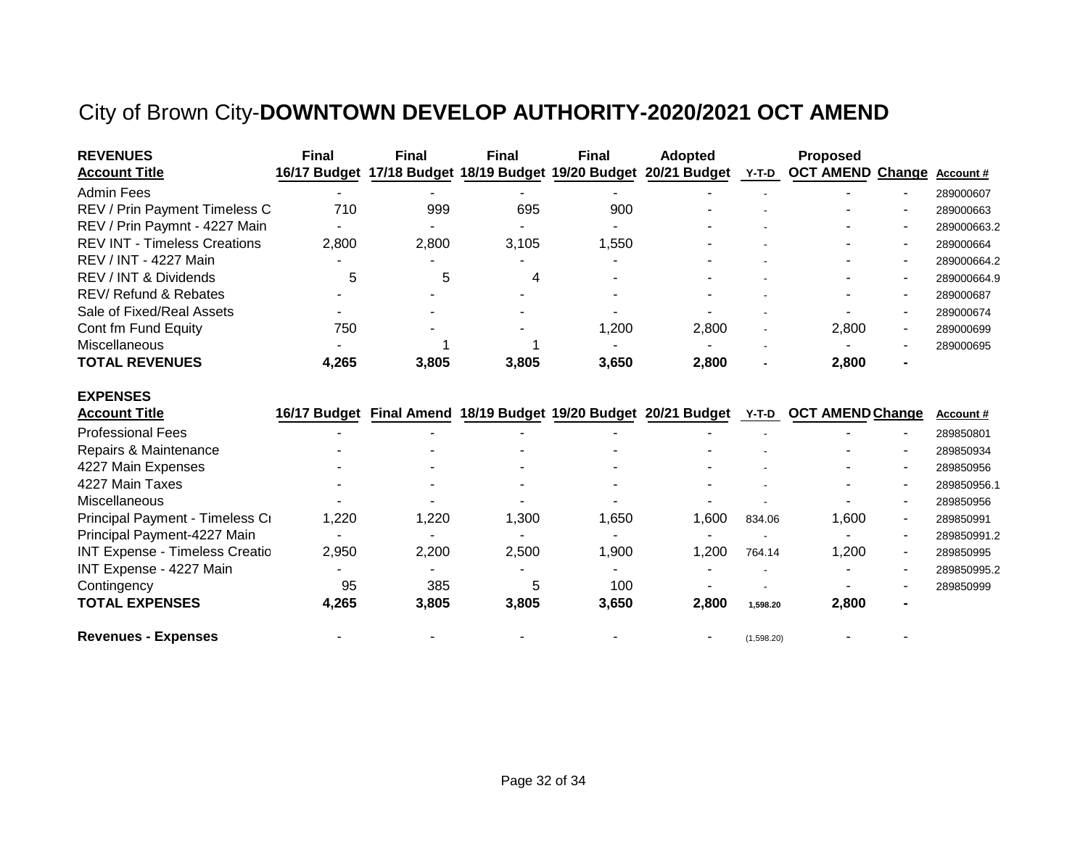# City of Brown City-**DOWNTOWN DEVELOP AUTHORITY-2020/2021 OCT AMEND**

| <b>REVENUES</b>                     | <b>Final</b>             | <b>Final</b> | <b>Final</b>   | <b>Final</b>             | <b>Adopted</b>                                                   |       | <b>Proposed</b>          |   |                  |
|-------------------------------------|--------------------------|--------------|----------------|--------------------------|------------------------------------------------------------------|-------|--------------------------|---|------------------|
| <b>Account Title</b>                |                          |              |                |                          | 16/17 Budget 17/18 Budget 18/19 Budget 19/20 Budget 20/21 Budget | Y-T-D | <b>OCT AMEND Change</b>  |   | <b>Account #</b> |
| <b>Admin Fees</b>                   |                          |              |                |                          |                                                                  |       |                          |   | 289000607        |
| REV / Prin Payment Timeless C       | 710                      | 999          | 695            | 900                      |                                                                  |       | -                        | - | 289000663        |
| REV / Prin Paymnt - 4227 Main       | $\sim$                   | ۰.           | $\blacksquare$ | $\overline{\phantom{0}}$ |                                                                  |       | $\overline{\phantom{0}}$ |   | 289000663.2      |
| <b>REV INT - Timeless Creations</b> | 2.800                    | 2.800        | 3.105          | 1.550                    |                                                                  |       |                          |   | 289000664        |
| REV / INT - 4227 Main               |                          |              |                |                          |                                                                  |       |                          |   | 289000664.2      |
| REV / INT & Dividends               | 5                        | 5            | 4              |                          |                                                                  |       | -                        | - | 289000664.9      |
| <b>REV/ Refund &amp; Rebates</b>    |                          |              |                |                          |                                                                  |       |                          |   | 289000687        |
| Sale of Fixed/Real Assets           |                          |              |                |                          |                                                                  |       |                          | - | 289000674        |
| Cont fm Fund Equity                 | 750                      |              |                | 1,200                    | 2,800                                                            |       | 2.800                    | - | 289000699        |
| Miscellaneous                       | $\overline{\phantom{a}}$ |              |                |                          |                                                                  |       |                          |   | 289000695        |
| <b>TOTAL REVENUES</b>               | 4.265                    | 3,805        | 3.805          | 3.650                    | 2,800                                                            |       | 2,800                    |   |                  |

#### **EXPENSES**

| <b>Account Title</b>                  |       |       |       | 16/17 Budget Final Amend 18/19 Budget 19/20 Budget 20/21 Budget |       | Y-T-D      | <b>OCT AMEND Change</b>  | Account#    |
|---------------------------------------|-------|-------|-------|-----------------------------------------------------------------|-------|------------|--------------------------|-------------|
| <b>Professional Fees</b>              |       |       |       |                                                                 |       |            |                          | 289850801   |
| Repairs & Maintenance                 |       |       |       |                                                                 |       |            | $\overline{\phantom{a}}$ | 289850934   |
| 4227 Main Expenses                    |       |       |       |                                                                 |       |            | -                        | 289850956   |
| 4227 Main Taxes                       |       |       |       |                                                                 |       |            | -                        | 289850956.1 |
| Miscellaneous                         |       |       |       |                                                                 |       |            | -<br>$\blacksquare$      | 289850956   |
| Principal Payment - Timeless Ci       | 1,220 | 1,220 | 1,300 | 1,650                                                           | 1,600 | 834.06     | 1,600                    | 289850991   |
| Principal Payment-4227 Main           |       |       |       |                                                                 |       |            | -                        | 289850991.2 |
| <b>INT Expense - Timeless Creatio</b> | 2,950 | 2,200 | 2,500 | 1,900                                                           | 1,200 | 764.14     | 1,200                    | 289850995   |
| INT Expense - 4227 Main               |       |       |       |                                                                 |       |            | -                        | 289850995.2 |
| Contingency                           | 95    | 385   | 5     | 100                                                             |       |            |                          | 289850999   |
| <b>TOTAL EXPENSES</b>                 | 4,265 | 3,805 | 3,805 | 3,650                                                           | 2,800 | 1.598.20   | 2,800                    |             |
| <b>Revenues - Expenses</b>            |       |       |       |                                                                 |       | (1,598.20) |                          |             |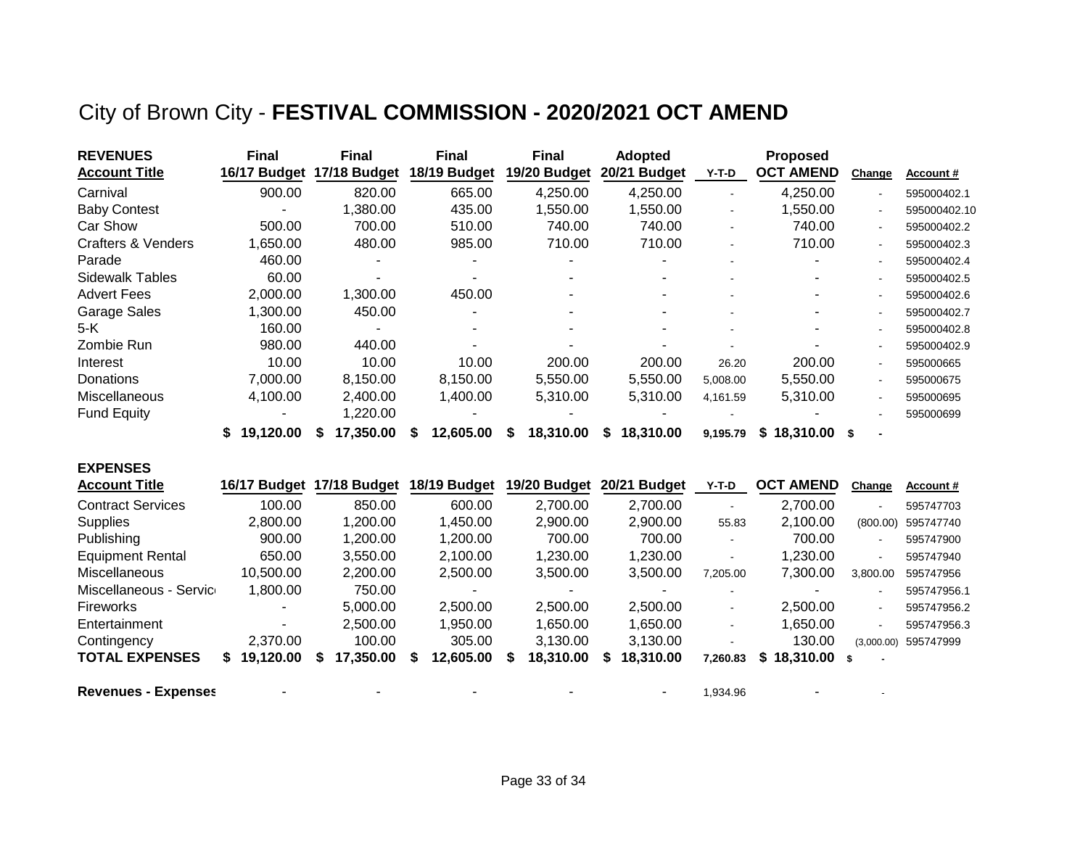## City of Brown City - **FESTIVAL COMMISSION - 2020/2021 OCT AMEND**

| <b>REVENUES</b>               | <b>Final</b>    | <b>Final</b>   | <b>Final</b>   | <b>Final</b>   | <b>Adopted</b>  |                          | <b>Proposed</b>  |        |              |
|-------------------------------|-----------------|----------------|----------------|----------------|-----------------|--------------------------|------------------|--------|--------------|
| <b>Account Title</b>          | 16/17 Budget    | 17/18 Budget   | 18/19 Budget   | 19/20 Budget   | 20/21 Budget    | Y-T-D                    | <b>OCT AMEND</b> | Change | Account#     |
| Carnival                      | 900.00          | 820.00         | 665.00         | 4,250.00       | 4,250.00        | $\overline{\phantom{a}}$ | 4,250.00         |        | 595000402.1  |
| <b>Baby Contest</b>           |                 | 1,380.00       | 435.00         | 1,550.00       | 1,550.00        | $\blacksquare$           | 1,550.00         |        | 595000402.10 |
| Car Show                      | 500.00          | 700.00         | 510.00         | 740.00         | 740.00          | $\overline{\phantom{a}}$ | 740.00           |        | 595000402.2  |
| <b>Crafters &amp; Venders</b> | 1,650.00        | 480.00         | 985.00         | 710.00         | 710.00          | $\blacksquare$           | 710.00           |        | 595000402.3  |
| Parade                        | 460.00          |                |                |                |                 |                          |                  |        | 595000402.4  |
| <b>Sidewalk Tables</b>        | 60.00           |                |                |                |                 |                          |                  |        | 595000402.5  |
| <b>Advert Fees</b>            | 2,000.00        | 1,300.00       | 450.00         |                |                 |                          |                  |        | 595000402.6  |
| Garage Sales                  | 1,300.00        | 450.00         |                |                |                 |                          |                  |        | 595000402.7  |
| 5-K                           | 160.00          |                |                |                |                 |                          |                  |        | 595000402.8  |
| Zombie Run                    | 980.00          | 440.00         |                |                |                 |                          |                  |        | 595000402.9  |
| Interest                      | 10.00           | 10.00          | 10.00          | 200.00         | 200.00          | 26.20                    | 200.00           |        | 595000665    |
| Donations                     | 7,000.00        | 8,150.00       | 8,150.00       | 5,550.00       | 5,550.00        | 5,008.00                 | 5,550.00         |        | 595000675    |
| Miscellaneous                 | 4,100.00        | 2,400.00       | 1,400.00       | 5.310.00       | 5.310.00        | 4,161.59                 | 5,310.00         |        | 595000695    |
| <b>Fund Equity</b>            |                 | 1,220.00       |                |                |                 |                          |                  |        | 595000699    |
|                               | 19,120.00<br>S. | 17,350.00<br>S | 12,605.00<br>S | 18,310.00<br>S | 18,310.00<br>S. | 9.195.79                 | \$18,310.00      | - \$   |              |

| <b>EXPENSES</b>            |                 |                           |              |              |              |          |                   |                          |             |
|----------------------------|-----------------|---------------------------|--------------|--------------|--------------|----------|-------------------|--------------------------|-------------|
| <b>Account Title</b>       |                 | 16/17 Budget 17/18 Budget | 18/19 Budget | 19/20 Budget | 20/21 Budget | Y-T-D    | <b>OCT AMEND</b>  | Change                   | Account#    |
| <b>Contract Services</b>   | 100.00          | 850.00                    | 600.00       | 2,700.00     | 2,700.00     |          | 2,700.00          | $\,$                     | 595747703   |
| <b>Supplies</b>            | 2,800.00        | 1,200.00                  | 1.450.00     | 2,900.00     | 2,900.00     | 55.83    | 2,100.00          | (800.00)                 | 595747740   |
| Publishing                 | 900.00          | 1,200.00                  | 1,200.00     | 700.00       | 700.00       |          | 700.00            | $\blacksquare$           | 595747900   |
| <b>Equipment Rental</b>    | 650.00          | 3,550.00                  | 2.100.00     | 1.230.00     | 1.230.00     |          | 1.230.00          | $\blacksquare$           | 595747940   |
| Miscellaneous              | 10,500.00       | 2,200.00                  | 2.500.00     | 3.500.00     | 3,500.00     | 7.205.00 | 7,300.00          | 3,800.00                 | 595747956   |
| Miscellaneous - Service    | 1,800.00        | 750.00                    |              |              |              |          | -                 | $\blacksquare$           | 595747956.1 |
| Fireworks                  |                 | 5,000.00                  | 2,500.00     | 2,500.00     | 2,500.00     | $\sim$   | 2,500.00          | $\sim$                   | 595747956.2 |
| Entertainment              | ۰               | 2,500.00                  | 1.950.00     | 1.650.00     | 1.650.00     |          | 1.650.00          | $\blacksquare$           | 595747956.3 |
| Contingency                | 2,370.00        | 100.00                    | 305.00       | 3.130.00     | 3.130.00     |          | 130.00            | (3,000.00)               | 595747999   |
| <b>TOTAL EXPENSES</b>      | 19,120.00<br>S. | 17,350.00                 | 12,605.00    | 18,310.00    | 18,310.00    | 7.260.83 | 18,310.00 \$<br>S | $\overline{\phantom{a}}$ |             |
| <b>Revenues - Expenses</b> | -               |                           |              |              |              | 1,934.96 |                   |                          |             |